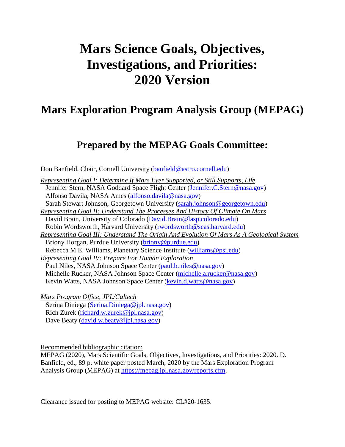# **Mars Science Goals, Objectives, Investigations, and Priorities: 2020 Version**

## **Mars Exploration Program Analysis Group (MEPAG)**

## **Prepared by the MEPAG Goals Committee:**

Don Banfield, Chair, Cornell University [\(banfield@astro.cornell.edu\)](mailto:banfield@astro.cornell.edu)

| Representing Goal I: Determine If Mars Ever Supported, or Still Supports, Life            |
|-------------------------------------------------------------------------------------------|
| Jennifer Stern, NASA Goddard Space Flight Center (Jennifer.C.Stern@nasa.gov)              |
| Alfonso Davila, NASA Ames (alfonso.davila@nasa.gov)                                       |
| Sarah Stewart Johnson, Georgetown University (sarah.johnson@georgetown.edu)               |
| Representing Goal II: Understand The Processes And History Of Climate On Mars             |
| David Brain, University of Colorado (David.Brain@lasp.colorado.edu)                       |
| Robin Wordsworth, Harvard University (rwordsworth@seas.harvard.edu)                       |
| Representing Goal III: Understand The Origin And Evolution Of Mars As A Geological System |
| Briony Horgan, Purdue University (briony@purdue.edu)                                      |
| Rebecca M.E. Williams, Planetary Science Institute (williams@psi.edu)                     |
| Representing Goal IV: Prepare For Human Exploration                                       |
| Paul Niles, NASA Johnson Space Center (paul.b.niles@nasa.gov)                             |
| Michelle Rucker, NASA Johnson Space Center (michelle.a.rucker@nasa.gov)                   |
| Kevin Watts, NASA Johnson Space Center (kevin.d.watts@nasa.gov)                           |
|                                                                                           |
| Mars Program Office IPL/Caltech                                                           |

*Mars Program Office, JPL/Caltech* Serina Diniega [\(Serina.Diniega@jpl.nasa.gov\)](mailto:Serina.Diniega@jpl.nasa.gov) Rich Zurek [\(richard.w.zurek@jpl.nasa.gov\)](mailto:richard.w.zurek@jpl.nasa.gov) Dave Beaty [\(david.w.beaty@jpl.nasa.gov\)](mailto:david.w.beaty@jpl.nasa.gov)

Recommended bibliographic citation:

MEPAG (2020), Mars Scientific Goals, Objectives, Investigations, and Priorities: 2020. D. Banfield, ed., 89 p. white paper posted March, 2020 by the Mars Exploration Program Analysis Group (MEPAG) at https://mepag.jpl.nasa.gov/reports.cfm.

Clearance issued for posting to MEPAG website: CL#20-1635.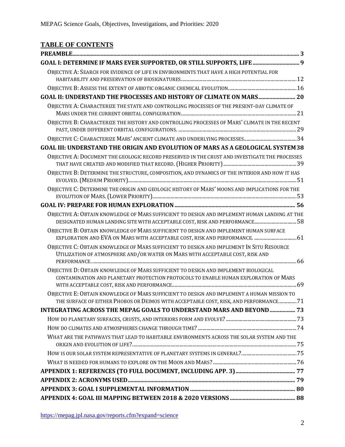## **TABLE OF CONTENTS**

| GOAL I: DETERMINE IF MARS EVER SUPPORTED, OR STILL SUPPORTS, LIFE  9<br>OBJECTIVE A: SEARCH FOR EVIDENCE OF LIFE IN ENVIRONMENTS THAT HAVE A HIGH POTENTIAL FOR<br>GOAL II: UNDERSTAND THE PROCESSES AND HISTORY OF CLIMATE ON MARS 20<br>OBJECTIVE A: CHARACTERIZE THE STATE AND CONTROLLING PROCESSES OF THE PRESENT-DAY CLIMATE OF<br>OBJECTIVE B: CHARACTERIZE THE HISTORY AND CONTROLLING PROCESSES OF MARS' CLIMATE IN THE RECENT<br><b>GOAL III: UNDERSTAND THE ORIGIN AND EVOLUTION OF MARS AS A GEOLOGICAL SYSTEM 38</b><br>OBJECTIVE A: DOCUMENT THE GEOLOGIC RECORD PRESERVED IN THE CRUST AND INVESTIGATE THE PROCESSES<br>OBJECTIVE B: DETERMINE THE STRUCTURE, COMPOSITION, AND DYNAMICS OF THE INTERIOR AND HOW IT HAS<br>OBJECTIVE C: DETERMINE THE ORIGIN AND GEOLOGIC HISTORY OF MARS' MOONS AND IMPLICATIONS FOR THE<br>OBJECTIVE A: OBTAIN KNOWLEDGE OF MARS SUFFICIENT TO DESIGN AND IMPLEMENT HUMAN LANDING AT THE<br>DESIGNATED HUMAN LANDING SITE WITH ACCEPTABLE COST, RISK AND PERFORMANCE58<br>OBJECTIVE B: OBTAIN KNOWLEDGE OF MARS SUFFICIENT TO DESIGN AND IMPLEMENT HUMAN SURFACE<br>EXPLORATION AND EVA ON MARS WITH ACCEPTABLE COST, RISK AND PERFORMANCE.  61<br>OBJECTIVE C: OBTAIN KNOWLEDGE OF MARS SUFFICIENT TO DESIGN AND IMPLEMENT IN SITU RESOURCE<br>UTILIZATION OF ATMOSPHERE AND/OR WATER ON MARS WITH ACCEPTABLE COST, RISK AND<br>OBJECTIVE D: OBTAIN KNOWLEDGE OF MARS SUFFICIENT TO DESIGN AND IMPLEMENT BIOLOGICAL<br>CONTAMINATION AND PLANETARY PROTECTION PROTOCOLS TO ENABLE HUMAN EXPLORATION OF MARS<br>OBJECTIVE E: OBTAIN KNOWLEDGE OF MARS SUFFICIENT TO DESIGN AND IMPLEMENT A HUMAN MISSION TO<br>THE SURFACE OF EITHER PHOBOS OR DEIMOS WITH ACCEPTABLE COST, RISK, AND PERFORMANCE 71<br>INTEGRATING ACROSS THE MEPAG GOALS TO UNDERSTAND MARS AND BEYOND  73<br>WHAT ARE THE PATHWAYS THAT LEAD TO HABITABLE ENVIRONMENTS ACROSS THE SOLAR SYSTEM AND THE |  |
|---------------------------------------------------------------------------------------------------------------------------------------------------------------------------------------------------------------------------------------------------------------------------------------------------------------------------------------------------------------------------------------------------------------------------------------------------------------------------------------------------------------------------------------------------------------------------------------------------------------------------------------------------------------------------------------------------------------------------------------------------------------------------------------------------------------------------------------------------------------------------------------------------------------------------------------------------------------------------------------------------------------------------------------------------------------------------------------------------------------------------------------------------------------------------------------------------------------------------------------------------------------------------------------------------------------------------------------------------------------------------------------------------------------------------------------------------------------------------------------------------------------------------------------------------------------------------------------------------------------------------------------------------------------------------------------------------------------------------------------------------------------------------------------------------------------------------------------------------------------------------------------------------------------------------|--|
|                                                                                                                                                                                                                                                                                                                                                                                                                                                                                                                                                                                                                                                                                                                                                                                                                                                                                                                                                                                                                                                                                                                                                                                                                                                                                                                                                                                                                                                                                                                                                                                                                                                                                                                                                                                                                                                                                                                           |  |
|                                                                                                                                                                                                                                                                                                                                                                                                                                                                                                                                                                                                                                                                                                                                                                                                                                                                                                                                                                                                                                                                                                                                                                                                                                                                                                                                                                                                                                                                                                                                                                                                                                                                                                                                                                                                                                                                                                                           |  |
|                                                                                                                                                                                                                                                                                                                                                                                                                                                                                                                                                                                                                                                                                                                                                                                                                                                                                                                                                                                                                                                                                                                                                                                                                                                                                                                                                                                                                                                                                                                                                                                                                                                                                                                                                                                                                                                                                                                           |  |
|                                                                                                                                                                                                                                                                                                                                                                                                                                                                                                                                                                                                                                                                                                                                                                                                                                                                                                                                                                                                                                                                                                                                                                                                                                                                                                                                                                                                                                                                                                                                                                                                                                                                                                                                                                                                                                                                                                                           |  |
|                                                                                                                                                                                                                                                                                                                                                                                                                                                                                                                                                                                                                                                                                                                                                                                                                                                                                                                                                                                                                                                                                                                                                                                                                                                                                                                                                                                                                                                                                                                                                                                                                                                                                                                                                                                                                                                                                                                           |  |
|                                                                                                                                                                                                                                                                                                                                                                                                                                                                                                                                                                                                                                                                                                                                                                                                                                                                                                                                                                                                                                                                                                                                                                                                                                                                                                                                                                                                                                                                                                                                                                                                                                                                                                                                                                                                                                                                                                                           |  |
|                                                                                                                                                                                                                                                                                                                                                                                                                                                                                                                                                                                                                                                                                                                                                                                                                                                                                                                                                                                                                                                                                                                                                                                                                                                                                                                                                                                                                                                                                                                                                                                                                                                                                                                                                                                                                                                                                                                           |  |
|                                                                                                                                                                                                                                                                                                                                                                                                                                                                                                                                                                                                                                                                                                                                                                                                                                                                                                                                                                                                                                                                                                                                                                                                                                                                                                                                                                                                                                                                                                                                                                                                                                                                                                                                                                                                                                                                                                                           |  |
|                                                                                                                                                                                                                                                                                                                                                                                                                                                                                                                                                                                                                                                                                                                                                                                                                                                                                                                                                                                                                                                                                                                                                                                                                                                                                                                                                                                                                                                                                                                                                                                                                                                                                                                                                                                                                                                                                                                           |  |
|                                                                                                                                                                                                                                                                                                                                                                                                                                                                                                                                                                                                                                                                                                                                                                                                                                                                                                                                                                                                                                                                                                                                                                                                                                                                                                                                                                                                                                                                                                                                                                                                                                                                                                                                                                                                                                                                                                                           |  |
|                                                                                                                                                                                                                                                                                                                                                                                                                                                                                                                                                                                                                                                                                                                                                                                                                                                                                                                                                                                                                                                                                                                                                                                                                                                                                                                                                                                                                                                                                                                                                                                                                                                                                                                                                                                                                                                                                                                           |  |
|                                                                                                                                                                                                                                                                                                                                                                                                                                                                                                                                                                                                                                                                                                                                                                                                                                                                                                                                                                                                                                                                                                                                                                                                                                                                                                                                                                                                                                                                                                                                                                                                                                                                                                                                                                                                                                                                                                                           |  |
|                                                                                                                                                                                                                                                                                                                                                                                                                                                                                                                                                                                                                                                                                                                                                                                                                                                                                                                                                                                                                                                                                                                                                                                                                                                                                                                                                                                                                                                                                                                                                                                                                                                                                                                                                                                                                                                                                                                           |  |
|                                                                                                                                                                                                                                                                                                                                                                                                                                                                                                                                                                                                                                                                                                                                                                                                                                                                                                                                                                                                                                                                                                                                                                                                                                                                                                                                                                                                                                                                                                                                                                                                                                                                                                                                                                                                                                                                                                                           |  |
|                                                                                                                                                                                                                                                                                                                                                                                                                                                                                                                                                                                                                                                                                                                                                                                                                                                                                                                                                                                                                                                                                                                                                                                                                                                                                                                                                                                                                                                                                                                                                                                                                                                                                                                                                                                                                                                                                                                           |  |
|                                                                                                                                                                                                                                                                                                                                                                                                                                                                                                                                                                                                                                                                                                                                                                                                                                                                                                                                                                                                                                                                                                                                                                                                                                                                                                                                                                                                                                                                                                                                                                                                                                                                                                                                                                                                                                                                                                                           |  |
|                                                                                                                                                                                                                                                                                                                                                                                                                                                                                                                                                                                                                                                                                                                                                                                                                                                                                                                                                                                                                                                                                                                                                                                                                                                                                                                                                                                                                                                                                                                                                                                                                                                                                                                                                                                                                                                                                                                           |  |
|                                                                                                                                                                                                                                                                                                                                                                                                                                                                                                                                                                                                                                                                                                                                                                                                                                                                                                                                                                                                                                                                                                                                                                                                                                                                                                                                                                                                                                                                                                                                                                                                                                                                                                                                                                                                                                                                                                                           |  |
|                                                                                                                                                                                                                                                                                                                                                                                                                                                                                                                                                                                                                                                                                                                                                                                                                                                                                                                                                                                                                                                                                                                                                                                                                                                                                                                                                                                                                                                                                                                                                                                                                                                                                                                                                                                                                                                                                                                           |  |
|                                                                                                                                                                                                                                                                                                                                                                                                                                                                                                                                                                                                                                                                                                                                                                                                                                                                                                                                                                                                                                                                                                                                                                                                                                                                                                                                                                                                                                                                                                                                                                                                                                                                                                                                                                                                                                                                                                                           |  |
|                                                                                                                                                                                                                                                                                                                                                                                                                                                                                                                                                                                                                                                                                                                                                                                                                                                                                                                                                                                                                                                                                                                                                                                                                                                                                                                                                                                                                                                                                                                                                                                                                                                                                                                                                                                                                                                                                                                           |  |
|                                                                                                                                                                                                                                                                                                                                                                                                                                                                                                                                                                                                                                                                                                                                                                                                                                                                                                                                                                                                                                                                                                                                                                                                                                                                                                                                                                                                                                                                                                                                                                                                                                                                                                                                                                                                                                                                                                                           |  |
|                                                                                                                                                                                                                                                                                                                                                                                                                                                                                                                                                                                                                                                                                                                                                                                                                                                                                                                                                                                                                                                                                                                                                                                                                                                                                                                                                                                                                                                                                                                                                                                                                                                                                                                                                                                                                                                                                                                           |  |
|                                                                                                                                                                                                                                                                                                                                                                                                                                                                                                                                                                                                                                                                                                                                                                                                                                                                                                                                                                                                                                                                                                                                                                                                                                                                                                                                                                                                                                                                                                                                                                                                                                                                                                                                                                                                                                                                                                                           |  |
|                                                                                                                                                                                                                                                                                                                                                                                                                                                                                                                                                                                                                                                                                                                                                                                                                                                                                                                                                                                                                                                                                                                                                                                                                                                                                                                                                                                                                                                                                                                                                                                                                                                                                                                                                                                                                                                                                                                           |  |
|                                                                                                                                                                                                                                                                                                                                                                                                                                                                                                                                                                                                                                                                                                                                                                                                                                                                                                                                                                                                                                                                                                                                                                                                                                                                                                                                                                                                                                                                                                                                                                                                                                                                                                                                                                                                                                                                                                                           |  |
|                                                                                                                                                                                                                                                                                                                                                                                                                                                                                                                                                                                                                                                                                                                                                                                                                                                                                                                                                                                                                                                                                                                                                                                                                                                                                                                                                                                                                                                                                                                                                                                                                                                                                                                                                                                                                                                                                                                           |  |
|                                                                                                                                                                                                                                                                                                                                                                                                                                                                                                                                                                                                                                                                                                                                                                                                                                                                                                                                                                                                                                                                                                                                                                                                                                                                                                                                                                                                                                                                                                                                                                                                                                                                                                                                                                                                                                                                                                                           |  |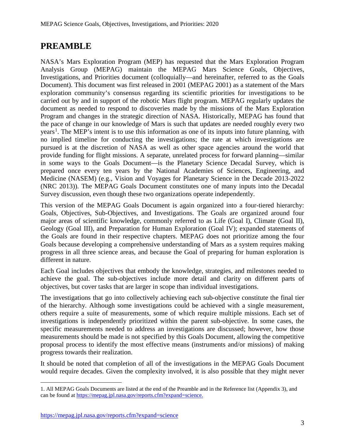## **PREAMBLE**

NASA's Mars Exploration Program (MEP) has requested that the Mars Exploration Program Analysis Group (MEPAG) maintain the MEPAG Mars Science Goals, Objectives, Investigations, and Priorities document (colloquially—and hereinafter, referred to as the Goals Document). This document was first released in 2001 (MEPAG 2001) as a statement of the Mars exploration community's consensus regarding its scientific priorities for investigations to be carried out by and in support of the robotic Mars flight program. MEPAG regularly updates the document as needed to respond to discoveries made by the missions of the Mars Exploration Program and changes in the strategic direction of NASA. Historically, MEPAG has found that the pace of change in our knowledge of Mars is such that updates are needed roughly every two years<sup>[1](#page-2-0)</sup>. The MEP's intent is to use this information as one of its inputs into future planning, with no implied timeline for conducting the investigations; the rate at which investigations are pursued is at the discretion of NASA as well as other space agencies around the world that provide funding for flight missions. A separate, unrelated process for forward planning—similar in some ways to the Goals Document—is the Planetary Science Decadal Survey, which is prepared once every ten years by the National Academies of Sciences, Engineering, and Medicine (NASEM) (e.g., Vision and Voyages for Planetary Science in the Decade 2013-2022 (NRC 2013)). The MEPAG Goals Document constitutes one of many inputs into the Decadal Survey discussion, even though these two organizations operate independently.

This version of the MEPAG Goals Document is again organized into a four-tiered hierarchy: Goals, Objectives, Sub-Objectives, and Investigations. The Goals are organized around four major areas of scientific knowledge, commonly referred to as Life (Goal I), Climate (Goal II), Geology (Goal III), and Preparation for Human Exploration (Goal IV); expanded statements of the Goals are found in their respective chapters. MEPAG does not prioritize among the four Goals because developing a comprehensive understanding of Mars as a system requires making progress in all three science areas, and because the Goal of preparing for human exploration is different in nature.

Each Goal includes objectives that embody the knowledge, strategies, and milestones needed to achieve the goal. The sub-objectives include more detail and clarity on different parts of objectives, but cover tasks that are larger in scope than individual investigations.

The investigations that go into collectively achieving each sub-objective constitute the final tier of the hierarchy. Although some investigations could be achieved with a single measurement, others require a suite of measurements, some of which require multiple missions. Each set of investigations is independently prioritized within the parent sub-objective. In some cases, the specific measurements needed to address an investigations are discussed; however, how those measurements should be made is not specified by this Goals Document, allowing the competitive proposal process to identify the most effective means (instruments and/or missions) of making progress towards their realization.

It should be noted that completion of all of the investigations in the MEPAG Goals Document would require decades. Given the complexity involved, it is also possible that they might never

<span id="page-2-0"></span> $\overline{a}$ 1. All MEPAG Goals Documents are listed at the end of the Preamble and in the Reference list (Appendix 3), and can be found at https://mepag.jpl.nasa.gov/reports.cfm?expand=science.

<https://mepag.jpl.nasa.gov/reports.cfm?expand=science>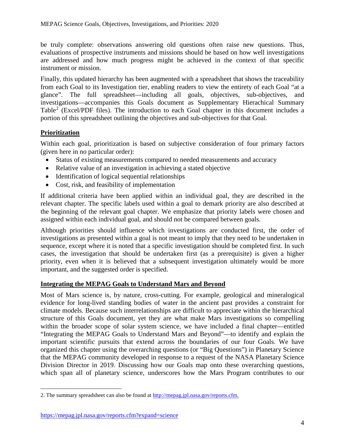be truly complete: observations answering old questions often raise new questions. Thus, evaluations of prospective instruments and missions should be based on how well investigations are addressed and how much progress might be achieved in the context of that specific instrument or mission.

Finally, this updated hierarchy has been augmented with a spreadsheet that shows the traceability from each Goal to its Investigation tier, enabling readers to view the entirety of each Goal "at a glance". The full spreadsheet—including all goals, objectives, sub-objectives, and investigations—accompanies this Goals document as Supplementary Hierachical Summary Table<sup>[2](#page-3-0)</sup> (Excel/PDF files). The introduction to each Goal chapter in this document includes a portion of this spreadsheet outlining the objectives and sub-objectives for that Goal.

#### **Prioritization**

Within each goal, prioritization is based on subjective consideration of four primary factors (given here in no particular order):

- Status of existing measurements compared to needed measurements and accuracy
- Relative value of an investigation in achieving a stated objective
- Identification of logical sequential relationships
- Cost, risk, and feasibility of implementation

If additional criteria have been applied within an individual goal, they are described in the relevant chapter. The specific labels used within a goal to demark priority are also described at the beginning of the relevant goal chapter. We emphasize that priority labels were chosen and assigned within each individual goal, and should not be compared between goals.

Although priorities should influence which investigations are conducted first, the order of investigations as presented within a goal is not meant to imply that they need to be undertaken in sequence, except where it is noted that a specific investigation should be completed first. In such cases, the investigation that should be undertaken first (as a prerequisite) is given a higher priority, even when it is believed that a subsequent investigation ultimately would be more important, and the suggested order is specified.

#### **Integrating the MEPAG Goals to Understand Mars and Beyond**

Most of Mars science is, by nature, cross-cutting. For example, geological and mineralogical evidence for long-lived standing bodies of water in the ancient past provides a constraint for climate models. Because such interrelationships are difficult to appreciate within the hierarchical structure of this Goals document, yet they are what make Mars investigations so compelling within the broader scope of solar system science, we have included a final chapter—entitled "Integrating the MEPAG Goals to Understand Mars and Beyond"—to identify and explain the important scientific pursuits that extend across the boundaries of our four Goals. We have organized this chapter using the overarching questions (or "Big Questions") in Planetary Science that the MEPAG community developed in response to a request of the NASA Planetary Science Division Director in 2019. Discussing how our Goals map onto these overarching questions, which span all of planetary science, underscores how the Mars Program contributes to our

<span id="page-3-0"></span> <sup>2.</sup> The summary spreadsheet can also be found at [http://mepag.jpl.nasa.gov/reports.cfm.](http://mepag.jpl.nasa.gov/reports.cfm)

<https://mepag.jpl.nasa.gov/reports.cfm?expand=science>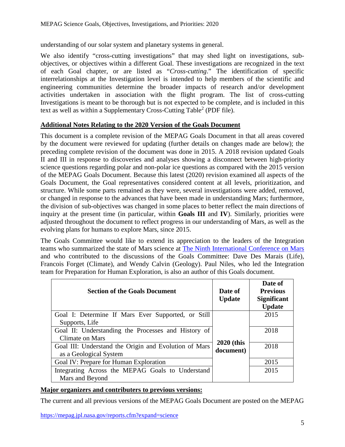understanding of our solar system and planetary systems in general.

We also identify "cross-cutting investigations" that may shed light on investigations, subobjectives, or objectives within a different Goal. These investigations are recognized in the text of each Goal chapter, or are listed as "*Cross-cutting*." The identification of specific interrelationships at the Investigation level is intended to help members of the scientific and engineering communities determine the broader impacts of research and/or development activities undertaken in association with the flight program. The list of cross-cutting Investigations is meant to be thorough but is not expected to be complete, and is included in this text as well as within a Supplementary Cross-Cutting Table<sup>2</sup> (PDF file).

#### **Additional Notes Relating to the 2020 Version of the Goals Document**

This document is a complete revision of the MEPAG Goals Document in that all areas covered by the document were reviewed for updating (further details on changes made are below); the preceding complete revision of the document was done in 2015. A 2018 revision updated Goals II and III in response to discoveries and analyses showing a disconnect between high-priority science questions regarding polar and non-polar ice questions as compared with the 2015 version of the MEPAG Goals Document. Because this latest (2020) revision examined all aspects of the Goals Document, the Goal representatives considered content at all levels, prioritization, and structure. While some parts remained as they were, several investigations were added, removed, or changed in response to the advances that have been made in understanding Mars; furthermore, the division of sub-objectives was changed in some places to better reflect the main directions of inquiry at the present time (in particular, within **Goals III** and **IV**). Similarly, priorities were adjusted throughout the document to reflect progress in our understanding of Mars, as well as the evolving plans for humans to explore Mars, since 2015.

The Goals Committee would like to extend its appreciation to the leaders of the Integration teams who summarized the state of Mars science at [The Ninth International Conference on Mars](https://www.hou.usra.edu/meetings/ninthmars2019/) and who contributed to the discussions of the Goals Committee: Dave Des Marais (Life), Francois Forget (Climate), and Wendy Calvin (Geology). Paul Niles, who led the Integration team for Preparation for Human Exploration, is also an author of this Goals document.

| <b>Section of the Goals Document</b>                                       | Date of<br><b>Update</b> | Date of<br><b>Previous</b><br><b>Significant</b><br><b>Update</b> |
|----------------------------------------------------------------------------|--------------------------|-------------------------------------------------------------------|
| Goal I: Determine If Mars Ever Supported, or Still                         |                          | 2015                                                              |
| Supports, Life                                                             |                          |                                                                   |
| Goal II: Understanding the Processes and History of                        |                          | 2018                                                              |
| Climate on Mars                                                            |                          |                                                                   |
| <b>2020</b> (this<br>Goal III: Understand the Origin and Evolution of Mars |                          | 2018                                                              |
| as a Geological System                                                     | document)                |                                                                   |
| Goal IV: Prepare for Human Exploration                                     |                          | 2015                                                              |
| Integrating Across the MEPAG Goals to Understand                           |                          | 2015                                                              |
| Mars and Beyond                                                            |                          |                                                                   |

#### **Major organizers and contributers to previous versions:**

The current and all previous versions of the MEPAG Goals Document are posted on the MEPAG

<https://mepag.jpl.nasa.gov/reports.cfm?expand=science>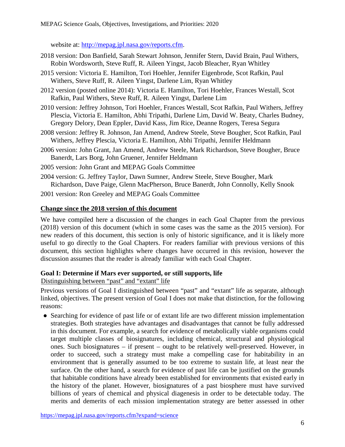website at: [http://mepag.jpl.nasa.gov/reports.cfm.](http://mepag.jpl.nasa.gov/reports.cfm)

- 2018 version: Don Banfield, Sarah Stewart Johnson, Jennifer Stern, David Brain, Paul Withers, Robin Wordsworth, Steve Ruff, R. Aileen Yingst, Jacob Bleacher, Ryan Whitley
- 2015 version: Victoria E. Hamilton, Tori Hoehler, Jennifer Eigenbrode, Scot Rafkin, Paul Withers, Steve Ruff, R. Aileen Yingst, Darlene Lim, Ryan Whitley
- 2012 version (posted online 2014): Victoria E. Hamilton, Tori Hoehler, Frances Westall, Scot Rafkin, Paul Withers, Steve Ruff, R. Aileen Yingst, Darlene Lim
- 2010 version: Jeffrey Johnson, Tori Hoehler, Frances Westall, Scot Rafkin, Paul Withers, Jeffrey Plescia, Victoria E. Hamilton, Abhi Tripathi, Darlene Lim, David W. Beaty, Charles Budney, Gregory Delory, Dean Eppler, David Kass, Jim Rice, Deanne Rogers, Teresa Segura
- 2008 version: Jeffrey R. Johnson, Jan Amend, Andrew Steele, Steve Bougher, Scot Rafkin, Paul Withers, Jeffrey Plescia, Victoria E. Hamilton, Abhi Tripathi, Jennifer Heldmann
- 2006 version: John Grant, Jan Amend, Andrew Steele, Mark Richardson, Steve Bougher, Bruce Banerdt, Lars Borg, John Gruener, Jennifer Heldmann
- 2005 version: John Grant and MEPAG Goals Committee
- 2004 version: G. Jeffrey Taylor, Dawn Sumner, Andrew Steele, Steve Bougher, Mark Richardson, Dave Paige, Glenn MacPherson, Bruce Banerdt, John Connolly, Kelly Snook

2001 version: Ron Greeley and MEPAG Goals Committee

#### **Change since the 2018 version of this document**

We have compiled here a discussion of the changes in each Goal Chapter from the previous (2018) version of this document (which in some cases was the same as the 2015 version). For new readers of this document, this section is only of historic significance, and it is likely more useful to go directly to the Goal Chapters. For readers familiar with previous versions of this document, this section highlights where changes have occurred in this revision, however the discussion assumes that the reader is already familiar with each Goal Chapter.

#### **Goal I: Determine if Mars ever supported, or still supports, life**

Distinguishing between "past" and "extant" life

Previous versions of Goal I distinguished between "past" and "extant" life as separate, although linked, objectives. The present version of Goal I does not make that distinction, for the following reasons:

• Searching for evidence of past life or of extant life are two different mission implementation strategies. Both strategies have advantages and disadvantages that cannot be fully addressed in this document. For example, a search for evidence of metabolically viable organisms could target multiple classes of biosignatures, including chemical, structural and physiological ones. Such biosignatures – if present – ought to be relatively well-preserved. However, in order to succeed, such a strategy must make a compelling case for habitability in an environment that is generally assumed to be too extreme to sustain life, at least near the surface. On the other hand, a search for evidence of past life can be justified on the grounds that habitable conditions have already been established for environments that existed early in the history of the planet. However, biosignatures of a past biosphere must have survived billions of years of chemical and physical diagenesis in order to be detectable today. The merits and demerits of each mission implementation strategy are better assessed in other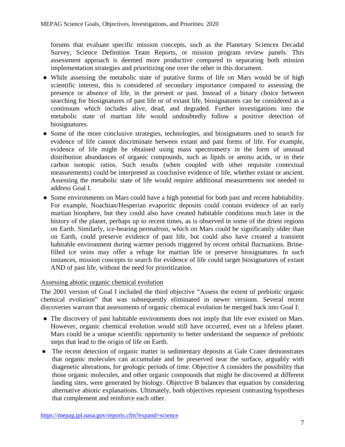forums that evaluate specific mission concepts, such as the Planetary Sciences Decadal Survey, Science Definition Team Reports, or mission program review panels. This assessment approach is deemed more productive compared to separating both mission implementation strategies and prioritizing one over the other in this document.

- While assessing the metabolic state of putative forms of life on Mars would be of high scientific interest, this is considered of secondary importance compared to assessing the presence or absence of life, in the present or past. Instead of a binary choice between searching for biosignatures of past life or of extant life, biosignatures can be considered as a continuum which includes alive, dead, and degraded. Further investigations into the metabolic state of martian life would undoubtedly follow a positive detection of biosignatures.
- Some of the more conclusive strategies, technologies, and biosignatures used to search for evidence of life cannot discriminate between extant and past forms of life. For example, evidence of life might be obtained using mass spectrometry in the form of unusual distribution abundances of organic compounds, such as lipids or amino acids, or in their carbon isotopic ratios. Such results (when coupled with other requisite contextual measurements) could be interpreted as conclusive evidence of life, whether extant or ancient. Assessing the metabolic state of life would require additional measurements not needed to address Goal I.
- Some environments on Mars could have a high potential for both past and recent habitability. For example, Noachian/Hesperian evaporitic deposits could contain evidence of an early martian biosphere, but they could also have created habitable conditions much later in the history of the planet, perhaps up to recent times, as is observed in some of the driest regions on Earth. Similarly, ice-bearing permafrost, which on Mars could be significantly older than on Earth, could preserve evidence of past life, but could also have created a transient habitable environment during warmer periods triggered by recent orbital fluctuations. Brinefilled ice veins may offer a refuge for martian life or preserve biosignatures. In such instances, mission concepts to search for evidence of life could target biosignatures of extant AND of past life, without the need for prioritization.

#### Assessing abiotic organic chemical evolution

The 2001 version of Goal I included the third objective "Assess the extent of prebiotic organic chemical evolution" that was subsequently eliminated in newer versions. Several recent discoveries warrant that assessments of organic chemical evolution be merged back into Goal I:

- The discovery of past habitable environments does not imply that life ever existed on Mars. However, organic chemical evolution would still have occurred, even on a lifeless planet. Mars could be a unique scientific opportunity to better understand the sequence of prebiotic steps that lead to the origin of life on Earth.
- The recent detection of organic matter in sedimentary deposits at Gale Crater demonstrates that organic molecules can accumulate and be preserved near the surface, arguably with diagenetic alterations, for geologic periods of time. Objective A considers the possibility that those organic molecules, and other organic compounds that might be discovered at different landing sites, were generated by biology. Objective B balances that equation by considering alternative abiotic explanations. Ultimately, both objectives represent contrasting hypotheses that complement and reinforce each other.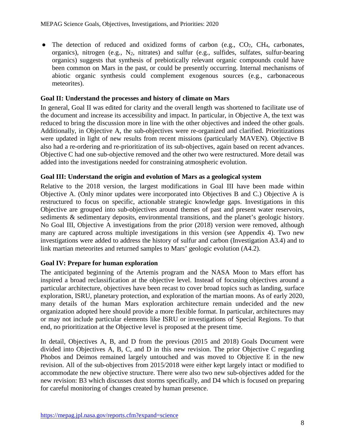• The detection of reduced and oxidized forms of carbon (e.g.,  $CO<sub>2</sub>$ ,  $CH<sub>4</sub>$ , carbonates, organics), nitrogen (e.g., N2, nitrates) and sulfur (e.g., sulfides, sulfates, sulfur-bearing organics) suggests that synthesis of prebiotically relevant organic compounds could have been common on Mars in the past, or could be presently occurring. Internal mechanisms of abiotic organic synthesis could complement exogenous sources (e.g., carbonaceous meteorites).

#### **Goal II: Understand the processes and history of climate on Mars**

In general, Goal II was edited for clarity and the overall length was shortened to facilitate use of the document and increase its accessibility and impact. In particular, in Objective A, the text was reduced to bring the discussion more in line with the other objectives and indeed the other goals. Additionally, in Objective A, the sub-objectives were re-organized and clarified. Prioritizations were updated in light of new results from recent missions (particularly MAVEN). Objective B also had a re-ordering and re-prioritization of its sub-objectives, again based on recent advances. Objective C had one sub-objective removed and the other two were restructured. More detail was added into the investigations needed for constraining atmospheric evolution.

#### **Goal III: Understand the origin and evolution of Mars as a geological system**

Relative to the 2018 version, the largest modifications in Goal III have been made within Objective A. (Only minor updates were incorporated into Objectives B and C.) Objective A is restructured to focus on specific, actionable strategic knowledge gaps. Investigations in this Objective are grouped into sub-objectives around themes of past and present water reservoirs, sediments & sedimentary deposits, environmental transitions, and the planet's geologic history. No Goal III, Objective A investigations from the prior (2018) version were removed, although many are captured across multiple investigations in this version (see Appendix 4). Two new investigations were added to address the history of sulfur and carbon (Investigation A3.4) and to link martian meteorites and returned samples to Mars' geologic evolution (A4.2).

#### **Goal IV: Prepare for human exploration**

The anticipated beginning of the Artemis program and the NASA Moon to Mars effort has inspired a broad reclassification at the objective level. Instead of focusing objectives around a particular architecture, objectives have been recast to cover broad topics such as landing, surface exploration, ISRU, planetary protection, and exploration of the martian moons. As of early 2020, many details of the human Mars exploration architecture remain undecided and the new organization adopted here should provide a more flexible format. In particular, architectures may or may not include particular elements like ISRU or investigations of Special Regions. To that end, no prioritization at the Objective level is proposed at the present time.

In detail, Objectives A, B, and D from the previous (2015 and 2018) Goals Document were divided into Objectives A, B, C, and D in this new revision. The prior Objective C regarding Phobos and Deimos remained largely untouched and was moved to Objective E in the new revision. All of the sub-objectives from 2015/2018 were either kept largely intact or modified to accommodate the new objective structure. There were also two new sub-objectives added for the new revision: B3 which discusses dust storms specifically, and D4 which is focused on preparing for careful monitoring of changes created by human presence.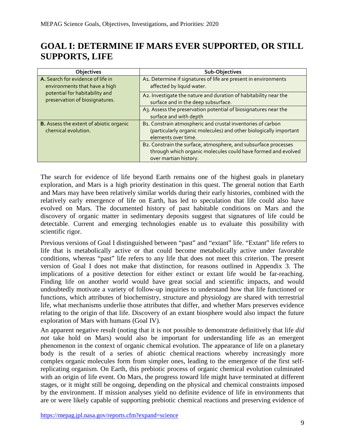## **GOAL I: DETERMINE IF MARS EVER SUPPORTED, OR STILL SUPPORTS, LIFE**

| <b>Objectives</b>                                                                                                                      | Sub-Objectives                                                                                                                                            |
|----------------------------------------------------------------------------------------------------------------------------------------|-----------------------------------------------------------------------------------------------------------------------------------------------------------|
| A. Search for evidence of life in<br>environments that have a high<br>potential for habitability and<br>preservation of biosignatures. | A1. Determine if signatures of life are present in environments<br>affected by liquid water.                                                              |
|                                                                                                                                        | A2. Investigate the nature and duration of habitability near the<br>surface and in the deep subsurface.                                                   |
|                                                                                                                                        | A3. Assess the preservation potential of biosignatures near the<br>surface and with depth                                                                 |
| <b>B.</b> Assess the extent of abiotic organic<br>chemical evolution.                                                                  | B1. Constrain atmospheric and crustal inventories of carbon<br>(particularly organic molecules) and other biologically important<br>elements over time.   |
|                                                                                                                                        | B2. Constrain the surface, atmosphere, and subsurface processes<br>through which organic molecules could have formed and evolved<br>over martian history. |

The search for evidence of life beyond Earth remains one of the highest goals in planetary exploration, and Mars is a high priority destination in this quest. The general notion that Earth and Mars may have been relatively similar worlds during their early histories, combined with the relatively early emergence of life on Earth, has led to speculation that life could also have evolved on Mars. The documented history of past habitable conditions on Mars and the discovery of organic matter in sedimentary deposits suggest that signatures of life could be detectable. Current and emerging technologies enable us to evaluate this possibility with scientific rigor.

Previous versions of Goal I distinguished between "past" and "extant" life. "Extant" life refers to life that is metabolically active or that could become metabolically active under favorable conditions, whereas "past" life refers to any life that does not meet this criterion. The present version of Goal I does not make that distinction, for reasons outlined in Appendix 3. The implications of a positive detection for either extinct or extant life would be far-reaching. Finding life on another world would have great social and scientific impacts, and would undoubtedly motivate a variety of follow-up inquiries to understand how that life functioned or functions, which attributes of biochemistry, structure and physiology are shared with terrestrial life, what mechanisms underlie those attributes that differ, and whether Mars preserves evidence relating to the origin of that life. Discovery of an extant biosphere would also impact the future exploration of Mars with humans (Goal IV).

An apparent negative result (noting that it is not possible to demonstrate definitively that life *did not* take hold on Mars) would also be important for understanding life as an emergent phenomenon in the context of organic chemical evolution. The appearance of life on a planetary body is the result of a series of abiotic chemical reactions whereby increasingly more complex organic molecules form from simpler ones, leading to the emergence of the first selfreplicating organism. On Earth, this prebiotic process of organic chemical evolution culminated with an origin of life event. On Mars, the progress toward life might have terminated at different stages, or it might still be ongoing, depending on the physical and chemical constraints imposed by the environment. If mission analyses yield no definite evidence of life in environments that are or were likely capable of supporting prebiotic chemical reactions and preserving evidence of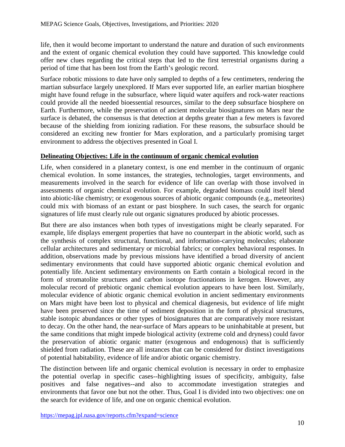life, then it would become important to understand the nature and duration of such environments and the extent of organic chemical evolution they could have supported. This knowledge could offer new clues regarding the critical steps that led to the first terrestrial organisms during a period of time that has been lost from the Earth's geologic record.

Surface robotic missions to date have only sampled to depths of a few centimeters, rendering the martian subsurface largely unexplored. If Mars ever supported life, an earlier martian biosphere might have found refuge in the subsurface, where liquid water aquifers and rock-water reactions could provide all the needed bioessential resources, similar to the deep subsurface biosphere on Earth. Furthermore, while the preservation of ancient molecular biosignatures on Mars near the surface is debated, the consensus is that detection at depths greater than a few meters is favored because of the shielding from ionizing radiation. For these reasons, the subsurface should be considered an exciting new frontier for Mars exploration, and a particularly promising target environment to address the objectives presented in Goal I.

#### **Delineating Objectives: Life in the continuum of organic chemical evolution**

Life, when considered in a planetary context, is one end member in the continuum of organic chemical evolution. In some instances, the strategies, technologies, target environments, and measurements involved in the search for evidence of life can overlap with those involved in assessments of organic chemical evolution. For example, degraded biomass could itself blend into abiotic-like chemistry; or exogenous sources of abiotic organic compounds (e.g., meteorites) could mix with biomass of an extant or past biosphere. In such cases, the search for organic signatures of life must clearly rule out organic signatures produced by abiotic processes.

But there are also instances when both types of investigations might be clearly separated. For example, life displays emergent properties that have no counterpart in the abiotic world, such as the synthesis of complex structural, functional, and information-carrying molecules; elaborate cellular architectures and sedimentary or microbial fabrics; or complex behavioral responses. In addition, observations made by previous missions have identified a broad diversity of ancient sedimentary environments that could have supported abiotic organic chemical evolution and potentially life. Ancient sedimentary environments on Earth contain a biological record in the form of stromatolite structures and carbon isotope fractionations in kerogen. However, any molecular record of prebiotic organic chemical evolution appears to have been lost. Similarly, molecular evidence of abiotic organic chemical evolution in ancient sedimentary environments on Mars might have been lost to physical and chemical diagenesis, but evidence of life might have been preserved since the time of sediment deposition in the form of physical structures, stable isotopic abundances or other types of biosignatures that are comparatively more resistant to decay. On the other hand, the near-surface of Mars appears to be uninhabitable at present, but the same conditions that might impede biological activity (extreme cold and dryness) could favor the preservation of abiotic organic matter (exogenous and endogenous) that is sufficiently shielded from radiation. These are all instances that can be considered for distinct investigations of potential habitability, evidence of life and/or abiotic organic chemistry.

The distinction between life and organic chemical evolution is necessary in order to emphasize the potential overlap in specific cases--highlighting issues of specificity, ambiguity, false positives and false negatives--and also to accommodate investigation strategies and environments that favor one but not the other. Thus, Goal I is divided into two objectives: one on the search for evidence of life, and one on organic chemical evolution.

<https://mepag.jpl.nasa.gov/reports.cfm?expand=science>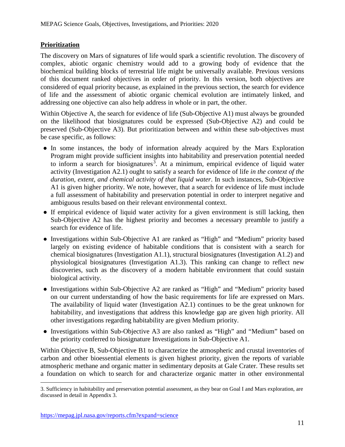#### **Prioritization**

The discovery on Mars of signatures of life would spark a scientific revolution. The discovery of complex, abiotic organic chemistry would add to a growing body of evidence that the biochemical building blocks of terrestrial life might be universally available. Previous versions of this document ranked objectives in order of priority. In this version, both objectives are considered of equal priority because, as explained in the previous section, the search for evidence of life and the assessment of abiotic organic chemical evolution are intimately linked, and addressing one objective can also help address in whole or in part, the other.

Within Objective A, the search for evidence of life (Sub-Objective A1) must always be grounded on the likelihood that biosignatures could be expressed (Sub-Objective A2) and could be preserved (Sub-Objective A3). But prioritization between and within these sub-objectives must be case specific, as follows:

- In some instances, the body of information already acquired by the Mars Exploration Program might provide sufficient insights into habitability and preservation potential needed to inform a search for biosignatures<sup>[3](#page-10-0)</sup>. At a minimum, empirical evidence of liquid water activity (Investigation A2.1) ought to satisfy a search for evidence of life *in the context of the duration, extent, and chemical activity of that liquid water*. In such instances, Sub-Objective A1 is given higher priority. We note, however, that a search for evidence of life must include a full assessment of habitability and preservation potential in order to interpret negative and ambiguous results based on their relevant environmental context.
- If empirical evidence of liquid water activity for a given environment is still lacking, then Sub-Objective A2 has the highest priority and becomes a necessary preamble to justify a search for evidence of life.
- Investigations within Sub-Objective A1 are ranked as "High" and "Medium" priority based largely on existing evidence of habitable conditions that is consistent with a search for chemical biosignatures (Investigation A1.1), structural biosignatures (Investigation A1.2) and physiological biosignatures (Investigation A1.3). This ranking can change to reflect new discoveries, such as the discovery of a modern habitable environment that could sustain biological activity.
- Investigations within Sub-Objective A2 are ranked as "High" and "Medium" priority based on our current understanding of how the basic requirements for life are expressed on Mars. The availability of liquid water (Investigation A2.1) continues to be the great unknown for habitability, and investigations that address this knowledge gap are given high priority. All other investigations regarding habitability are given Medium priority.
- Investigations within Sub-Objective A3 are also ranked as "High" and "Medium" based on the priority conferred to biosignature Investigations in Sub-Objective A1.

Within Objective B, Sub-Objective B1 to characterize the atmospheric and crustal inventories of carbon and other bioessential elements is given highest priority, given the reports of variable atmospheric methane and organic matter in sedimentary deposits at Gale Crater. These results set a foundation on which to search for and characterize organic matter in other environmental

 $\overline{a}$ 

<span id="page-10-0"></span><sup>3.</sup> Sufficiency in habitability and preservation potential assessment, as they bear on Goal I and Mars exploration, are discussed in detail in Appendix 3.

<https://mepag.jpl.nasa.gov/reports.cfm?expand=science>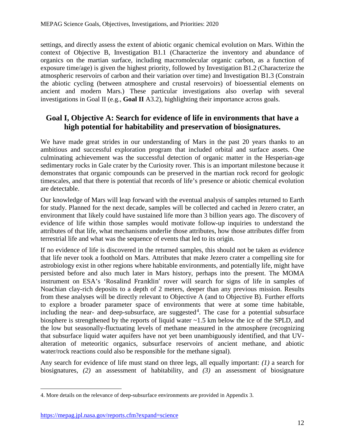settings, and directly assess the extent of abiotic organic chemical evolution on Mars. Within the context of Objective B, Investigation B1.1 (Characterize the inventory and abundance of organics on the martian surface, including macromolecular organic carbon, as a function of exposure time/age) is given the highest priority, followed by Investigation B1.2 (Characterize the atmospheric reservoirs of carbon and their variation over time) and Investigation B1.3 (Constrain the abiotic cycling (between atmosphere and crustal reservoirs) of bioessential elements on ancient and modern Mars.) These particular investigations also overlap with several investigations in Goal II (e.g., **Goal II** A3.2), highlighting their importance across goals.

### **Goal I, Objective A: Search for evidence of life in environments that have a high potential for habitability and preservation of biosignatures.**

We have made great strides in our understanding of Mars in the past 20 years thanks to an ambitious and successful exploration program that included orbital and surface assets. One culminating achievement was the successful detection of organic matter in the Hesperian-age sedimentary rocks in Gale crater by the Curiosity rover. This is an important milestone because it demonstrates that organic compounds can be preserved in the martian rock record for geologic timescales, and that there is potential that records of life's presence or abiotic chemical evolution are detectable.

Our knowledge of Mars will leap forward with the eventual analysis of samples returned to Earth for study. Planned for the next decade, samples will be collected and cached in Jezero crater, an environment that likely could have sustained life more than 3 billion years ago. The discovery of evidence of life within those samples would motivate follow-up inquiries to understand the attributes of that life, what mechanisms underlie those attributes, how those attributes differ from terrestrial life and what was the sequence of events that led to its origin.

If no evidence of life is discovered in the returned samples, this should not be taken as evidence that life never took a foothold on Mars. Attributes that make Jezero crater a compelling site for astrobiology exist in other regions where habitable environments, and potentially life, might have persisted before and also much later in Mars history, perhaps into the present. The MOMA instrument on ESA's 'Rosalind Franklin' rover will search for signs of life in samples of Noachian clay-rich deposits to a depth of 2 meters, deeper than any previous mission. Results from these analyses will be directly relevant to Objective A (and to Objective B). Further efforts to explore a broader parameter space of environments that were at some time habitable, including the near- and deep-subsurface, are suggested<sup>[4](#page-11-0)</sup>. The case for a potential subsurface biosphere is strengthened by the reports of liquid water ~1.5 km below the ice of the SPLD, and the low but seasonally-fluctuating levels of methane measured in the atmosphere (recognizing that subsurface liquid water aquifers have not yet been unambiguously identified, and that UValteration of meteoritic organics, subsurface reservoirs of ancient methane, and abiotic water/rock reactions could also be responsible for the methane signal).

Any search for evidence of life must stand on three legs, all equally important: *(1)* a search for biosignatures, *(2)* an assessment of habitability, and *(3)* an assessment of biosignature

<span id="page-11-0"></span> <sup>4.</sup> More details on the relevance of deep-subsurface environments are provided in Appendix 3.

<https://mepag.jpl.nasa.gov/reports.cfm?expand=science>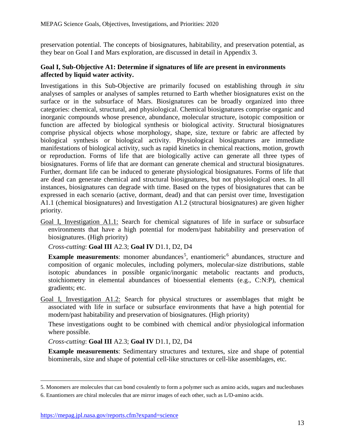preservation potential. The concepts of biosignatures, habitability, and preservation potential, as they bear on Goal I and Mars exploration, are discussed in detail in Appendix 3.

#### **Goal I, Sub-Objective A1: Determine if signatures of life are present in environments affected by liquid water activity.**

Investigations in this Sub-Objective are primarily focused on establishing through *in situ* analyses of samples or analyses of samples returned to Earth whether biosignatures exist on the surface or in the subsurface of Mars. Biosignatures can be broadly organized into three categories: chemical, structural, and physiological. Chemical biosignatures comprise organic and inorganic compounds whose presence, abundance, molecular structure, isotopic composition or function are affected by biological synthesis or biological activity. Structural biosignatures comprise physical objects whose morphology, shape, size, texture or fabric are affected by biological synthesis or biological activity. Physiological biosignatures are immediate manifestations of biological activity, such as rapid kinetics in chemical reactions, motion, growth or reproduction. Forms of life that are biologically active can generate all three types of biosignatures. Forms of life that are dormant can generate chemical and structural biosignatures. Further, dormant life can be induced to generate physiological biosignatures. Forms of life that are dead can generate chemical and structural biosignatures, but not physiological ones. In all instances, biosignatures can degrade with time. Based on the types of biosignatures that can be expressed in each scenario (active, dormant, dead) and that can persist over time, Investigation A1.1 (chemical biosignatures) and Investigation A1.2 (structural biosignatures) are given higher priority.

Goal I, Investigation A1.1: Search for chemical signatures of life in surface or subsurface environments that have a high potential for modern/past habitability and preservation of biosignatures. (High priority)

*Cross-cutting*: **Goal III** A2.3; **Goal IV** D1.1, D2, D4

**Example measurements:** monomer abundances<sup>[5](#page-12-0)</sup>, enantiomeric<sup>[6](#page-12-1)</sup> abundances, structure and composition of organic molecules, including polymers, molecular-size distributions, stable isotopic abundances in possible organic/inorganic metabolic reactants and products, stoichiometry in elemental abundances of bioessential elements (e.g., C:N:P), chemical gradients; etc.

Goal I, Investigation A1.2: Search for physical structures or assemblages that might be associated with life in surface or subsurface environments that have a high potential for modern/past habitability and preservation of biosignatures. (High priority)

These investigations ought to be combined with chemical and/or physiological information where possible.

*Cross-cutting*: **Goal III** A2.3; **Goal IV** D1.1, D2, D4

**Example measurements**: Sedimentary structures and textures, size and shape of potential biominerals, size and shape of potential cell-like structures or cell-like assemblages, etc.

 $\overline{a}$ 

<span id="page-12-0"></span><sup>5.</sup> Monomers are molecules that can bond covalently to form a polymer such as amino acids, sugars and nucleobases

<span id="page-12-1"></span><sup>6.</sup> Enantiomers are chiral molecules that are mirror images of each other, such as L/D-amino acids.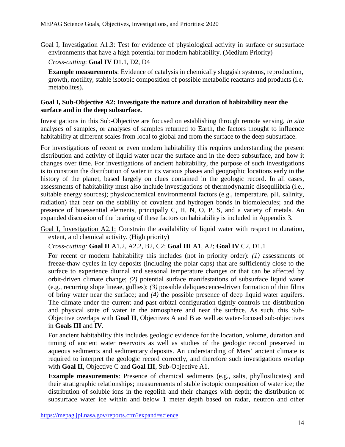Goal I, Investigation A1.3: Test for evidence of physiological activity in surface or subsurface environments that have a high potential for modern habitability. (Medium Priority)

*Cross-cutting*: **Goal IV** D1.1, D2, D4

**Example measurements**: Evidence of catalysis in chemically sluggish systems, reproduction, growth, motility, stable isotopic composition of possible metabolic reactants and products (i.e. metabolites).

#### **Goal I, Sub-Objective A2: Investigate the nature and duration of habitability near the surface and in the deep subsurface.**

Investigations in this Sub-Objective are focused on establishing through remote sensing, *in situ* analyses of samples, or analyses of samples returned to Earth, the factors thought to influence habitability at different scales from local to global and from the surface to the deep subsurface.

For investigations of recent or even modern habitability this requires understanding the present distribution and activity of liquid water near the surface and in the deep subsurface, and how it changes over time. For investigations of ancient habitability, the purpose of such investigations is to constrain the distribution of water in its various phases and geographic locations early in the history of the planet, based largely on clues contained in the geologic record. In all cases, assessments of habitability must also include investigations of thermodynamic disequilibria (i.e., suitable energy sources); physicochemical environmental factors (e.g., temperature, pH, salinity, radiation) that bear on the stability of covalent and hydrogen bonds in biomolecules; and the presence of bioessential elements, principally C, H, N, O, P, S, and a variety of metals. An expanded discussion of the bearing of these factors on habitability is included in Appendix 3.

Goal I, Investigation A2.1: Constrain the availability of liquid water with respect to duration, extent, and chemical activity. (High priority)

*Cross-cutting:* **Goal II** A1.2, A2.2, B2, C2; **Goal III** A1, A2; **Goal IV** C2, D1.1

For recent or modern habitability this includes (not in priority order): *(1)* assessments of freeze-thaw cycles in icy deposits (including the polar caps) that are sufficiently close to the surface to experience diurnal and seasonal temperature changes or that can be affected by orbit-driven climate change; *(2)* potential surface manifestations of subsurface liquid water (e.g., recurring slope lineae, gullies); *(3)* possible deliquescence-driven formation of thin films of briny water near the surface; and *(4)* the possible presence of deep liquid water aquifers. The climate under the current and past orbital configuration tightly controls the distribution and physical state of water in the atmosphere and near the surface. As such, this Sub-Objective overlaps with **Goal II**, Objectives A and B as well as water-focused sub-objectives in **Goals III** and **IV**.

For ancient habitability this includes geologic evidence for the location, volume, duration and timing of ancient water reservoirs as well as studies of the geologic record preserved in aqueous sediments and sedimentary deposits. An understanding of Mars' ancient climate is required to interpret the geologic record correctly, and therefore such investigations overlap with **Goal II**, Objective C and **Goal III**, Sub-Objective A1.

**Example measurements**: Presence of chemical sediments (e.g., salts, phyllosilicates) and their stratigraphic relationships; measurements of stable isotopic composition of water ice; the distribution of soluble ions in the regolith and their changes with depth; the distribution of subsurface water ice within and below 1 meter depth based on radar, neutron and other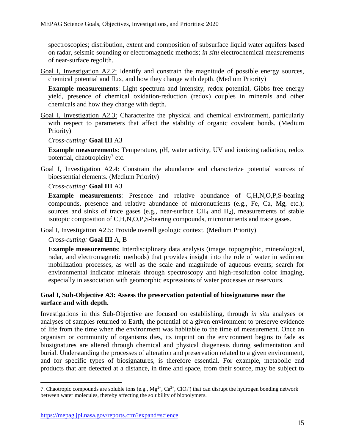spectroscopies; distribution, extent and composition of subsurface liquid water aquifers based on radar, seismic sounding or electromagnetic methods; *in situ* electrochemical measurements of near-surface regolith.

Goal I, Investigation A2.2: Identify and constrain the magnitude of possible energy sources, chemical potential and flux, and how they change with depth. (Medium Priority)

**Example measurements**: Light spectrum and intensity, redox potential, Gibbs free energy yield, presence of chemical oxidation-reduction (redox) couples in minerals and other chemicals and how they change with depth.

Goal I, Investigation A2.3: Characterize the physical and chemical environment, particularly with respect to parameters that affect the stability of organic covalent bonds. (Medium Priority)

#### *Cross-cutting:* **Goal III** A3

**Example measurements**: Temperature, pH, water activity, UV and ionizing radiation, redox potential, chaotropicity<sup>[7](#page-14-0)</sup> etc.

Goal I, Investigation A2.4: Constrain the abundance and characterize potential sources of bioessential elements. (Medium Priority)

*Cross-cutting:* **Goal III** A3

**Example measurements**: Presence and relative abundance of C,H,N,O,P,S-bearing compounds, presence and relative abundance of micronutrients (e.g., Fe, Ca, Mg, etc.); sources and sinks of trace gases (e.g., near-surface  $CH_4$  and  $H_2$ ), measurements of stable isotopic composition of C,H,N,O,P,S-bearing compounds, micronutrients and trace gases.

Goal I, Investigation A2.5: Provide overall geologic context. (Medium Priority)

*Cross-cutting:* **Goal III** A, B

**Example measurements**: Interdisciplinary data analysis (image, topographic, mineralogical, radar, and electromagnetic methods) that provides insight into the role of water in sediment mobilization processes, as well as the scale and magnitude of aqueous events; search for environmental indicator minerals through spectroscopy and high-resolution color imaging, especially in association with geomorphic expressions of water processes or reservoirs.

#### **Goal I, Sub-Objective A3: Assess the preservation potential of biosignatures near the surface and with depth.**

Investigations in this Sub-Objective are focused on establishing, through *in situ* analyses or analyses of samples returned to Earth, the potential of a given environment to preserve evidence of life from the time when the environment was habitable to the time of measurement. Once an organism or community of organisms dies, its imprint on the environment begins to fade as biosignatures are altered through chemical and physical diagenesis during sedimentation and burial. Understanding the processes of alteration and preservation related to a given environment, and for specific types of biosignatures, is therefore essential. For example, metabolic end products that are detected at a distance, in time and space, from their source, may be subject to

<span id="page-14-0"></span> $\overline{a}$ 7. Chaotropic compounds are soluble ions (e.g.,  $Mg^{2+}$ ,  $Ca^{2+}$ , ClO<sub>4</sub><sup>-</sup>) that can disrupt the hydrogen bonding network between water molecules, thereby affecting the solubility of biopolymers.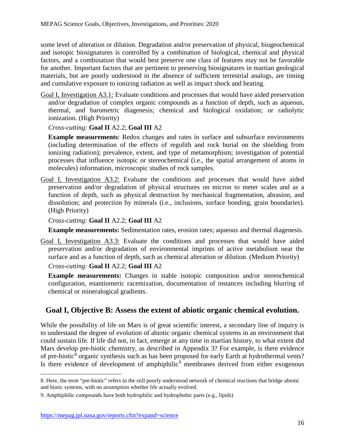some level of alteration or dilution. Degradation and/or preservation of physical, biogeochemical and isotopic biosignatures is controlled by a combination of biological, chemical and physical factors, and a combination that would best preserve one class of features may not be favorable for another. Important factors that are pertinent to preserving biosignatures in martian geological materials, but are poorly understood in the absence of sufficient terrestrial analogs, are timing and cumulative exposure to ionizing radiation as well as impact shock and heating.

Goal I, Investigation A3.1: Evaluate conditions and processes that would have aided preservation and/or degradation of complex organic compounds as a function of depth, such as aqueous, thermal, and barometric diagenesis; chemical and biological oxidation; or radiolytic ionization. (High Priority)

#### *Cross-cutting:* **Goal II** A2.2; **Goal III** A2

**Example measurements**: Redox changes and rates in surface and subsurface environments (including determination of the effects of regolith and rock burial on the shielding from ionizing radiation); prevalence, extent, and type of metamorphism; investigation of potential processes that influence isotopic or stereochemical (i.e., the spatial arrangement of atoms in molecules) information, microscopic studies of rock samples.

Goal I, Investigation A3.2: Evaluate the conditions and processes that would have aided preservation and/or degradation of physical structures on micron to meter scales and as a function of depth, such as physical destruction by mechanical fragmentation, abrasion, and dissolution; and protection by minerals (i.e., inclusions, surface bonding, grain boundaries). (High Priority)

#### *Cross-cutting:* **Goal II** A2.2; **Goal III** A2

**Example measurements:** Sedimentation rates, erosion rates; aqueous and thermal diagenesis.

Goal I, Investigation A3.3: Evaluate the conditions and processes that would have aided preservation and/or degradation of environmental imprints of active metabolism near the surface and as a function of depth, such as chemical alteration or dilution. (Medium Priority)

#### *Cross-cutting:* **Goal II** A2.2; **Goal III** A2

**Example measurements:** Changes in stable isotopic composition and/or stereochemical configuration, enantiomeric racemization, documentation of instances including blurring of chemical or mineralogical gradients.

## **Goal I, Objective B: Assess the extent of abiotic organic chemical evolution.**

While the possibility of life on Mars is of great scientific interest, a secondary line of inquiry is to understand the degree of evolution of abiotic organic chemical systems in an environment that could sustain life. If life did not, in fact, emerge at any time in martian history, to what extent did Mars develop pre-biotic chemistry, as described in Appendix 3? For example, is there evidence of pre-biotic<sup>[8](#page-15-0)</sup> organic synthesis such as has been proposed for early Earth at hydrothermal vents? Is there evidence of development of amphiphilic<sup>[9](#page-15-1)</sup> membranes derived from either exogenous

<span id="page-15-0"></span> <sup>8.</sup> Here, the term "pre-biotic" refers to the still poorly understood network of chemical reactions that bridge abiotic and biotic systems, with no assumption whether life actually evolved.

<span id="page-15-1"></span><sup>9.</sup> Amphiphilic compounds have both hydrophilic and hydrophobic parts (e.g., lipids)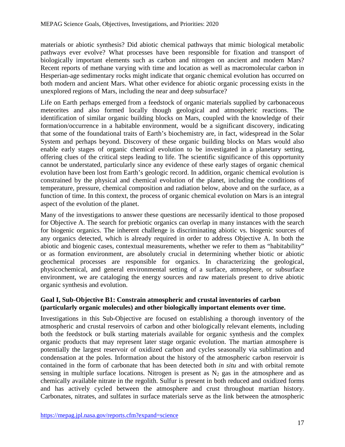materials or abiotic synthesis? Did abiotic chemical pathways that mimic biological metabolic pathways ever evolve? What processes have been responsible for fixation and transport of biologically important elements such as carbon and nitrogen on ancient and modern Mars? Recent reports of methane varying with time and location as well as macromolecular carbon in Hesperian-age sedimentary rocks might indicate that organic chemical evolution has occurred on both modern and ancient Mars. What other evidence for abiotic organic processing exists in the unexplored regions of Mars, including the near and deep subsurface?

Life on Earth perhaps emerged from a feedstock of organic materials supplied by carbonaceous meteorites and also formed locally though geological and atmospheric reactions. The identification of similar organic building blocks on Mars, coupled with the knowledge of their formation/occurrence in a habitable environment, would be a significant discovery, indicating that some of the foundational traits of Earth's biochemistry are, in fact, widespread in the Solar System and perhaps beyond. Discovery of these organic building blocks on Mars would also enable early stages of organic chemical evolution to be investigated in a planetary setting, offering clues of the critical steps leading to life. The scientific significance of this opportunity cannot be understated, particularly since any evidence of these early stages of organic chemical evolution have been lost from Earth's geologic record. In addition, organic chemical evolution is constrained by the physical and chemical evolution of the planet, including the conditions of temperature, pressure, chemical composition and radiation below, above and on the surface, as a function of time. In this context, the process of organic chemical evolution on Mars is an integral aspect of the evolution of the planet.

Many of the investigations to answer these questions are necessarily identical to those proposed for Objective A. The search for prebiotic organics can overlap in many instances with the search for biogenic organics. The inherent challenge is discriminating abiotic vs. biogenic sources of any organics detected, which is already required in order to address Objective A. In both the abiotic and biogenic cases, contextual measurements, whether we refer to them as "habitability" or as formation environment, are absolutely crucial in determining whether biotic or abiotic geochemical processes are responsible for organics. In characterizing the geological, physicochemical, and general environmental setting of a surface, atmosphere, or subsurface environment, we are cataloging the energy sources and raw materials present to drive abiotic organic synthesis and evolution.

#### **Goal I, Sub-Objective B1: Constrain atmospheric and crustal inventories of carbon (particularly organic molecules) and other biologically important elements over time.**

Investigations in this Sub-Objective are focused on establishing a thorough inventory of the atmospheric and crustal reservoirs of carbon and other biologically relevant elements, including both the feedstock or bulk starting materials available for organic synthesis and the complex organic products that may represent later stage organic evolution. The martian atmosphere is potentially the largest reservoir of oxidized carbon and cycles seasonally via sublimation and condensation at the poles. Information about the history of the atmospheric carbon reservoir is contained in the form of carbonate that has been detected both *in situ* and with orbital remote sensing in multiple surface locations. Nitrogen is present as  $N_2$  gas in the atmosphere and as chemically available nitrate in the regolith. Sulfur is present in both reduced and oxidized forms and has actively cycled between the atmosphere and crust throughout martian history. Carbonates, nitrates, and sulfates in surface materials serve as the link between the atmospheric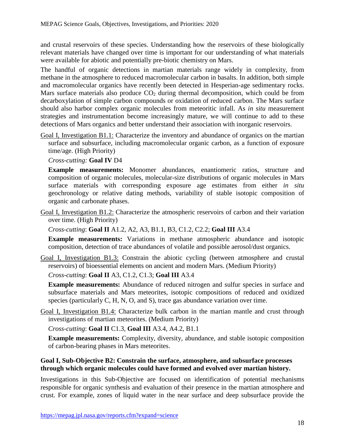and crustal reservoirs of these species. Understanding how the reservoirs of these biologically relevant materials have changed over time is important for our understanding of what materials were available for abiotic and potentially pre-biotic chemistry on Mars.

The handful of organic detections in martian materials range widely in complexity, from methane in the atmosphere to reduced macromolecular carbon in basalts. In addition, both simple and macromolecular organics have recently been detected in Hesperian-age sedimentary rocks. Mars surface materials also produce  $CO<sub>2</sub>$  during thermal decomposition, which could be from decarboxylation of simple carbon compounds or oxidation of reduced carbon. The Mars surface should also harbor complex organic molecules from meteoritic infall. As *in situ* measurement strategies and instrumentation become increasingly mature, we will continue to add to these detections of Mars organics and better understand their association with inorganic reservoirs.

Goal I, Investigation B1.1: Characterize the inventory and abundance of organics on the martian surface and subsurface, including macromolecular organic carbon, as a function of exposure time/age. (High Priority)

*Cross-cutting:* **Goal IV** D4

**Example measurements:** Monomer abundances, enantiomeric ratios, structure and composition of organic molecules, molecular-size distributions of organic molecules in Mars surface materials with corresponding exposure age estimates from either *in situ* geochronology or relative dating methods, variability of stable isotopic composition of organic and carbonate phases.

Goal I, Investigation B1.2: Characterize the atmospheric reservoirs of carbon and their variation over time. (High Priority)

*Cross-cutting*: **Goal II** A1.2, A2, A3, B1.1, B3, C1.2, C2.2; **Goal III** A3.4

**Example measurements:** Variations in methane atmospheric abundance and isotopic composition, detection of trace abundances of volatile and possible aerosol/dust organics.

Goal I, Investigation B1.3: Constrain the abiotic cycling (between atmosphere and crustal reservoirs) of bioessential elements on ancient and modern Mars. (Medium Priority)

*Cross-cutting*: **Goal II** A3, C1.2, C1.3; **Goal III** A3.4

**Example measurements:** Abundance of reduced nitrogen and sulfur species in surface and subsurface materials and Mars meteorites, isotopic compositions of reduced and oxidized species (particularly C, H, N, O, and S), trace gas abundance variation over time.

Goal I, Investigation B1.4: Characterize bulk carbon in the martian mantle and crust through investigations of martian meteorites. (Medium Priority)

*Cross-cutting*: **Goal II** C1.3, **Goal III** A3.4, A4.2, B1.1

**Example measurements:** Complexity, diversity, abundance, and stable isotopic composition of carbon-bearing phases in Mars meteorites.

#### **Goal I, Sub-Objective B2: Constrain the surface, atmosphere, and subsurface processes through which organic molecules could have formed and evolved over martian history.**

Investigations in this Sub-Objective are focused on identification of potential mechanisms responsible for organic synthesis and evaluation of their presence in the martian atmosphere and crust. For example, zones of liquid water in the near surface and deep subsurface provide the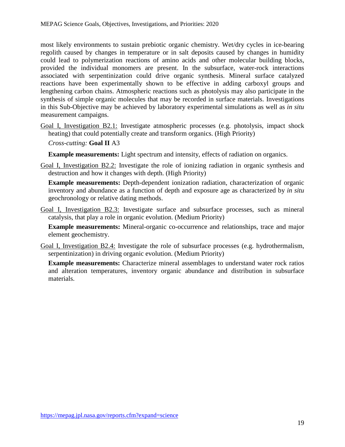most likely environments to sustain prebiotic organic chemistry. Wet/dry cycles in ice-bearing regolith caused by changes in temperature or in salt deposits caused by changes in humidity could lead to polymerization reactions of amino acids and other molecular building blocks, provided the individual monomers are present. In the subsurface, water-rock interactions associated with serpentinization could drive organic synthesis. Mineral surface catalyzed reactions have been experimentally shown to be effective in adding carboxyl groups and lengthening carbon chains. Atmospheric reactions such as photolysis may also participate in the synthesis of simple organic molecules that may be recorded in surface materials. Investigations in this Sub-Objective may be achieved by laboratory experimental simulations as well as *in situ* measurement campaigns.

Goal I, Investigation B2.1: Investigate atmospheric processes (e.g. photolysis, impact shock heating) that could potentially create and transform organics. (High Priority)

#### *Cross-cutting:* **Goal II** A3

**Example measurements:** Light spectrum and intensity, effects of radiation on organics.

Goal I, Investigation B2.2: Investigate the role of ionizing radiation in organic synthesis and destruction and how it changes with depth. (High Priority)

**Example measurements:** Depth-dependent ionization radiation, characterization of organic inventory and abundance as a function of depth and exposure age as characterized by *in situ* geochronology or relative dating methods.

Goal I, Investigation B2.3: Investigate surface and subsurface processes, such as mineral catalysis, that play a role in organic evolution. (Medium Priority)

**Example measurements:** Mineral-organic co-occurrence and relationships, trace and major element geochemistry.

Goal I, Investigation B2.4: Investigate the role of subsurface processes (e.g. hydrothermalism, serpentinization) in driving organic evolution. (Medium Priority)

**Example measurements:** Characterize mineral assemblages to understand water rock ratios and alteration temperatures, inventory organic abundance and distribution in subsurface materials.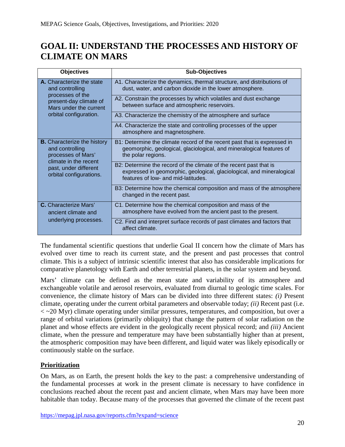## **GOAL II: UNDERSTAND THE PROCESSES AND HISTORY OF CLIMATE ON MARS**

| <b>Objectives</b>                                                                                                                                        | <b>Sub-Objectives</b>                                                                                                                                                              |
|----------------------------------------------------------------------------------------------------------------------------------------------------------|------------------------------------------------------------------------------------------------------------------------------------------------------------------------------------|
| A. Characterize the state<br>and controlling<br>processes of the<br>present-day climate of<br>Mars under the current<br>orbital configuration.           | A1. Characterize the dynamics, thermal structure, and distributions of<br>dust, water, and carbon dioxide in the lower atmosphere.                                                 |
|                                                                                                                                                          | A2. Constrain the processes by which volatiles and dust exchange<br>between surface and atmospheric reservoirs.                                                                    |
|                                                                                                                                                          | A3. Characterize the chemistry of the atmosphere and surface                                                                                                                       |
|                                                                                                                                                          | A4. Characterize the state and controlling processes of the upper<br>atmosphere and magnetosphere.                                                                                 |
| <b>B.</b> Characterize the history<br>and controlling<br>processes of Mars'<br>climate in the recent<br>past, under different<br>orbital configurations. | B1: Determine the climate record of the recent past that is expressed in<br>geomorphic, geological, glaciological, and mineralogical features of<br>the polar regions.             |
|                                                                                                                                                          | B2: Determine the record of the climate of the recent past that is<br>expressed in geomorphic, geological, glaciological, and mineralogical<br>features of low- and mid-latitudes. |
|                                                                                                                                                          | B3: Determine how the chemical composition and mass of the atmosphere<br>changed in the recent past.                                                                               |
| <b>C.</b> Characterize Mars'<br>ancient climate and<br>underlying processes.                                                                             | C1. Determine how the chemical composition and mass of the<br>atmosphere have evolved from the ancient past to the present.                                                        |
|                                                                                                                                                          | C2. Find and interpret surface records of past climates and factors that<br>affect climate.                                                                                        |

The fundamental scientific questions that underlie Goal II concern how the climate of Mars has evolved over time to reach its current state, and the present and past processes that control climate. This is a subject of intrinsic scientific interest that also has considerable implications for comparative planetology with Earth and other terrestrial planets, in the solar system and beyond.

Mars' climate can be defined as the mean state and variability of its atmosphere and exchangeable volatile and aerosol reservoirs, evaluated from diurnal to geologic time scales. For convenience, the climate history of Mars can be divided into three different states: *(i)* Present climate, operating under the current orbital parameters and observable today; *(ii)* Recent past (i.e.  $\langle \sim 20 \text{ Myr} \rangle$  climate operating under similar pressures, temperatures, and composition, but over a range of orbital variations (primarily obliquity) that change the pattern of solar radiation on the planet and whose effects are evident in the geologically recent physical record; and *(iii)* Ancient climate, when the pressure and temperature may have been substantially higher than at present, the atmospheric composition may have been different, and liquid water was likely episodically or continuously stable on the surface.

#### **Prioritization**

On Mars, as on Earth, the present holds the key to the past: a comprehensive understanding of the fundamental processes at work in the present climate is necessary to have confidence in conclusions reached about the recent past and ancient climate, when Mars may have been more habitable than today. Because many of the processes that governed the climate of the recent past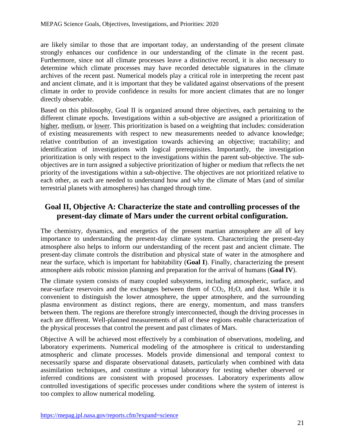are likely similar to those that are important today, an understanding of the present climate strongly enhances our confidence in our understanding of the climate in the recent past. Furthermore, since not all climate processes leave a distinctive record, it is also necessary to determine which climate processes may have recorded detectable signatures in the climate archives of the recent past. Numerical models play a critical role in interpreting the recent past and ancient climate, and it is important that they be validated against observations of the present climate in order to provide confidence in results for more ancient climates that are no longer directly observable.

Based on this philosophy, Goal II is organized around three objectives, each pertaining to the different climate epochs. Investigations within a sub-objective are assigned a prioritization of higher, medium, or lower. This prioritization is based on a weighting that includes: consideration of existing measurements with respect to new measurements needed to advance knowledge; relative contribution of an investigation towards achieving an objective; tractability; and identification of investigations with logical prerequisites. Importantly, the investigation prioritization is only with respect to the investigations within the parent sub-objective. The subobjectives are in turn assigned a subjective prioritization of higher or medium that reflects the net priority of the investigations within a sub-objective. The objectives are not prioritized relative to each other, as each are needed to understand how and why the climate of Mars (and of similar terrestrial planets with atmospheres) has changed through time.

### **Goal II, Objective A: Characterize the state and controlling processes of the present-day climate of Mars under the current orbital configuration.**

The chemistry, dynamics, and energetics of the present martian atmosphere are all of key importance to understanding the present-day climate system. Characterizing the present-day atmosphere also helps to inform our understanding of the recent past and ancient climate. The present-day climate controls the distribution and physical state of water in the atmosphere and near the surface, which is important for habitability (**Goal I**). Finally, characterizing the present atmosphere aids robotic mission planning and preparation for the arrival of humans (**Goal IV**).

The climate system consists of many coupled subsystems, including atmospheric, surface, and near-surface reservoirs and the exchanges between them of  $CO<sub>2</sub>$ ,  $H<sub>2</sub>O$ , and dust. While it is convenient to distinguish the lower atmosphere, the upper atmosphere, and the surrounding plasma environment as distinct regions, there are energy, momentum, and mass transfers between them. The regions are therefore strongly interconnected, though the driving processes in each are different. Well-planned measurements of all of these regions enable characterization of the physical processes that control the present and past climates of Mars.

Objective A will be achieved most effectively by a combination of observations, modeling, and laboratory experiments. Numerical modeling of the atmosphere is critical to understanding atmospheric and climate processes. Models provide dimensional and temporal context to necessarily sparse and disparate observational datasets, particularly when combined with data assimilation techniques, and constitute a virtual laboratory for testing whether observed or inferred conditions are consistent with proposed processes. Laboratory experiments allow controlled investigations of specific processes under conditions where the system of interest is too complex to allow numerical modeling.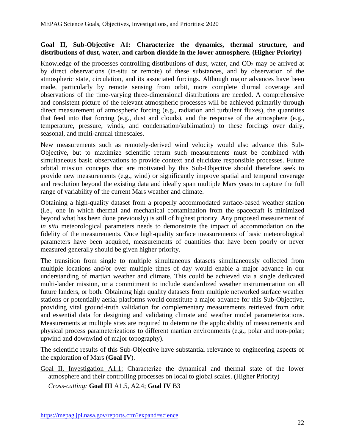#### **Goal II, Sub-Objective A1: Characterize the dynamics, thermal structure, and distributions of dust, water, and carbon dioxide in the lower atmosphere. (Higher Priority)**

Knowledge of the processes controlling distributions of dust, water, and  $CO<sub>2</sub>$  may be arrived at by direct observations (in-situ or remote) of these substances, and by observation of the atmospheric state, circulation, and its associated forcings. Although major advances have been made, particularly by remote sensing from orbit, more complete diurnal coverage and observations of the time-varying three-dimensional distributions are needed. A comprehensive and consistent picture of the relevant atmospheric processes will be achieved primarily through direct measurement of atmospheric forcing (e.g., radiation and turbulent fluxes), the quantities that feed into that forcing (e.g., dust and clouds), and the response of the atmosphere (e.g., temperature, pressure, winds, and condensation/sublimation) to these forcings over daily, seasonal, and multi-annual timescales.

New measurements such as remotely-derived wind velocity would also advance this Sub-Objective, but to maximize scientific return such measurements must be combined with simultaneous basic observations to provide context and elucidate responsible processes. Future orbital mission concepts that are motivated by this Sub-Objective should therefore seek to provide new measurements (e.g., wind) or significantly improve spatial and temporal coverage and resolution beyond the existing data and ideally span multiple Mars years to capture the full range of variability of the current Mars weather and climate.

Obtaining a high-quality dataset from a properly accommodated surface-based weather station (i.e., one in which thermal and mechanical contamination from the spacecraft is minimized beyond what has been done previously) is still of highest priority. Any proposed measurement of *in situ* meteorological parameters needs to demonstrate the impact of accommodation on the fidelity of the measurements. Once high-quality surface measurements of basic meteorological parameters have been acquired, measurements of quantities that have been poorly or never measured generally should be given higher priority.

The transition from single to multiple simultaneous datasets simultaneously collected from multiple locations and/or over multiple times of day would enable a major advance in our understanding of martian weather and climate. This could be achieved via a single dedicated multi-lander mission, or a commitment to include standardized weather instrumentation on all future landers, or both. Obtaining high quality datasets from multiple networked surface weather stations or potentially aerial platforms would constitute a major advance for this Sub-Objective, providing vital ground-truth validation for complementary measurements retrieved from orbit and essential data for designing and validating climate and weather model parameterizations. Measurements at multiple sites are required to determine the applicability of measurements and physical process parameterizations to different martian environments (e.g., polar and non-polar; upwind and downwind of major topography).

The scientific results of this Sub-Objective have substantial relevance to engineering aspects of the exploration of Mars (**Goal IV**).

Goal II, Investigation A1.1: Characterize the dynamical and thermal state of the lower atmosphere and their controlling processes on local to global scales. (Higher Priority)

*Cross-cutting:* **Goal III** A1.5, A2.4; **Goal IV** B3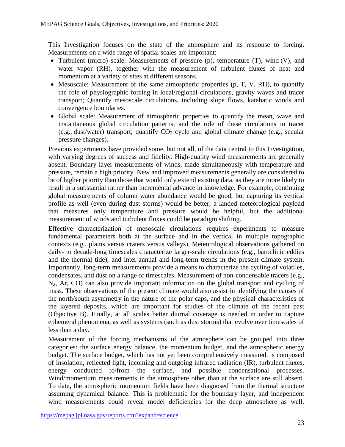This Investigation focuses on the state of the atmosphere and its response to forcing. Measurements on a wide range of spatial scales are important:

- Turbulent (micro) scale: Measurements of pressure (p), temperature (T), wind (V), and water vapor (RH), together with the measurement of turbulent fluxes of heat and momentum at a variety of sites at different seasons.
- Mesoscale: Measurement of the same atmospheric properties (p, T, V, RH), to quantify the role of physiographic forcing in local/regional circulations, gravity waves and tracer transport; Quantify mesoscale circulations, including slope flows, katabatic winds and convergence boundaries.
- Global scale: Measurement of atmospheric properties to quantify the mean, wave and instantaneous global circulation patterns, and the role of these circulations in tracer (e.g., dust/water) transport; quantify  $CO<sub>2</sub>$  cycle and global climate change (e.g., secular pressure changes).

Previous experiments have provided some, but not all, of the data central to this Investigation, with varying degrees of success and fidelity. High-quality wind measurements are generally absent. Boundary layer measurements of winds, made simultaneously with temperature and pressure, remain a high priority. New and improved measurements generally are considered to be of higher priority than those that would only extend existing data, as they are more likely to result in a substantial rather than incremental advance in knowledge. For example, continuing global measurements of column water abundance would be good, but capturing its vertical profile as well (even during dust storms) would be better; a landed meteorological payload that measures only temperature and pressure would be helpful, but the additional measurement of winds and turbulent fluxes could be paradigm shifting.

Effective characterization of mesoscale circulations requires experiments to measure fundamental parameters both at the surface and in the vertical in multiple topographic contexts (e.g., plains versus craters versus valleys). Meteorological observations gathered on daily- to decade-long timescales characterize larger-scale circulations (e.g., baroclinic eddies and the thermal tide), and inter-annual and long-term trends in the present climate system. Importantly, long-term measurements provide a means to characterize the cycling of volatiles, condensates, and dust on a range of timescales. Measurement of non-condensable tracers (e.g., N2, Ar, CO) can also provide important information on the global transport and cycling of mass. These observations of the present climate would also assist in identifying the causes of the north/south asymmetry in the nature of the polar caps, and the physical characteristics of the layered deposits, which are important for studies of the climate of the recent past (Objective B). Finally, at all scales better diurnal coverage is needed in order to capture ephemeral phenomena, as well as systems (such as dust storms) that evolve over timescales of less than a day.

Measurement of the forcing mechanisms of the atmosphere can be grouped into three categories: the surface energy balance, the momentum budget, and the atmospheric energy budget. The surface budget, which has not yet been comprehensively measured, is composed of insolation, reflected light, incoming and outgoing infrared radiation (IR), turbulent fluxes, energy conducted to/from the surface, and possible condensational processes. Wind/momentum measurements in the atmosphere other than at the surface are still absent. To date**,** the atmospheric momentum fields have been diagnosed from the thermal structure assuming dynamical balance. This is problematic for the boundary layer, and independent wind measurements could reveal model deficiencies for the deep atmosphere as well.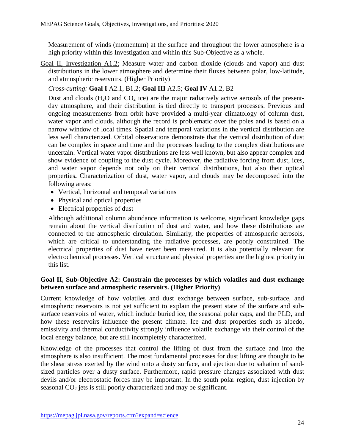Measurement of winds (momentum) at the surface and throughout the lower atmosphere is a high priority within this Investigation and within this Sub-Objective as a whole.

Goal II, Investigation A1.2: Measure water and carbon dioxide (clouds and vapor) and dust distributions in the lower atmosphere and determine their fluxes between polar, low-latitude, and atmospheric reservoirs. (Higher Priority)

*Cross-cutting:* **Goal I** A2.1, B1.2; **Goal III** A2.5; **Goal IV** A1.2, B2

Dust and clouds ( $H_2O$  and  $CO_2$  ice) are the major radiatively active aerosols of the presentday atmosphere, and their distribution is tied directly to transport processes. Previous and ongoing measurements from orbit have provided a multi-year climatology of column dust, water vapor and clouds, although the record is problematic over the poles and is based on a narrow window of local times. Spatial and temporal variations in the vertical distribution are less well characterized. Orbital observations demonstrate that the vertical distribution of dust can be complex in space and time and the processes leading to the complex distributions are uncertain. Vertical water vapor distributions are less well known, but also appear complex and show evidence of coupling to the dust cycle. Moreover, the radiative forcing from dust, ices, and water vapor depends not only on their vertical distributions, but also their optical properties**.** Characterization of dust, water vapor, and clouds may be decomposed into the following areas:

- Vertical, horizontal and temporal variations
- Physical and optical properties
- Electrical properties of dust

Although additional column abundance information is welcome, significant knowledge gaps remain about the vertical distribution of dust and water, and how these distributions are connected to the atmospheric circulation. Similarly, the properties of atmospheric aerosols, which are critical to understanding the radiative processes, are poorly constrained. The electrical properties of dust have never been measured. It is also potentially relevant for electrochemical processes. Vertical structure and physical properties are the highest priority in this list.

#### **Goal II, Sub-Objective A2: Constrain the processes by which volatiles and dust exchange between surface and atmospheric reservoirs. (Higher Priority)**

Current knowledge of how volatiles and dust exchange between surface, sub-surface, and atmospheric reservoirs is not yet sufficient to explain the present state of the surface and subsurface reservoirs of water, which include buried ice, the seasonal polar caps, and the PLD, and how these reservoirs influence the present climate. Ice and dust properties such as albedo, emissivity and thermal conductivity strongly influence volatile exchange via their control of the local energy balance, but are still incompletely characterized.

Knowledge of the processes that control the lifting of dust from the surface and into the atmosphere is also insufficient. The most fundamental processes for dust lifting are thought to be the shear stress exerted by the wind onto a dusty surface, and ejection due to saltation of sandsized particles over a dusty surface. Furthermore, rapid pressure changes associated with dust devils and/or electrostatic forces may be important. In the south polar region, dust injection by seasonal CO2 jets is still poorly characterized and may be significant.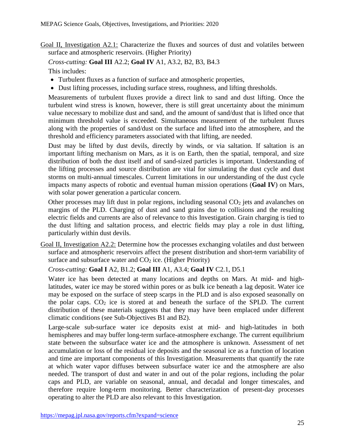Goal II, Investigation A2.1: Characterize the fluxes and sources of dust and volatiles between surface and atmospheric reservoirs. (Higher Priority)

#### *Cross-cutting:* **Goal III** A2.2; **Goal IV** A1, A3.2, B2, B3, B4.3

This includes:

- Turbulent fluxes as a function of surface and atmospheric properties,
- Dust lifting processes, including surface stress, roughness, and lifting thresholds.

Measurements of turbulent fluxes provide a direct link to sand and dust lifting. Once the turbulent wind stress is known, however, there is still great uncertainty about the minimum value necessary to mobilize dust and sand, and the amount of sand/dust that is lifted once that minimum threshold value is exceeded. Simultaneous measurement of the turbulent fluxes along with the properties of sand/dust on the surface and lifted into the atmosphere, and the threshold and efficiency parameters associated with that lifting, are needed.

Dust may be lifted by dust devils, directly by winds, or via saltation. If saltation is an important lifting mechanism on Mars, as it is on Earth, then the spatial, temporal, and size distribution of both the dust itself and of sand-sized particles is important. Understanding of the lifting processes and source distribution are vital for simulating the dust cycle and dust storms on multi-annual timescales. Current limitations in our understanding of the dust cycle impacts many aspects of robotic and eventual human mission operations (**Goal IV**) on Mars, with solar power generation a particular concern.

Other processes may lift dust in polar regions, including seasonal  $CO<sub>2</sub>$  jets and avalanches on margins of the PLD. Charging of dust and sand grains due to collisions and the resulting electric fields and currents are also of relevance to this Investigation. Grain charging is tied to the dust lifting and saltation process, and electric fields may play a role in dust lifting, particularly within dust devils.

Goal II, Investigation A2.2: Determine how the processes exchanging volatiles and dust between surface and atmospheric reservoirs affect the present distribution and short-term variability of surface and subsurface water and  $CO<sub>2</sub>$  ice. (Higher Priority)

#### *Cross-cutting:* **Goal I** A2, B1.2; **Goal III** A1, A3.4; **Goal IV** C2.1, D5.1

Water ice has been detected at many locations and depths on Mars. At mid- and highlatitudes, water ice may be stored within pores or as bulk ice beneath a lag deposit. Water ice may be exposed on the surface of steep scarps in the PLD and is also exposed seasonally on the polar caps.  $CO<sub>2</sub>$  ice is stored at and beneath the surface of the SPLD. The current distribution of these materials suggests that they may have been emplaced under different climatic conditions (see Sub-Objectives B1 and B2).

Large-scale sub-surface water ice deposits exist at mid- and high-latitudes in both hemispheres and may buffer long-term surface-atmosphere exchange. The current equilibrium state between the subsurface water ice and the atmosphere is unknown. Assessment of net accumulation or loss of the residual ice deposits and the seasonal ice as a function of location and time are important components of this Investigation. Measurements that quantify the rate at which water vapor diffuses between subsurface water ice and the atmosphere are also needed. The transport of dust and water in and out of the polar regions, including the polar caps and PLD, are variable on seasonal, annual, and decadal and longer timescales, and therefore require long-term monitoring. Better characterization of present-day processes operating to alter the PLD are also relevant to this Investigation.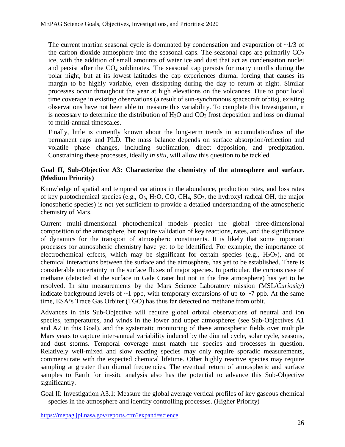The current martian seasonal cycle is dominated by condensation and evaporation of  $\sim$ 1/3 of the carbon dioxide atmosphere into the seasonal caps. The seasonal caps are primarily  $CO<sub>2</sub>$ ice, with the addition of small amounts of water ice and dust that act as condensation nuclei and persist after the  $CO<sub>2</sub>$  sublimates. The seasonal cap persists for many months during the polar night, but at its lowest latitudes the cap experiences diurnal forcing that causes its margin to be highly variable, even dissipating during the day to return at night. Similar processes occur throughout the year at high elevations on the volcanoes. Due to poor local time coverage in existing observations (a result of sun-synchronous spacecraft orbits), existing observations have not been able to measure this variability. To complete this Investigation, it is necessary to determine the distribution of  $H_2O$  and  $CO_2$  frost deposition and loss on diurnal to multi-annual timescales.

Finally, little is currently known about the long-term trends in accumulation/loss of the permanent caps and PLD. The mass balance depends on surface absorption/reflection and volatile phase changes, including sublimation, direct deposition, and precipitation. Constraining these processes, ideally *in situ*, will allow this question to be tackled.

#### **Goal II, Sub-Objective A3: Characterize the chemistry of the atmosphere and surface. (Medium Priority)**

Knowledge of spatial and temporal variations in the abundance, production rates, and loss rates of key photochemical species (e.g.,  $O_3$ ,  $H_2O$ ,  $CO$ ,  $CH_4$ ,  $SO_2$ , the hydroxyl radical OH, the major ionospheric species) is not yet sufficient to provide a detailed understanding of the atmospheric chemistry of Mars.

Current multi-dimensional photochemical models predict the global three-dimensional composition of the atmosphere, but require validation of key reactions, rates, and the significance of dynamics for the transport of atmospheric constituents. It is likely that some important processes for atmospheric chemistry have yet to be identified. For example, the importance of electrochemical effects, which may be significant for certain species (e.g.,  $H_2O_2$ ), and of chemical interactions between the surface and the atmosphere, has yet to be established. There is considerable uncertainty in the surface fluxes of major species. In particular, the curious case of methane (detected at the surface in Gale Crater but not in the free atmosphere) has yet to be resolved. In situ measurements by the Mars Science Laboratory mission (MSL/*Curiosity*) indicate background levels of  $\sim$ 1 ppb, with temporary excursions of up to  $\sim$ 7 ppb. At the same time, ESA's Trace Gas Orbiter (TGO) has thus far detected no methane from orbit.

Advances in this Sub-Objective will require global orbital observations of neutral and ion species, temperatures, and winds in the lower and upper atmospheres (see Sub-Objectives A1 and A2 in this Goal), and the systematic monitoring of these atmospheric fields over multiple Mars years to capture inter-annual variability induced by the diurnal cycle, solar cycle, seasons, and dust storms. Temporal coverage must match the species and processes in question. Relatively well-mixed and slow reacting species may only require sporadic measurements, commensurate with the expected chemical lifetime. Other highly reactive species may require sampling at greater than diurnal frequencies. The eventual return of atmospheric and surface samples to Earth for in-situ analysis also has the potential to advance this Sub-Objective significantly.

Goal II: Investigation A3.1: Measure the global average vertical profiles of key gaseous chemical species in the atmosphere and identify controlling processes. (Higher Priority)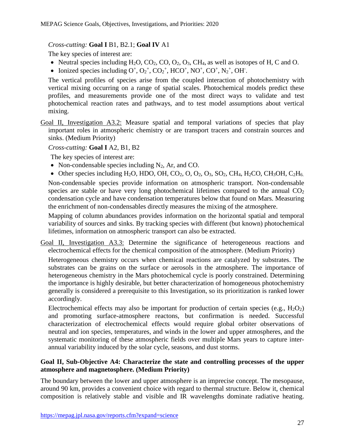#### *Cross-cutting:* **Goal I** B1, B2.1; **Goal IV** A1

The key species of interest are:

- Neutral species including  $H_2O$ ,  $CO_2$ ,  $CO$ ,  $O_2$ ,  $O_3$ ,  $CH_4$ , as well as isotopes of H, C and O.
- Ionized species including  $O^+$ ,  $O_2^+$ ,  $CO_2^+$ ,  $HCO^+$ ,  $NO^+$ ,  $CO^+$ ,  $N_2^+$ ,  $OH^-$ .

The vertical profiles of species arise from the coupled interaction of photochemistry with vertical mixing occurring on a range of spatial scales. Photochemical models predict these profiles, and measurements provide one of the most direct ways to validate and test photochemical reaction rates and pathways, and to test model assumptions about vertical mixing.

Goal II, Investigation A3.2: Measure spatial and temporal variations of species that play important roles in atmospheric chemistry or are transport tracers and constrain sources and sinks. (Medium Priority)

#### *Cross-cutting:* **Goal I** A2, B1, B2

The key species of interest are:

- Non-condensable species including  $N_2$ , Ar, and CO.
- Other species including H<sub>2</sub>O, HDO, OH, CO<sub>2</sub>, O, O<sub>2</sub>, O<sub>3</sub>, SO<sub>2</sub>, CH<sub>4</sub>, H<sub>2</sub>CO, CH<sub>3</sub>OH, C<sub>2</sub>H<sub>6</sub>.

Non-condensable species provide information on atmospheric transport. Non-condensable species are stable or have very long photochemical lifetimes compared to the annual  $CO<sub>2</sub>$ condensation cycle and have condensation temperatures below that found on Mars. Measuring the enrichment of non-condensables directly measures the mixing of the atmosphere.

Mapping of column abundances provides information on the horizontal spatial and temporal variability of sources and sinks. By tracking species with different (but known) photochemical lifetimes, information on atmospheric transport can also be extracted.

Goal II, Investigation A3.3: Determine the significance of heterogeneous reactions and electrochemical effects for the chemical composition of the atmosphere. (Medium Priority)

Heterogeneous chemistry occurs when chemical reactions are catalyzed by substrates. The substrates can be grains on the surface or aerosols in the atmosphere. The importance of heterogeneous chemistry in the Mars photochemical cycle is poorly constrained. Determining the importance is highly desirable, but better characterization of homogeneous photochemistry generally is considered a prerequisite to this Investigation, so its prioritization is ranked lower accordingly.

Electrochemical effects may also be important for production of certain species (e.g.,  $H_2O_2$ ) and promoting surface-atmosphere reactons, but confirmation is needed. Successful characterization of electrochemical effects would require global orbiter observations of neutral and ion species, temperatures, and winds in the lower and upper atmospheres, and the systematic monitoring of these atmospheric fields over multiple Mars years to capture interannual variability induced by the solar cycle, seasons, and dust storms.

#### **Goal II, Sub-Objective A4: Characterize the state and controlling processes of the upper atmosphere and magnetosphere. (Medium Priority)**

The boundary between the lower and upper atmosphere is an imprecise concept. The mesopause, around 90 km, provides a convenient choice with regard to thermal structure. Below it, chemical composition is relatively stable and visible and IR wavelengths dominate radiative heating.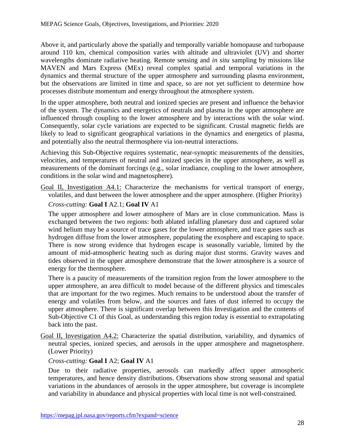Above it, and particularly above the spatially and temporally variable homopause and turbopause around 110 km, chemical composition varies with altitude and ultraviolet (UV) and shorter wavelengths dominate radiative heating. Remote sensing and *in situ* sampling by missions like MAVEN and Mars Express (MEx) reveal complex spatial and temporal variations in the dynamics and thermal structure of the upper atmosphere and surrounding plasma environment, but the observations are limited in time and space, so are not yet sufficient to determine how processes distribute momentum and energy throughout the atmosphere system.

In the upper atmosphere, both neutral and ionized species are present and influence the behavior of the system. The dynamics and energetics of neutrals and plasma in the upper atmosphere are influenced through coupling to the lower atmosphere and by interactions with the solar wind. Consequently, solar cycle variations are expected to be significant. Crustal magnetic fields are likely to lead to significant geographical variations in the dynamics and energetics of plasma, and potentially also the neutral thermosphere via ion-neutral interactions.

Achieving this Sub-Objective requires systematic, near-synoptic measurements of the densities, velocities, and temperatures of neutral and ionized species in the upper atmosphere, as well as measurements of the dominant forcings (e.g., solar irradiance, coupling to the lower atmosphere, conditions in the solar wind and magnetosphere).

Goal II, Investigation A4.1: Characterize the mechanisms for vertical transport of energy, volatiles, and dust between the lower atmosphere and the upper atmosphere. (Higher Priority)

#### *Cross-cutting:* **Goal I** A2.1; **Goal IV** A1

The upper atmosphere and lower atmosphere of Mars are in close communication. Mass is exchanged between the two regions: both ablated infalling planetary dust and captured solar wind helium may be a source of trace gases for the lower atmosphere, and trace gases such as hydrogen diffuse from the lower atmosphere, populating the exosphere and escaping to space. There is now strong evidence that hydrogen escape is seasonally variable, limited by the amount of mid-atmospheric heating such as during major dust storms. Gravity waves and tides observed in the upper atmosphere demonstrate that the lower atmosphere is a source of energy for the thermosphere.

There is a paucity of measurements of the transition region from the lower atmosphere to the upper atmosphere, an area difficult to model because of the different physics and timescales that are important for the two regimes. Much remains to be understood about the transfer of energy and volatiles from below, and the sources and fates of dust inferred to occupy the upper atmosphere. There is significant overlap between this Investigation and the contents of Sub-Objective C1 of this Goal, as understanding this region today is essential to extrapolating back into the past.

Goal II, Investigation A4.2: Characterize the spatial distribution, variability, and dynamics of neutral species, ionized species, and aerosols in the upper atmosphere and magnetosphere. (Lower Priority)

#### *Cross-cutting:* **Goal I** A2; **Goal IV** A1

Due to their radiative properties, aerosols can markedly affect upper atmospheric temperatures, and hence density distributions. Observations show strong seasonal and spatial variations in the abundances of aerosols in the upper atmosphere, but coverage is incomplete and variability in abundance and physical properties with local time is not well-constrained.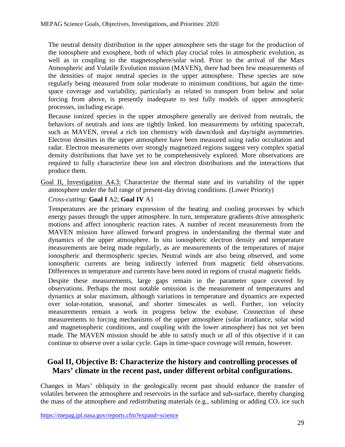The neutral density distribution in the upper atmosphere sets the stage for the production of the ionosphere and exosphere, both of which play crucial roles in atmospheric evolution, as well as in coupling to the magnetosphere/solar wind. Prior to the arrival of the Mars Atmospheric and Volatile Evolution mission (MAVEN), there had been few measurements of the densities of major neutral species in the upper atmosphere. These species are now regularly being measured from solar moderate to minimum conditions, but again the timespace coverage and variability, particularly as related to transport from below and solar forcing from above, is presently inadequate to test fully models of upper atmospheric processes, including escape.

Because ionized species in the upper atmosphere generally are derived from neutrals, the behaviors of neutrals and ions are tightly linked. Ion measurements by orbiting spacecraft, such as MAVEN, reveal a rich ion chemistry with dawn/dusk and day/night asymmetries. Electron densities in the upper atmosphere have been measured using radio occultation and radar. Electron measurements over strongly magnetized regions suggest very complex spatial density distributions that have yet to be comprehensively explored. More observations are required to fully characterize these ion and electron distributions and the interactions that produce them.

Goal II, Investigation A4.3: Characterize the thermal state and its variability of the upper atmosphere under the full range of present-day driving conditions. (Lower Priority)

#### *Cross-cutting:* **Goal I** A2; **Goal IV** A1

Temperatures are the primary expression of the heating and cooling processes by which energy passes through the upper atmosphere. In turn, temperature gradients drive atmospheric motions and affect ionospheric reaction rates. A number of recent measurements from the MAVEN mission have allowed forward progress in understanding the thermal state and dynamics of the upper atmosphere. In situ ionospheric electron density and temperature measurements are being made regularly, as are measurements of the temperatures of major ionospheric and thermospheric species. Neutral winds are also being observed, and some ionospheric currents are being indirectly inferred from magnetic field observations. Differences in temperature and currents have been noted in regions of crustal magnetic fields.

Despite these measurements, large gaps remain in the parameter space covered by observations. Perhaps the most notable omission is the measurement of temperatures and dynamics at solar maximum, although variations in temperature and dynamics are expected over solar-rotation, seasonal, and shorter timescales as well. Further, ion velocity measurements remain a work in progress below the exobase. Connection of these measurements to forcing mechanisms of the upper atmosphere (solar irradiance, solar wind and magnetospheric conditions, and coupling with the lower atmosphere) has not yet been made. The MAVEN mission should be able to satisfy much or all of this objective if it can continue to observe over a solar cycle. Gaps in time-space coverage will remain, however.

### **Goal II, Objective B: Characterize the history and controlling processes of Mars' climate in the recent past, under different orbital configurations.**

Changes in Mars' obliquity in the geologically recent past should enhance the transfer of volatiles between the atmosphere and reservoirs in the surface and sub-surface, thereby changing the mass of the atmosphere and redistributing materials (e.g., subliming or adding  $CO<sub>2</sub>$  ice such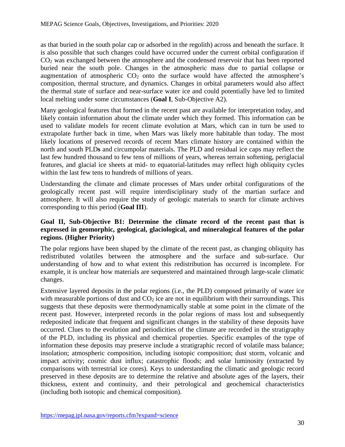as that buried in the south polar cap or adsorbed in the regolith) across and beneath the surface. It is also possible that such changes could have occurred under the current orbital configuration if CO2 was exchanged between the atmosphere and the condensed reservoir that has been reported buried near the south pole. Changes in the atmospheric mass due to partial collapse or augmentation of atmospheric  $CO<sub>2</sub>$  onto the surface would have affected the atmosphere's composition, thermal structure, and dynamics. Changes in orbital parameters would also affect the thermal state of surface and near-surface water ice and could potentially have led to limited local melting under some circumstances (**Goal I**, Sub-Objective A2).

Many geological features that formed in the recent past are available for interpretation today, and likely contain information about the climate under which they formed. This information can be used to validate models for recent climate evolution at Mars, which can in turn be used to extrapolate further back in time, when Mars was likely more habitable than today. The most likely locations of preserved records of recent Mars climate history are contained within the north and south PLD**s** and circumpolar materials. The PLD and residual ice caps may reflect the last few hundred thousand to few tens of millions of years, whereas terrain softening, periglacial features, and glacial ice sheets at mid- to equatorial-latitudes may reflect high obliquity cycles within the last few tens to hundreds of millions of years.

Understanding the climate and climate processes of Mars under orbital configurations of the geologically recent past will require interdisciplinary study of the martian surface and atmosphere. It will also require the study of geologic materials to search for climate archives corresponding to this period (**Goal III**).

#### **Goal II, Sub-Objective B1: Determine the climate record of the recent past that is expressed in geomorphic, geological, glaciological, and mineralogical features of the polar regions. (Higher Priority)**

The polar regions have been shaped by the climate of the recent past, as changing obliquity has redistributed volatiles between the atmosphere and the surface and sub-surface. Our understanding of how and to what extent this redistribution has occurred is incomplete. For example, it is unclear how materials are sequestered and maintained through large-scale climatic changes.

Extensive layered deposits in the polar regions (i.e., the PLD) composed primarily of water ice with measurable portions of dust and  $CO<sub>2</sub>$  ice are not in equilibrium with their surroundings. This suggests that these deposits were thermodynamically stable at some point in the climate of the recent past. However, interpreted records in the polar regions of mass lost and subsequently redeposited indicate that frequent and significant changes in the stability of these deposits have occurred. Clues to the evolution and periodicities of the climate are recorded in the stratigraphy of the PLD, including its physical and chemical properties. Specific examples of the type of information these deposits may preserve include a stratigraphic record of volatile mass balance; insolation; atmospheric composition, including isotopic composition; dust storm, volcanic and impact activity; cosmic dust influx; catastrophic floods; and solar luminosity (extracted by comparisons with terrestrial ice cores). Keys to understanding the climatic and geologic record preserved in these deposits are to determine the relative and absolute ages of the layers, their thickness, extent and continuity, and their petrological and geochemical characteristics (including both isotopic and chemical composition).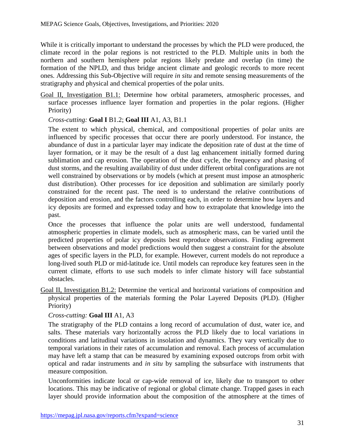While it is critically important to understand the processes by which the PLD were produced, the climate record in the polar regions is not restricted to the PLD. Multiple units in both the northern and southern hemisphere polar regions likely predate and overlap (in time) the formation of the NPLD, and thus bridge ancient climate and geologic records to more recent ones. Addressing this Sub-Objective will require *in situ* and remote sensing measurements of the stratigraphy and physical and chemical properties of the polar units.

Goal II, Investigation B1.1: Determine how orbital parameters, atmospheric processes, and surface processes influence layer formation and properties in the polar regions. (Higher Priority)

*Cross-cutting:* **Goal I** B1.2; **Goal III** A1, A3, B1.1

The extent to which physical, chemical, and compositional properties of polar units are influenced by specific processes that occur there are poorly understood. For instance, the abundance of dust in a particular layer may indicate the deposition rate of dust at the time of layer formation, or it may be the result of a dust lag enhancement initially formed during sublimation and cap erosion. The operation of the dust cycle, the frequency and phasing of dust storms, and the resulting availability of dust under different orbital configurations are not well constrained by observations or by models (which at present must impose an atmospheric dust distribution). Other processes for ice deposition and sublimation are similarly poorly constrained for the recent past. The need is to understand the relative contributions of deposition and erosion, and the factors controlling each, in order to determine how layers and icy deposits are formed and expressed today and how to extrapolate that knowledge into the past.

Once the processes that influence the polar units are well understood, fundamental atmospheric properties in climate models, such as atmospheric mass, can be varied until the predicted properties of polar icy deposits best reproduce observations. Finding agreement between observations and model predictions would then suggest a constraint for the absolute ages of specific layers in the PLD, for example. However, current models do not reproduce a long-lived south PLD or mid-latitude ice. Until models can reproduce key features seen in the current climate, efforts to use such models to infer climate history will face substantial obstacles.

Goal II, Investigation B1.2: Determine the vertical and horizontal variations of composition and physical properties of the materials forming the Polar Layered Deposits (PLD). (Higher Priority)

#### *Cross-cutting:* **Goal III** A1, A3

The stratigraphy of the PLD contains a long record of accumulation of dust, water ice, and salts. These materials vary horizontally across the PLD likely due to local variations in conditions and latitudinal variations in insolation and dynamics. They vary vertically due to temporal variations in their rates of accumulation and removal. Each process of accumulation may have left a stamp that can be measured by examining exposed outcrops from orbit with optical and radar instruments and *in situ* by sampling the subsurface with instruments that measure composition.

Unconformities indicate local or cap-wide removal of ice, likely due to transport to other locations. This may be indicative of regional or global climate change. Trapped gases in each layer should provide information about the composition of the atmosphere at the times of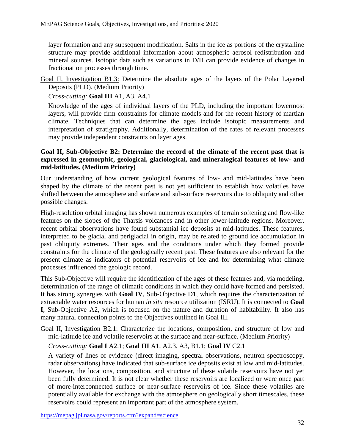layer formation and any subsequent modification. Salts in the ice as portions of the crystalline structure may provide additional information about atmospheric aerosol redistribution and mineral sources. Isotopic data such as variations in D/H can provide evidence of changes in fractionation processes through time.

Goal II, Investigation B1.3: Determine the absolute ages of the layers of the Polar Layered Deposits (PLD). (Medium Priority)

*Cross-cutting:* **Goal III** A1, A3, A4.1

Knowledge of the ages of individual layers of the PLD, including the important lowermost layers, will provide firm constraints for climate models and for the recent history of martian climate. Techniques that can determine the ages include isotopic measurements and interpretation of stratigraphy. Additionally, determination of the rates of relevant processes may provide independent constraints on layer ages.

#### **Goal II, Sub-Objective B2: Determine the record of the climate of the recent past that is expressed in geomorphic, geological, glaciological, and mineralogical features of low- and mid-latitudes. (Medium Priority)**

Our understanding of how current geological features of low- and mid-latitudes have been shaped by the climate of the recent past is not yet sufficient to establish how volatiles have shifted between the atmosphere and surface and sub-surface reservoirs due to obliquity and other possible changes.

High-resolution orbital imaging has shown numerous examples of terrain softening and flow-like features on the slopes of the Tharsis volcanoes and in other lower-latitude regions. Moreover, recent orbital observations have found substantial ice deposits at mid-latitudes. These features, interpreted to be glacial and periglacial in origin, may be related to ground ice accumulation in past obliquity extremes. Their ages and the conditions under which they formed provide constraints for the climate of the geologically recent past. These features are also relevant for the present climate as indicators of potential reservoirs of ice and for determining what climate processes influenced the geologic record.

This Sub-Objective will require the identification of the ages of these features and, via modeling, determination of the range of climatic conditions in which they could have formed and persisted. It has strong synergies with **Goal IV**, Sub-Objective D1, which requires the characterization of extractable water resources for human *in situ* resource utilization (ISRU). It is connected to **Goal I**, Sub-Objective A2, which is focused on the nature and duration of habitability. It also has many natural connection points to the Objectives outlined in Goal III.

Goal II, Investigation B2.1: Characterize the locations, composition, and structure of low and mid-latitude ice and volatile reservoirs at the surface and near-surface. (Medium Priority)

#### *Cross-cutting:* **Goal I** A2.1; **Goal III** A1, A2.3, A3, B1.1; **Goal IV** C2.1

A variety of lines of evidence (direct imaging, spectral observations, neutron spectroscopy, radar observations) have indicated that sub-surface ice deposits exist at low and mid-latitudes. However, the locations, composition, and structure of these volatile reservoirs have not yet been fully determined. It is not clear whether these reservoirs are localized or were once part of more-interconnected surface or near-surface reservoirs of ice. Since these volatiles are potentially available for exchange with the atmosphere on geologically short timescales, these reservoirs could represent an important part of the atmosphere system.

<https://mepag.jpl.nasa.gov/reports.cfm?expand=science>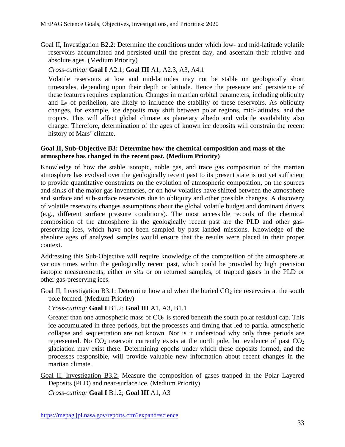Goal II, Investigation B2.2: Determine the conditions under which low- and mid-latitude volatile reservoirs accumulated and persisted until the present day, and ascertain their relative and absolute ages. (Medium Priority)

*Cross-cutting:* **Goal I** A2.1; **Goal III** A1, A2.3, A3, A4.1

Volatile reservoirs at low and mid-latitudes may not be stable on geologically short timescales, depending upon their depth or latitude. Hence the presence and persistence of these features requires explanation. Changes in martian orbital parameters, including obliquity and L<sub>S</sub> of perihelion, are likely to influence the stability of these reservoirs. As obliquity changes, for example, ice deposits may shift between polar regions, mid-latitudes, and the tropics. This will affect global climate as planetary albedo and volatile availability also change. Therefore, determination of the ages of known ice deposits will constrain the recent history of Mars' climate.

#### **Goal II, Sub-Objective B3: Determine how the chemical composition and mass of the atmosphere has changed in the recent past. (Medium Priority)**

Knowledge of how the stable isotopic, noble gas, and trace gas composition of the martian atmosphere has evolved over the geologically recent past to its present state is not yet sufficient to provide quantitative constraints on the evolution of atmospheric composition, on the sources and sinks of the major gas inventories, or on how volatiles have shifted between the atmosphere and surface and sub-surface reservoirs due to obliquity and other possible changes. A discovery of volatile reservoirs changes assumptions about the global volatile budget and dominant drivers (e.g., different surface pressure conditions). The most accessible records of the chemical composition of the atmosphere in the geologically recent past are the PLD and other gaspreserving ices, which have not been sampled by past landed missions. Knowledge of the absolute ages of analyzed samples would ensure that the results were placed in their proper context.

Addressing this Sub-Objective will require knowledge of the composition of the atmosphere at various times within the geologically recent past, which could be provided by high precision isotopic measurements, either *in situ* or on returned samples, of trapped gases in the PLD or other gas-preserving ices.

Goal II, Investigation B3.1: Determine how and when the buried  $CO<sub>2</sub>$  ice reservoirs at the south pole formed. (Medium Priority)

#### *Cross-cutting:* **Goal I** B1.2; **Goal III** A1, A3, B1.1

Greater than one atmospheric mass of  $CO<sub>2</sub>$  is stored beneath the south polar residual cap. This ice accumulated in three periods, but the processes and timing that led to partial atmospheric collapse and sequestration are not known. Nor is it understood why only three periods are represented. No  $CO_2$  reservoir currently exists at the north pole, but evidence of past  $CO_2$ glaciation may exist there. Determining epochs under which these deposits formed, and the processes responsible, will provide valuable new information about recent changes in the martian climate.

Goal II, Investigation B3.2: Measure the composition of gases trapped in the Polar Layered Deposits (PLD) and near-surface ice. (Medium Priority)

*Cross-cutting:* **Goal I** B1.2; **Goal III** A1, A3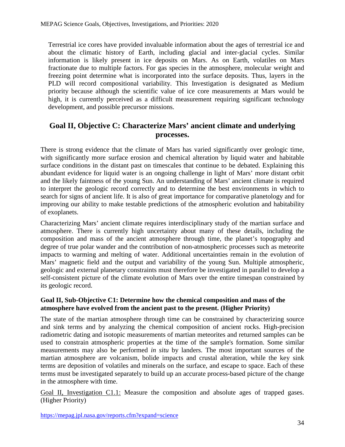Terrestrial ice cores have provided invaluable information about the ages of terrestrial ice and about the climatic history of Earth, including glacial and inter-glacial cycles. Similar information is likely present in ice deposits on Mars. As on Earth, volatiles on Mars fractionate due to multiple factors. For gas species in the atmosphere, molecular weight and freezing point determine what is incorporated into the surface deposits. Thus, layers in the PLD will record compositional variability. This Investigation is designated as Medium priority because although the scientific value of ice core measurements at Mars would be high, it is currently perceived as a difficult measurement requiring significant technology development, and possible precursor missions.

### **Goal II, Objective C: Characterize Mars' ancient climate and underlying processes.**

There is strong evidence that the climate of Mars has varied significantly over geologic time, with significantly more surface erosion and chemical alteration by liquid water and habitable surface conditions in the distant past on timescales that continue to be debated. Explaining this abundant evidence for liquid water is an ongoing challenge in light of Mars' more distant orbit and the likely faintness of the young Sun. An understanding of Mars' ancient climate is required to interpret the geologic record correctly and to determine the best environments in which to search for signs of ancient life. It is also of great importance for comparative planetology and for improving our ability to make testable predictions of the atmospheric evolution and habitability of exoplanets.

Characterizing Mars' ancient climate requires interdisciplinary study of the martian surface and atmosphere. There is currently high uncertainty about many of these details, including the composition and mass of the ancient atmosphere through time, the planet's topography and degree of true polar wander and the contribution of non-atmospheric processes such as meteorite impacts to warming and melting of water. Additional uncertainties remain in the evolution of Mars' magnetic field and the output and variability of the young Sun. Multiple atmospheric, geologic and external planetary constraints must therefore be investigated in parallel to develop a self-consistent picture of the climate evolution of Mars over the entire timespan constrained by its geologic record.

#### **Goal II, Sub-Objective C1: Determine how the chemical composition and mass of the atmosphere have evolved from the ancient past to the present. (Higher Priority)**

The state of the martian atmosphere through time can be constrained by characterizing source and sink terms and by analyzing the chemical composition of ancient rocks. High-precision radiometric dating and isotopic measurements of martian meteorites and returned samples can be used to constrain atmospheric properties at the time of the sample's formation. Some similar measurements may also be performed *in situ* by landers. The most important sources of the martian atmosphere are volcanism, bolide impacts and crustal alteration, while the key sink terms are deposition of volatiles and minerals on the surface, and escape to space. Each of these terms must be investigated separately to build up an accurate process-based picture of the change in the atmosphere with time.

Goal II, Investigation C1.1: Measure the composition and absolute ages of trapped gases. (Higher Priority)

<https://mepag.jpl.nasa.gov/reports.cfm?expand=science>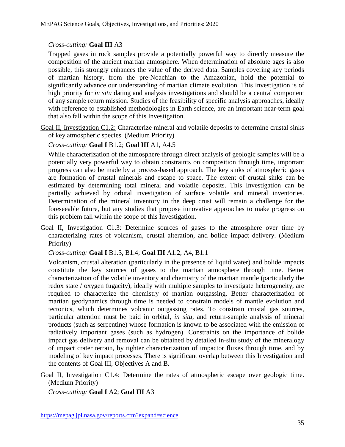#### *Cross-cutting:* **Goal III** A3

Trapped gases in rock samples provide a potentially powerful way to directly measure the composition of the ancient martian atmosphere. When determination of absolute ages is also possible, this strongly enhances the value of the derived data. Samples covering key periods of martian history, from the pre-Noachian to the Amazonian, hold the potential to significantly advance our understanding of martian climate evolution. This Investigation is of high priority for *in situ* dating and analysis investigations and should be a central component of any sample return mission. Studies of the feasibility of specific analysis approaches, ideally with reference to established methodologies in Earth science, are an important near-term goal that also fall within the scope of this Investigation.

Goal II, Investigation C1.2: Characterize mineral and volatile deposits to determine crustal sinks of key atmospheric species. (Medium Priority)

#### *Cross-cutting:* **Goal I** B1.2; **Goal III** A1, A4.5

While characterization of the atmosphere through direct analysis of geologic samples will be a potentially very powerful way to obtain constraints on composition through time, important progress can also be made by a process-based approach. The key sinks of atmospheric gases are formation of crustal minerals and escape to space. The extent of crustal sinks can be estimated by determining total mineral and volatile deposits. This Investigation can be partially achieved by orbital investigation of surface volatile and mineral inventories. Determination of the mineral inventory in the deep crust will remain a challenge for the foreseeable future, but any studies that propose innovative approaches to make progress on this problem fall within the scope of this Investigation.

Goal II, Investigation C1.3: Determine sources of gases to the atmosphere over time by characterizing rates of volcanism, crustal alteration, and bolide impact delivery. (Medium Priority)

*Cross-cutting:* **Goal I** B1.3, B1.4; **Goal III** A1.2, A4, B1.1

Volcanism, crustal alteration (particularly in the presence of liquid water) and bolide impacts constitute the key sources of gases to the martian atmosphere through time. Better characterization of the volatile inventory and chemistry of the martian mantle (particularly the redox state / oxygen fugacity), ideally with multiple samples to investigate heterogeneity, are required to characterize the chemistry of martian outgassing. Better characterization of martian geodynamics through time is needed to constrain models of mantle evolution and tectonics, which determines volcanic outgassing rates. To constrain crustal gas sources, particular attention must be paid in orbital, *in situ*, and return-sample analysis of mineral products (such as serpentine) whose formation is known to be associated with the emission of radiatively important gases (such as hydrogen). Constraints on the importance of bolide impact gas delivery and removal can be obtained by detailed in-situ study of the mineralogy of impact crater terrain, by tighter characterization of impactor fluxes through time, and by modeling of key impact processes. There is significant overlap between this Investigation and the contents of Goal III, Objectives A and B.

Goal II, Investigation C1.4: Determine the rates of atmospheric escape over geologic time. (Medium Priority)

*Cross-cutting:* **Goal I** A2; **Goal III** A3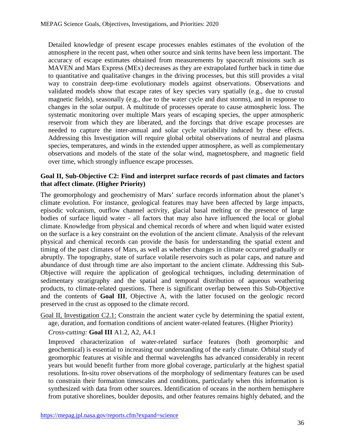Detailed knowledge of present escape processes enables estimates of the evolution of the atmosphere in the recent past, when other source and sink terms have been less important. The accuracy of escape estimates obtained from measurements by spacecraft missions such as MAVEN and Mars Express (MEx) decreases as they are extrapolated further back in time due to quantitative and qualitative changes in the driving processes, but this still provides a vital way to constrain deep-time evolutionary models against observations. Observations and validated models show that escape rates of key species vary spatially (e.g., due to crustal magnetic fields), seasonally (e.g., due to the water cycle and dust storms), and in response to changes in the solar output. A multitude of processes operate to cause atmospheric loss. The systematic monitoring over multiple Mars years of escaping species, the upper atmospheric reservoir from which they are liberated, and the forcings that drive escape processes are needed to capture the inter-annual and solar cycle variability induced by these effects. Addressing this Investigation will require global orbital observations of neutral and plasma species, temperatures, and winds in the extended upper atmosphere, as well as complementary observations and models of the state of the solar wind, magnetosphere, and magnetic field over time, which strongly influence escape processes.

#### **Goal II, Sub-Objective C2: Find and interpret surface records of past climates and factors that affect climate. (Higher Priority)**

The geomorphology and geochemistry of Mars' surface records information about the planet's climate evolution. For instance, geological features may have been affected by large impacts, episodic volcanism, outflow channel activity, glacial basal melting or the presence of large bodies of surface liquid water - all factors that may also have influenced the local or global climate. Knowledge from physical and chemical records of where and when liquid water existed on the surface is a key constraint on the evolution of the ancient climate. Analysis of the relevant physical and chemical records can provide the basis for understanding the spatial extent and timing of the past climates of Mars, as well as whether changes in climate occurred gradually or abruptly. The topography, state of surface volatile reservoirs such as polar caps, and nature and abundance of dust through time are also important to the ancient climate. Addressing this Sub-Objective will require the application of geological techniques, including determination of sedimentary stratigraphy and the spatial and temporal distribution of aqueous weathering products, to climate-related questions. There is significant overlap between this Sub-Objective and the contents of **Goal III**, Objective A, with the latter focused on the geologic record preserved in the crust as opposed to the climate record.

Goal II, Investigation C2.1: Constrain the ancient water cycle by determining the spatial extent, age, duration, and formation conditions of ancient water-related features. (Higher Priority)

#### *Cross-cutting:* **Goal III** A1.2, A2, A4.1

Improved characterization of water-related surface features (both geomorphic and geochemical) is essential to increasing our understanding of the early climate. Orbital study of geomorphic features at visible and thermal wavelengths has advanced considerably in recent years but would benefit further from more global coverage, particularly at the highest spatial resolutions. In-situ rover observations of the morphology of sedimentary features can be used to constrain their formation timescales and conditions, particularly when this information is synthesized with data from other sources. Identification of oceans in the northern hemisphere from putative shorelines, boulder deposits, and other features remains highly debated, and the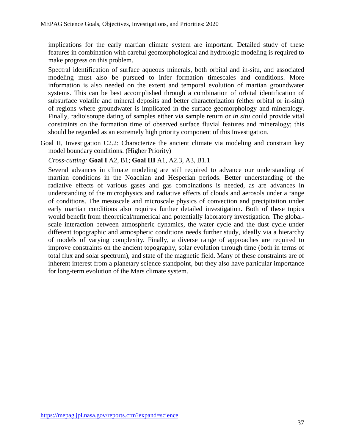implications for the early martian climate system are important. Detailed study of these features in combination with careful geomorphological and hydrologic modeling is required to make progress on this problem.

Spectral identification of surface aqueous minerals, both orbital and in-situ, and associated modeling must also be pursued to infer formation timescales and conditions. More information is also needed on the extent and temporal evolution of martian groundwater systems. This can be best accomplished through a combination of orbital identification of subsurface volatile and mineral deposits and better characterization (either orbital or in-situ) of regions where groundwater is implicated in the surface geomorphology and mineralogy. Finally, radioisotope dating of samples either via sample return or *in situ* could provide vital constraints on the formation time of observed surface fluvial features and mineralogy; this should be regarded as an extremely high priority component of this Investigation.

Goal II, Investigation C2.2: Characterize the ancient climate via modeling and constrain key model boundary conditions. (Higher Priority)

*Cross-cutting:* **Goal I** A2, B1; **Goal III** A1, A2.3, A3, B1.1

Several advances in climate modeling are still required to advance our understanding of martian conditions in the Noachian and Hesperian periods. Better understanding of the radiative effects of various gases and gas combinations is needed, as are advances in understanding of the microphysics and radiative effects of clouds and aerosols under a range of conditions. The mesoscale and microscale physics of convection and precipitation under early martian conditions also requires further detailed investigation. Both of these topics would benefit from theoretical/numerical and potentially laboratory investigation. The globalscale interaction between atmospheric dynamics, the water cycle and the dust cycle under different topographic and atmospheric conditions needs further study, ideally via a hierarchy of models of varying complexity. Finally, a diverse range of approaches are required to improve constraints on the ancient topography, solar evolution through time (both in terms of total flux and solar spectrum), and state of the magnetic field. Many of these constraints are of inherent interest from a planetary science standpoint, but they also have particular importance for long-term evolution of the Mars climate system.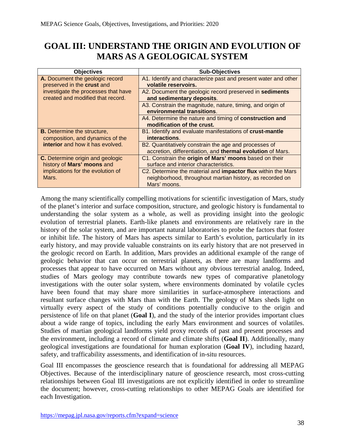# **GOAL III: UNDERSTAND THE ORIGIN AND EVOLUTION OF MARS AS A GEOLOGICAL SYSTEM**

| <b>Objectives</b>                       | <b>Sub-Objectives</b>                                          |
|-----------------------------------------|----------------------------------------------------------------|
| A. Document the geologic record         | A1. Identify and characterize past and present water and other |
| preserved in the crust and              | volatile reservoirs.                                           |
| investigate the processes that have     | A2. Document the geologic record preserved in sediments        |
| created and modified that record.       | and sedimentary deposits.                                      |
|                                         | A3. Constrain the magnitude, nature, timing, and origin of     |
|                                         | environmental transitions.                                     |
|                                         | A4. Determine the nature and timing of construction and        |
|                                         | modification of the crust.                                     |
| <b>B.</b> Determine the structure,      | B1. Identify and evaluate manifestations of crust-mantle       |
| composition, and dynamics of the        | interactions.                                                  |
| <b>interior</b> and how it has evolved. | B2. Quantitatively constrain the age and processes of          |
|                                         | accretion, differentiation, and thermal evolution of Mars.     |
| C. Determine origin and geologic        | C1. Constrain the origin of Mars' moons based on their         |
| history of Mars' moons and              | surface and interior characteristics.                          |
| implications for the evolution of       | C2. Determine the material and impactor flux within the Mars   |
| Mars.                                   | neighborhood, throughout martian history, as recorded on       |
|                                         | Mars' moons.                                                   |

Among the many scientifically compelling motivations for scientific investigation of Mars, study of the planet's interior and surface composition, structure, and geologic history is fundamental to understanding the solar system as a whole, as well as providing insight into the geologic evolution of terrestrial planets. Earth-like planets and environments are relatively rare in the history of the solar system, and are important natural laboratories to probe the factors that foster or inhibit life. The history of Mars has aspects similar to Earth's evolution, particularly in its early history, and may provide valuable constraints on its early history that are not preserved in the geologic record on Earth. In addition, Mars provides an additional example of the range of geologic behavior that can occur on terrestrial planets, as there are many landforms and processes that appear to have occurred on Mars without any obvious terrestrial analog. Indeed, studies of Mars geology may contribute towards new types of comparative planetology investigations with the outer solar system, where environments dominated by volatile cycles have been found that may share more similarities in surface-atmosphere interactions and resultant surface changes with Mars than with the Earth. The geology of Mars sheds light on virtually every aspect of the study of conditions potentially conducive to the origin and persistence of life on that planet (**Goal I**), and the study of the interior provides important clues about a wide range of topics, including the early Mars environment and sources of volatiles. Studies of martian geological landforms yield proxy records of past and present processes and the environment, including a record of climate and climate shifts (**Goal II**). Additionally, many geological investigations are foundational for human exploration (**Goal IV**), including hazard, safety, and trafficability assessments, and identification of in-situ resources.

Goal III encompasses the geoscience research that is foundational for addressing all MEPAG Objectives. Because of the interdisciplinary nature of geoscience research, most cross-cutting relationships between Goal III investigations are not explicitly identified in order to streamline the document; however, cross-cutting relationships to other MEPAG Goals are identified for each Investigation.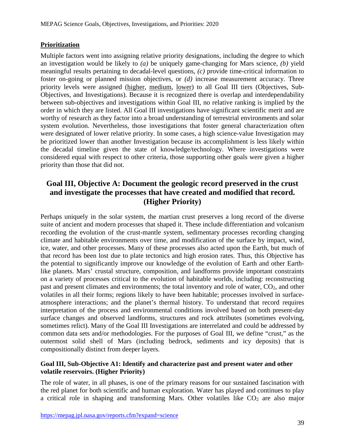# **Prioritization**

Multiple factors went into assigning relative priority designations, including the degree to which an investigation would be likely to *(a)* be uniquely game-changing for Mars science, *(b)* yield meaningful results pertaining to decadal-level questions, *(c)* provide time-critical information to foster on-going or planned mission objectives, or *(d)* increase measurement accuracy. Three priority levels were assigned (higher, medium, lower) to all Goal III tiers (Objectives, Sub-Objectives, and Investigations). Because it is recognized there is overlap and interdependability between sub-objectives and investigations within Goal III, no relative ranking is implied by the order in which they are listed. All Goal III investigations have significant scientific merit and are worthy of research as they factor into a broad understanding of terrestrial environments and solar system evolution. Nevertheless, those investigations that foster general characterization often were designated of lower relative priority. In some cases, a high science-value Investigation may be prioritized lower than another Investigation because its accomplishment is less likely within the decadal timeline given the state of knowledge/technology. Where investigations were considered equal with respect to other criteria, those supporting other goals were given a higher priority than those that did not.

# **Goal III, Objective A: Document the geologic record preserved in the crust and investigate the processes that have created and modified that record. (Higher Priority)**

Perhaps uniquely in the solar system, the martian crust preserves a long record of the diverse suite of ancient and modern processes that shaped it. These include differentiation and volcanism recording the evolution of the crust-mantle system, sedimentary processes recording changing climate and habitable environments over time, and modification of the surface by impact, wind, ice, water, and other processes. Many of these processes also acted upon the Earth, but much of that record has been lost due to plate tectonics and high erosion rates. Thus, this Objective has the potential to significantly improve our knowledge of the evolution of Earth and other Earthlike planets. Mars' crustal structure, composition, and landforms provide important constraints on a variety of processes critical to the evolution of habitable worlds, including: reconstructing past and present climates and environments; the total inventory and role of water, CO2, and other volatiles in all their forms; regions likely to have been habitable; processes involved in surfaceatmosphere interactions; and the planet's thermal history. To understand that record requires interpretation of the process and environmental conditions involved based on both present-day surface changes and observed landforms, structures and rock attributes (sometimes evolving, sometimes relict). Many of the Goal III Investigations are interrelated and could be addressed by common data sets and/or methodologies. For the purposes of Goal III, we define "crust," as the outermost solid shell of Mars (including bedrock, sediments and icy deposits) that is compositionally distinct from deeper layers.

#### **Goal III, Sub-Objective A1: Identify and characterize past and present water and other volatile reservoirs. (Higher Priority)**

The role of water, in all phases, is one of the primary reasons for our sustained fascination with the red planet for both scientific and human exploration. Water has played and continues to play a critical role in shaping and transforming Mars. Other volatiles like  $CO<sub>2</sub>$  are also major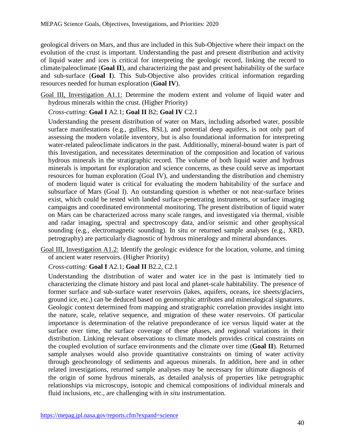geological drivers on Mars, and thus are included in this Sub-Objective where their impact on the evolution of the crust is important. Understanding the past and present distribution and activity of liquid water and ices is critical for interpreting the geologic record, linking the record to climate/paleoclimate (**Goal II**), and characterizing the past and present habitability of the surface and sub-surface (**Goal I**). This Sub-Objective also provides critical information regarding resources needed for human exploration (**Goal IV**).

Goal III, Investigation A1.1: Determine the modern extent and volume of liquid water and hydrous minerals within the crust. (Higher Priority)

# *Cross-cutting:* **Goal I** A2.1; **Goal II** B2; **Goal IV** C2.1

Understanding the present distribution of water on Mars, including adsorbed water, possible surface manifestations (e.g., gullies, RSL), and potential deep aquifers, is not only part of assessing the modern volatile inventory, but is also foundational information for interpreting water-related paleoclimate indicators in the past. Additionally, mineral-bound water is part of this Investigation, and necessitates determination of the composition and location of various hydrous minerals in the stratigraphic record. The volume of both liquid water and hydrous minerals is important for exploration and science concerns, as these could serve as important resources for human exploration (Goal IV), and understanding the distribution and chemistry of modern liquid water is critical for evaluating the modern habitability of the surface and subsurface of Mars (Goal I). An outstanding question is whether or not near-surface brines exist, which could be tested with landed surface-penetrating instruments, or surface imaging campaigns and coordinated environmental monitoring. The present distribution of liquid water on Mars can be characterized across many scale ranges, and investigated via thermal, visible and radar imaging, spectral and spectroscopy data, and/or seismic and other geophysical sounding (e.g., electromagnetic sounding). In situ or returned sample analyses (e.g., XRD, petrography) are particularly diagnostic of hydrous mineralogy and mineral abundances.

Goal III, Investigation A1.2: Identify the geologic evidence for the location, volume, and timing of ancient water reservoirs. (Higher Priority)

#### *Cross-cutting:* **Goal I** A2.1; **Goal II** B2.2, C2.1

Understanding the distribution of water and water ice in the past is intimately tied to characterizing the climate history and past local and planet-scale habitability. The presence of former surface and sub-surface water reservoirs (lakes, aquifers, oceans, ice sheets/glaciers, ground ice, etc.) can be deduced based on geomorphic attributes and mineralogical signatures. Geologic context determined from mapping and stratigraphic correlation provides insight into the nature, scale, relative sequence, and migration of these water reservoirs. Of particular importance is determination of the relative preponderance of ice versus liquid water at the surface over time, the surface coverage of these phases, and regional variations in their distribution. Linking relevant observations to climate models provides critical constraints on the coupled evolution of surface environments and the climate over time (**Goal II**). Returned sample analyses would also provide quantitative constraints on timing of water activity through geochronology of sediments and aqueous minerals. In addition, here and in other related investigations, returned sample analyses may be necessary for ultimate diagnosis of the origin of some hydrous minerals, as detailed analysis of properties like petrographic relationships via microscopy, isotopic and chemical compositions of individual minerals and fluid inclusions, etc., are challenging with *in situ* instrumentation.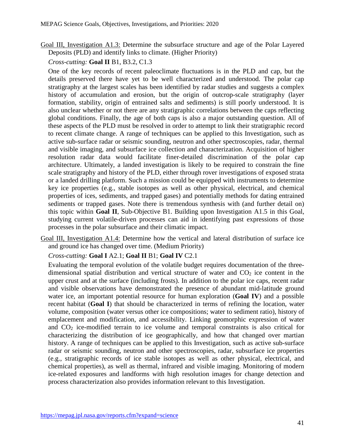Goal III, Investigation A1.3: Determine the subsurface structure and age of the Polar Layered Deposits (PLD) and identify links to climate. (Higher Priority)

*Cross-cutting:* **Goal II** B1, B3.2, C1.3

One of the key records of recent paleoclimate fluctuations is in the PLD and cap, but the details preserved there have yet to be well characterized and understood. The polar cap stratigraphy at the largest scales has been identified by radar studies and suggests a complex history of accumulation and erosion, but the origin of outcrop-scale stratigraphy (layer formation, stability, origin of entrained salts and sediments) is still poorly understood. It is also unclear whether or not there are any stratigraphic correlations between the caps reflecting global conditions. Finally, the age of both caps is also a major outstanding question. All of these aspects of the PLD must be resolved in order to attempt to link their stratigraphic record to recent climate change. A range of techniques can be applied to this Investigation, such as active sub-surface radar or seismic sounding, neutron and other spectroscopies, radar, thermal and visible imaging, and subsurface ice collection and characterization. Acquisition of higher resolution radar data would facilitate finer-detailed discrimination of the polar cap architecture. Ultimately, a landed investigation is likely to be required to constrain the fine scale stratigraphy and history of the PLD, either through rover investigations of exposed strata or a landed drilling platform. Such a mission could be equipped with instruments to determine key ice properties (e.g., stable isotopes as well as other physical, electrical, and chemical properties of ices, sediments, and trapped gases) and potentially methods for dating entrained sediments or trapped gases. Note there is tremendous synthesis with (and further detail on) this topic within **Goal II**, Sub-Objective B1. Building upon Investigation A1.5 in this Goal, studying current volatile-driven processes can aid in identifying past expressions of those processes in the polar subsurface and their climatic impact.

Goal III, Investigation A1.4: Determine how the vertical and lateral distribution of surface ice and ground ice has changed over time. (Medium Priority)

*Cross-cutting:* **Goal I** A2.1; **Goal II** B1; **Goal IV** C2.1

Evaluating the temporal evolution of the volatile budget requires documentation of the threedimensional spatial distribution and vertical structure of water and  $CO<sub>2</sub>$  ice content in the upper crust and at the surface (including frosts). In addition to the polar ice caps, recent radar and visible observations have demonstrated the presence of abundant mid-latitude ground water ice, an important potential resource for human exploration (**Goal IV**) and a possible recent habitat (**Goal I**) that should be characterized in terms of refining the location, water volume, composition (water versus other ice compositions; water to sediment ratio), history of emplacement and modification, and accessibility. Linking geomorphic expression of water and  $CO<sub>2</sub>$  ice-modified terrain to ice volume and temporal constraints is also critical for characterizing the distribution of ice geographically, and how that changed over martian history. A range of techniques can be applied to this Investigation, such as active sub-surface radar or seismic sounding, neutron and other spectroscopies, radar, subsurface ice properties (e.g., stratigraphic records of ice stable isotopes as well as other physical, electrical, and chemical properties), as well as thermal, infrared and visible imaging. Monitoring of modern ice-related exposures and landforms with high resolution images for change detection and process characterization also provides information relevant to this Investigation.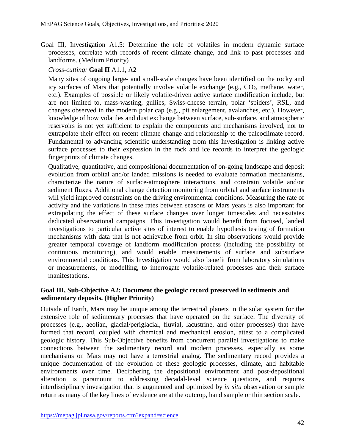Goal III, Investigation A1.5: Determine the role of volatiles in modern dynamic surface processes, correlate with records of recent climate change, and link to past processes and landforms. (Medium Priority)

*Cross-cutting:* **Goal II** A1.1, A2

Many sites of ongoing large- and small-scale changes have been identified on the rocky and icy surfaces of Mars that potentially involve volatile exchange (e.g.,  $CO<sub>2</sub>$ , methane, water, etc.). Examples of possible or likely volatile-driven active surface modification include, but are not limited to, mass-wasting, gullies, Swiss-cheese terrain, polar 'spiders', RSL, and changes observed in the modern polar cap (e.g., pit enlargement, avalanches, etc.). However, knowledge of how volatiles and dust exchange between surface, sub-surface, and atmospheric reservoirs is not yet sufficient to explain the components and mechanisms involved, nor to extrapolate their effect on recent climate change and relationship to the paleoclimate record. Fundamental to advancing scientific understanding from this Investigation is linking active surface processes to their expression in the rock and ice records to interpret the geologic fingerprints of climate changes.

Qualitative, quantitative, and compositional documentation of on-going landscape and deposit evolution from orbital and/or landed missions is needed to evaluate formation mechanisms, characterize the nature of surface-atmosphere interactions, and constrain volatile and/or sediment fluxes. Additional change detection monitoring from orbital and surface instruments will yield improved constraints on the driving environmental conditions. Measuring the rate of activity and the variations in these rates between seasons or Mars years is also important for extrapolating the effect of these surface changes over longer timescales and necessitates dedicated observational campaigns. This Investigation would benefit from focused, landed investigations to particular active sites of interest to enable hypothesis testing of formation mechanisms with data that is not achievable from orbit. In situ observations would provide greater temporal coverage of landform modification process (including the possibility of continuous monitoring), and would enable measurements of surface and subsurface environmental conditions. This Investigation would also benefit from laboratory simulations or measurements, or modelling, to interrogate volatile-related processes and their surface manifestations.

## **Goal III, Sub-Objective A2: Document the geologic record preserved in sediments and sedimentary deposits. (Higher Priority)**

Outside of Earth, Mars may be unique among the terrestrial planets in the solar system for the extensive role of sedimentary processes that have operated on the surface. The diversity of processes (e.g., aeolian, glacial/periglacial, fluvial, lacustrine, and other processes) that have formed that record, coupled with chemical and mechanical erosion, attest to a complicated geologic history. This Sub-Objective benefits from concurrent parallel investigations to make connections between the sedimentary record and modern processes, especially as some mechanisms on Mars may not have a terrestrial analog. The sedimentary record provides a unique documentation of the evolution of these geologic processes, climate, and habitable environments over time. Deciphering the depositional environment and post-depositional alteration is paramount to addressing decadal-level science questions, and requires interdisciplinary investigation that is augmented and optimized by *in situ* observation or sample return as many of the key lines of evidence are at the outcrop, hand sample or thin section scale.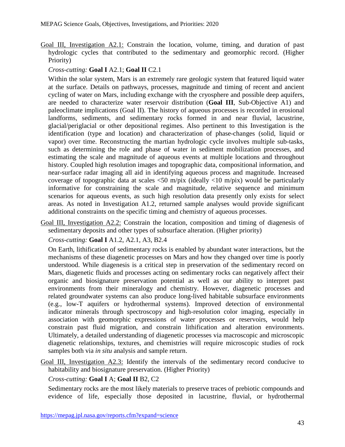Goal III, Investigation A2.1: Constrain the location, volume, timing, and duration of past hydrologic cycles that contributed to the sedimentary and geomorphic record. (Higher Priority)

# *Cross-cutting:* **Goal I** A2.1; **Goal II** C2.1

Within the solar system, Mars is an extremely rare geologic system that featured liquid water at the surface. Details on pathways, processes, magnitude and timing of recent and ancient cycling of water on Mars, including exchange with the cryosphere and possible deep aquifers, are needed to characterize water reservoir distribution (**Goal III**, Sub-Objective A1) and paleoclimate implications (Goal II). The history of aqueous processes is recorded in erosional landforms, sediments, and sedimentary rocks formed in and near fluvial, lacustrine, glacial/periglacial or other depositional regimes. Also pertinent to this Investigation is the identification (type and location) and characterization of phase-changes (solid, liquid or vapor) over time. Reconstructing the martian hydrologic cycle involves multiple sub-tasks, such as determining the role and phase of water in sediment mobilization processes, and estimating the scale and magnitude of aqueous events at multiple locations and throughout history. Coupled high resolution images and topographic data, compositional information, and near-surface radar imaging all aid in identifying aqueous process and magnitude. Increased coverage of topographic data at scales  $\langle 50 \rangle$  m/pix (ideally  $\langle 10 \rangle$  m/pix) would be particularly informative for constraining the scale and magnitude, relative sequence and minimum scenarios for aqueous events, as such high resolution data presently only exists for select areas. As noted in Investigation A1.2, returned sample analyses would provide significant additional constraints on the specific timing and chemistry of aqueous processes.

Goal III, Investigation A2.2: Constrain the location, composition and timing of diagenesis of sedimentary deposits and other types of subsurface alteration. (Higher priority)

*Cross-cutting:* **Goal I** A1.2, A2.1, A3, B2.4

On Earth, lithification of sedimentary rocks is enabled by abundant water interactions, but the mechanisms of these diagenetic processes on Mars and how they changed over time is poorly understood. While diagenesis is a critical step in preservation of the sedimentary record on Mars, diagenetic fluids and processes acting on sedimentary rocks can negatively affect their organic and biosignature preservation potential as well as our ability to interpret past environments from their mineralogy and chemistry. However, diagenetic processes and related groundwater systems can also produce long-lived habitable subsurface environments (e.g., low-T aquifers or hydrothermal systems). Improved detection of environmental indicator minerals through spectroscopy and high-resolution color imaging, especially in association with geomorphic expressions of water processes or reservoirs, would help constrain past fluid migration, and constrain lithification and alteration environments. Ultimately, a detailed understanding of diagenetic processes via macroscopic and microscopic diagenetic relationships, textures, and chemistries will require microscopic studies of rock samples both via *in situ* analysis and sample return.

Goal III, Investigation A2.3: Identify the intervals of the sedimentary record conducive to habitability and biosignature preservation. (Higher Priority)

# *Cross-cutting:* **Goal I** A; **Goal II** B2, C2

Sedimentary rocks are the most likely materials to preserve traces of prebiotic compounds and evidence of life, especially those deposited in lacustrine, fluvial, or hydrothermal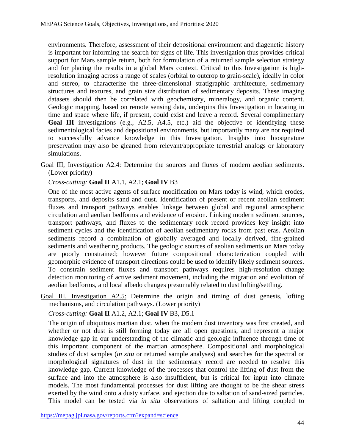environments. Therefore, assessment of their depositional environment and diagenetic history is important for informing the search for signs of life. This investigation thus provides critical support for Mars sample return, both for formulation of a returned sample selection strategy and for placing the results in a global Mars context. Critical to this Investigation is highresolution imaging across a range of scales (orbital to outcrop to grain-scale), ideally in color and stereo, to characterize the three-dimensional stratigraphic architecture, sedimentary structures and textures, and grain size distribution of sedimentary deposits. These imaging datasets should then be correlated with geochemistry, mineralogy, and organic content. Geologic mapping, based on remote sensing data, underpins this Investigation in locating in time and space where life, if present, could exist and leave a record. Several complimentary Goal III investigations (e.g., A2.5, A4.5, etc.) aid the objective of identifying these sedimentological facies and depositional environments, but importantly many are not required to successfully advance knowledge in this Investigation. Insights into biosignature preservation may also be gleaned from relevant/appropriate terrestrial analogs or laboratory simulations.

Goal III, Investigation A2.4: Determine the sources and fluxes of modern aeolian sediments. (Lower priority)

*Cross-cutting:* **Goal II** A1.1, A2.1; **Goal IV** B3

One of the most active agents of surface modification on Mars today is wind, which erodes, transports, and deposits sand and dust. Identification of present or recent aeolian sediment fluxes and transport pathways enables linkage between global and regional atmospheric circulation and aeolian bedforms and evidence of erosion. Linking modern sediment sources, transport pathways, and fluxes to the sedimentary rock record provides key insight into sediment cycles and the identification of aeolian sedimentary rocks from past eras. Aeolian sediments record a combination of globally averaged and locally derived, fine-grained sediments and weathering products. The geologic sources of aeolian sediments on Mars today are poorly constrained; however future compositional characterization coupled with geomorphic evidence of transport directions could be used to identify likely sediment sources. To constrain sediment fluxes and transport pathways requires high-resolution change detection monitoring of active sediment movement, including the migration and evolution of aeolian bedforms, and local albedo changes presumably related to dust lofting/settling.

Goal III, Investigation A2.5: Determine the origin and timing of dust genesis, lofting mechanisms, and circulation pathways. (Lower priority)

#### *Cross-cutting:* **Goal II** A1.2, A2.1; **Goal IV** B3, D5.1

The origin of ubiquitous martian dust, when the modern dust inventory was first created, and whether or not dust is still forming today are all open questions, and represent a major knowledge gap in our understanding of the climatic and geologic influence through time of this important component of the martian atmosphere. Compositional and morphological studies of dust samples (*in situ* or returned sample analyses) and searches for the spectral or morphological signatures of dust in the sedimentary record are needed to resolve this knowledge gap. Current knowledge of the processes that control the lifting of dust from the surface and into the atmosphere is also insufficient, but is critical for input into climate models. The most fundamental processes for dust lifting are thought to be the shear stress exerted by the wind onto a dusty surface, and ejection due to saltation of sand-sized particles. This model can be tested via *in situ* observations of saltation and lifting coupled to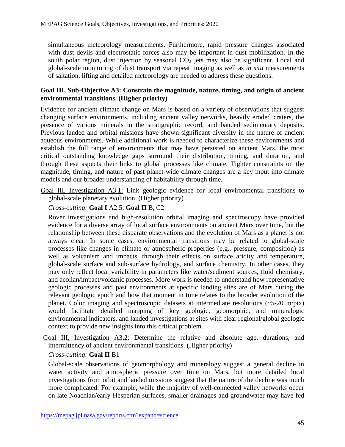simultaneous meteorology measurements. Furthermore, rapid pressure changes associated with dust devils and electrostatic forces also may be important in dust mobilization. In the south polar region, dust injection by seasonal  $CO<sub>2</sub>$  jets may also be significant. Local and global-scale monitoring of dust transport via repeat imaging as well as *in situ* measurements of saltation, lifting and detailed meteorology are needed to address these questions.

#### **Goal III, Sub-Objective A3: Constrain the magnitude, nature, timing, and origin of ancient environmental transitions. (Higher priority)**

Evidence for ancient climate change on Mars is based on a variety of observations that suggest changing surface environments, including ancient valley networks, heavily eroded craters, the presence of various minerals in the stratigraphic record, and banded sedimentary deposits. Previous landed and orbital missions have shown significant diversity in the nature of ancient aqueous environments. While additional work is needed to characterize these environments and establish the full range of environments that may have persisted on ancient Mars, the most critical outstanding knowledge gaps surround their distribution, timing, and duration, and through these aspects their links to global processes like climate. Tighter constraints on the magnitude, timing, and nature of past planet-wide climate changes are a key input into climate models and our broader understanding of habitability through time.

Goal III, Investigation A3.1: Link geologic evidence for local environmental transitions to global-scale planetary evolution. (Higher priority)

## *Cross-cutting:* **Goal I** A2.5; **Goal II** B, C2

Rover investigations and high-resolution orbital imaging and spectroscopy have provided evidence for a diverse array of local surface environments on ancient Mars over time, but the relationship between these disparate observations and the evolution of Mars as a planet is not always clear. In some cases, environmental transitions may be related to global-scale processes like changes in climate or atmospheric properties (e.g., pressure, composition) as well as volcanism and impacts, through their effects on surface aridity and temperature, global-scale surface and sub-surface hydrology, and surface chemistry. In other cases, they may only reflect local variability in parameters like water/sediment sources, fluid chemistry, and aeolian/impact/volcanic processes. More work is needed to understand how representative geologic processes and past environments at specific landing sites are of Mars during the relevant geologic epoch and how that moment in time relates to the broader evolution of the planet. Color imaging and spectroscopic datasets at intermediate resolutions (~5-20 m/pix) would facilitate detailed mapping of key geologic, geomorphic, and mineralogic environmental indicators, and landed investigations at sites with clear regional/global geologic context to provide new insights into this critical problem.

Goal III, Investigation A3.2: Determine the relative and absolute age, durations, and intermittency of ancient environmental transitions. (Higher priority)

#### *Cross-cutting:* **Goal II** B1

Global-scale observations of geomorphology and mineralogy suggest a general decline in water activity and atmospheric pressure over time on Mars, but more detailed local investigations from orbit and landed missions suggest that the nature of the decline was much more complicated. For example, while the majority of well-connected valley networks occur on late Noachian/early Hesperian surfaces, smaller drainages and groundwater may have fed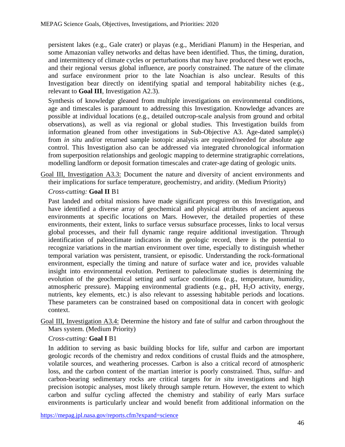persistent lakes (e.g., Gale crater) or playas (e.g., Meridiani Planum) in the Hesperian, and some Amazonian valley networks and deltas have been identified. Thus, the timing, duration, and intermittency of climate cycles or perturbations that may have produced these wet epochs, and their regional versus global influence, are poorly constrained. The nature of the climate and surface environment prior to the late Noachian is also unclear. Results of this Investigation bear directly on identifying spatial and temporal habitability niches (e.g., relevant to **Goal III**, Investigation A2.3).

Synthesis of knowledge gleaned from multiple investigations on environmental conditions, age and timescales is paramount to addressing this Investigation. Knowledge advances are possible at individual locations (e.g., detailed outcrop-scale analysis from ground and orbital observations), as well as via regional or global studies. This Investigation builds from information gleaned from other investigations in Sub-Objective A3. Age-dated sample(s) from *in situ* and/or returned sample isotopic analysis are required/needed for absolute age control. This Investigation also can be addressed via integrated chronological information from superposition relationships and geologic mapping to determine stratigraphic correlations, modelling landform or deposit formation timescales and crater-age dating of geologic units.

Goal III, Investigation A3.3: Document the nature and diversity of ancient environments and their implications for surface temperature, geochemistry, and aridity. (Medium Priority)

#### *Cross-cutting:* **Goal II** B1

Past landed and orbital missions have made significant progress on this Investigation, and have identified a diverse array of geochemical and physical attributes of ancient aqueous environments at specific locations on Mars. However, the detailed properties of these environments, their extent, links to surface versus subsurface processes, links to local versus global processes, and their full dynamic range require additional investigation. Through identification of paleoclimate indicators in the geologic record, there is the potential to recognize variations in the martian environment over time, especially to distinguish whether temporal variation was persistent, transient, or episodic. Understanding the rock-formational environment, especially the timing and nature of surface water and ice, provides valuable insight into environmental evolution. Pertinent to paleoclimate studies is determining the evolution of the geochemical setting and surface conditions (e.g., temperature, humidity, atmospheric pressure). Mapping environmental gradients (e.g., pH, H2O activity, energy, nutrients, key elements, etc.) is also relevant to assessing habitable periods and locations. These parameters can be constrained based on compositional data in concert with geologic context.

Goal III, Investigation A3.4: Determine the history and fate of sulfur and carbon throughout the Mars system. (Medium Priority)

#### *Cross-cutting:* **Goal I** B1

In addition to serving as basic building blocks for life, sulfur and carbon are important geologic records of the chemistry and redox conditions of crustal fluids and the atmosphere, volatile sources, and weathering processes. Carbon is also a critical record of atmospheric loss, and the carbon content of the martian interior is poorly constrained. Thus, sulfur- and carbon-bearing sedimentary rocks are critical targets for *in situ* investigations and high precision isotopic analyses, most likely through sample return. However, the extent to which carbon and sulfur cycling affected the chemistry and stability of early Mars surface environments is particularly unclear and would benefit from additional information on the

<https://mepag.jpl.nasa.gov/reports.cfm?expand=science>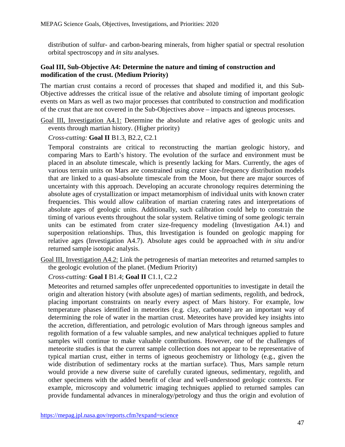distribution of sulfur- and carbon-bearing minerals, from higher spatial or spectral resolution orbital spectroscopy and *in situ* analyses.

#### **Goal III, Sub-Objective A4: Determine the nature and timing of construction and modification of the crust. (Medium Priority)**

The martian crust contains a record of processes that shaped and modified it, and this Sub-Objective addresses the critical issue of the relative and absolute timing of important geologic events on Mars as well as two major processes that contributed to construction and modification of the crust that are not covered in the Sub-Objectives above – impacts and igneous processes.

Goal III, Investigation A4.1: Determine the absolute and relative ages of geologic units and events through martian history. (Higher priority)

## *Cross-cutting:* **Goal II** B1.3, B2.2, C2.1

Temporal constraints are critical to reconstructing the martian geologic history, and comparing Mars to Earth's history. The evolution of the surface and environment must be placed in an absolute timescale, which is presently lacking for Mars. Currently, the ages of various terrain units on Mars are constrained using crater size-frequency distribution models that are linked to a quasi-absolute timescale from the Moon, but there are major sources of uncertainty with this approach. Developing an accurate chronology requires determining the absolute ages of crystallization or impact metamorphism of individual units with known crater frequencies. This would allow calibration of martian cratering rates and interpretations of absolute ages of geologic units. Additionally, such calibration could help to constrain the timing of various events throughout the solar system. Relative timing of some geologic terrain units can be estimated from crater size-frequency modeling (Investigation A4.1) and superposition relationships. Thus, this Investigation is founded on geologic mapping for relative ages (Investigation A4.7). Absolute ages could be approached with *in situ* and/or returned sample isotopic analysis.

Goal III, Investigation A4.2: Link the petrogenesis of martian meteorites and returned samples to the geologic evolution of the planet. (Medium Priority)

*Cross-cutting:* **Goal I** B1.4; **Goal II** C1.1, C2.2

Meteorites and returned samples offer unprecedented opportunities to investigate in detail the origin and alteration history (with absolute ages) of martian sediments, regolith, and bedrock, placing important constraints on nearly every aspect of Mars history. For example, low temperature phases identified in meteorites (e.g. clay, carbonate) are an important way of determining the role of water in the martian crust. Meteorites have provided key insights into the accretion, differentiation, and petrologic evolution of Mars through igneous samples and regolith formation of a few valuable samples, and new analytical techniques applied to future samples will continue to make valuable contributions. However, one of the challenges of meteorite studies is that the current sample collection does not appear to be representative of typical martian crust, either in terms of igneous geochemistry or lithology (e.g., given the wide distribution of sedimentary rocks at the martian surface). Thus, Mars sample return would provide a new diverse suite of carefully curated igneous, sedimentary, regolith, and other specimens with the added benefit of clear and well-understood geologic contexts. For example, microscopy and volumetric imaging techniques applied to returned samples can provide fundamental advances in mineralogy/petrology and thus the origin and evolution of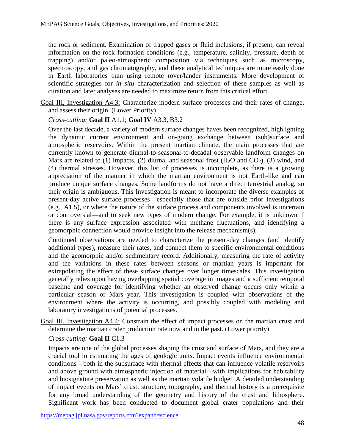the rock or sediment. Examination of trapped gases or fluid inclusions, if present, can reveal information on the rock formation conditions (e.g., temperature, salinity, pressure, depth of trapping) and/or paleo-atmospheric composition via techniques such as microscopy, spectroscopy, and gas chromatography, and these analytical techniques are more easily done in Earth laboratories than using remote rover/lander instruments. More development of scientific strategies for *in situ* characterization and selection of these samples as well as curation and later analyses are needed to maximize return from this critical effort.

Goal III, Investigation A4.3: Characterize modern surface processes and their rates of change, and assess their origin. (Lower Priority)

*Cross-cutting:* **Goal II** A1.1; **Goal IV** A3.3, B3.2

Over the last decade, a variety of modern surface changes haves been recognized, highlighting the dynamic current environment and on-going exchange between (sub)surface and atmospheric reservoirs. Within the present martian climate, the main processes that are currently known to generate diurnal-to-seasonal-to-decadal observable landform changes on Mars are related to (1) impacts, (2) diurnal and seasonal frost ( $H_2O$  and  $CO_2$ ), (3) wind, and (4) thermal stresses. However, this list of processes is incomplete, as there is a growing appreciation of the manner in which the martian environment is not Earth-like and can produce unique surface changes. Some landforms do not have a direct terrestrial analog, so their origin is ambiguous. This Investigation is meant to incorporate the diverse examples of present-day active surface processes—especially those that are outside prior Investigations (e.g., A1.5), or where the nature of the surface process and components involved is uncertain or controversial—and to seek new types of modern change. For example, it is unknown if there is any surface expression associated with methane fluctuations, and identifying a geomorphic connection would provide insight into the release mechanism(s).

Continued observations are needed to characterize the present-day changes (and identify additional types), measure their rates, and connect them to specific environmental conditions and the geomorphic and/or sedimentary record. Additionally, measuring the rate of activity and the variations in these rates between seasons or martian years is important for extrapolating the effect of these surface changes over longer timescales. This investigation generally relies upon having overlapping spatial coverage in images and a sufficient temporal baseline and coverage for identifying whether an observed change occurs only within a particular season or Mars year. This investigation is coupled with observations of the environment where the activity is occurring, and possibly coupled with modeling and laboratory investigations of potential processes.

Goal III, Investigation A4.4: Constrain the effect of impact processes on the martian crust and determine the martian crater production rate now and in the past. (Lower priority)

*Cross-cutting:* **Goal II** C1.3

Impacts are one of the global processes shaping the crust and surface of Mars, and they are a crucial tool in estimating the ages of geologic units. Impact events influence environmental conditions—both in the subsurface with thermal effects that can influence volatile reservoirs and above ground with atmospheric injection of material—with implications for habitability and biosignature preservation as well as the martian volatile budget. A detailed understanding of impact events on Mars' crust, structure, topography, and thermal history is a prerequisite for any broad understanding of the geometry and history of the crust and lithosphere. Significant work has been conducted to document global crater populations and their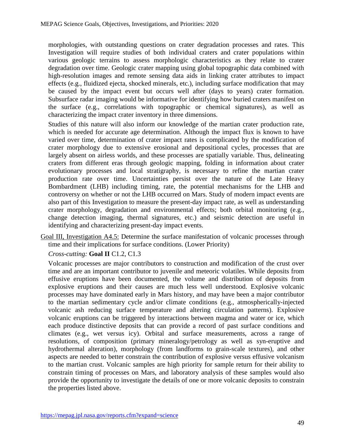morphologies, with outstanding questions on crater degradation processes and rates. This Investigation will require studies of both individual craters and crater populations within various geologic terrains to assess morphologic characteristics as they relate to crater degradation over time. Geologic crater mapping using global topographic data combined with high-resolution images and remote sensing data aids in linking crater attributes to impact effects (e.g., fluidized ejecta, shocked minerals, etc.), including surface modification that may be caused by the impact event but occurs well after (days to years) crater formation*.* Subsurface radar imaging would be informative for identifying how buried craters manifest on the surface (e.g., correlations with topographic or chemical signatures), as well as characterizing the impact crater inventory in three dimensions.

Studies of this nature will also inform our knowledge of the martian crater production rate, which is needed for accurate age determination. Although the impact flux is known to have varied over time, determination of crater impact rates is complicated by the modification of crater morphology due to extensive erosional and depositional cycles, processes that are largely absent on airless worlds, and these processes are spatially variable. Thus, delineating craters from different eras through geologic mapping, folding in information about crater evolutionary processes and local stratigraphy, is necessary to refine the martian crater production rate over time. Uncertainties persist over the nature of the Late Heavy Bombardment (LHB) including timing, rate, the potential mechanisms for the LHB and controversy on whether or not the LHB occurred on Mars. Study of modern impact events are also part of this Investigation to measure the present-day impact rate, as well as understanding crater morphology, degradation and environmental effects; both orbital monitoring (e.g., change detection imaging, thermal signatures, etc.) and seismic detection are useful in identifying and characterizing present-day impact events.

Goal III, Investigation A4.5: Determine the surface manifestation of volcanic processes through time and their implications for surface conditions. (Lower Priority)

*Cross-cutting:* **Goal II** C1.2, C1.3

Volcanic processes are major contributors to construction and modification of the crust over time and are an important contributor to juvenile and meteoric volatiles. While deposits from effusive eruptions have been documented, the volume and distribution of deposits from explosive eruptions and their causes are much less well understood. Explosive volcanic processes may have dominated early in Mars history, and may have been a major contributor to the martian sedimentary cycle and/or climate conditions (e.g., atmospherically-injected volcanic ash reducing surface temperature and altering circulation patterns). Explosive volcanic eruptions can be triggered by interactions between magma and water or ice, which each produce distinctive deposits that can provide a record of past surface conditions and climates (e.g., wet versus icy). Orbital and surface measurements, across a range of resolutions, of composition (primary mineralogy/petrology as well as syn-eruptive and hydrothermal alteration), morphology (from landforms to grain-scale textures), and other aspects are needed to better constrain the contribution of explosive versus effusive volcanism to the martian crust. Volcanic samples are high priority for sample return for their ability to constrain timing of processes on Mars, and laboratory analysis of these samples would also provide the opportunity to investigate the details of one or more volcanic deposits to constrain the properties listed above.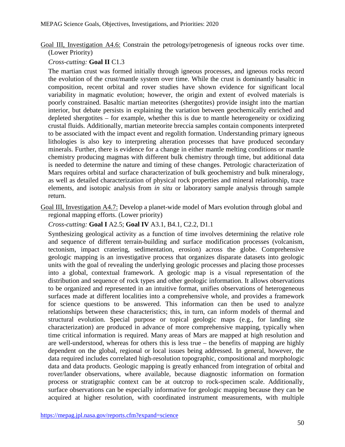Goal III, Investigation A4.6: Constrain the petrology/petrogenesis of igneous rocks over time. (Lower Priority)

## *Cross-cutting:* **Goal II** C1.3

The martian crust was formed initially through igneous processes, and igneous rocks record the evolution of the crust/mantle system over time. While the crust is dominantly basaltic in composition, recent orbital and rover studies have shown evidence for significant local variability in magmatic evolution; however, the origin and extent of evolved materials is poorly constrained. Basaltic martian meteorites (shergotites) provide insight into the martian interior, but debate persists in explaining the variation between geochemically enriched and depleted shergotites – for example, whether this is due to mantle heterogeneity or oxidizing crustal fluids. Additionally, martian meteorite breccia samples contain components interpreted to be associated with the impact event and regolith formation. Understanding primary igneous lithologies is also key to interpreting alteration processes that have produced secondary minerals. Further, there is evidence for a change in either mantle melting conditions or mantle chemistry producing magmas with different bulk chemistry through time, but additional data is needed to determine the nature and timing of these changes. Petrologic characterization of Mars requires orbital and surface characterization of bulk geochemistry and bulk mineralogy, as well as detailed characterization of physical rock properties and mineral relationship, trace elements, and isotopic analysis from *in situ* or laboratory sample analysis through sample return.

Goal III, Investigation A4.7: Develop a planet-wide model of Mars evolution through global and regional mapping efforts. (Lower priority)

*Cross-cutting:* **Goal I** A2.5; **Goal IV** A3.1, B4.1, C2.2, D1.1

Synthesizing geological activity as a function of time involves determining the relative role and sequence of different terrain-building and surface modification processes (volcanism, tectonism, impact cratering, sedimentation, erosion) across the globe. Comprehensive geologic mapping is an investigative process that organizes disparate datasets into geologic units with the goal of revealing the underlying geologic processes and placing those processes into a global, contextual framework. A geologic map is a visual representation of the distribution and sequence of rock types and other geologic information. It allows observations to be organized and represented in an intuitive format, unifies observations of heterogeneous surfaces made at different localities into a comprehensive whole, and provides a framework for science questions to be answered. This information can then be used to analyze relationships between these characteristics; this, in turn, can inform models of thermal and structural evolution. Special purpose or topical geologic maps (e.g., for landing site characterization) are produced in advance of more comprehensive mapping, typically when time critical information is required. Many areas of Mars are mapped at high resolution and are well-understood, whereas for others this is less true – the benefits of mapping are highly dependent on the global, regional or local issues being addressed. In general, however, the data required includes correlated high-resolution topographic, compositional and morphologic data and data products. Geologic mapping is greatly enhanced from integration of orbital and rover/lander observations, where available, because diagnostic information on formation process or stratigraphic context can be at outcrop to rock-specimen scale. Additionally, surface observations can be especially informative for geologic mapping because they can be acquired at higher resolution, with coordinated instrument measurements, with multiple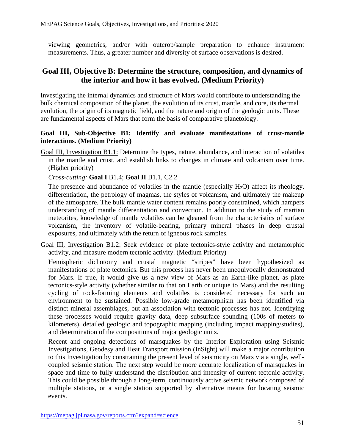viewing geometries, and/or with outcrop/sample preparation to enhance instrument measurements. Thus, a greater number and diversity of surface observations is desired.

# **Goal III, Objective B: Determine the structure, composition, and dynamics of the interior and how it has evolved. (Medium Priority)**

Investigating the internal dynamics and structure of Mars would contribute to understanding the bulk chemical composition of the planet, the evolution of its crust, mantle, and core, its thermal evolution, the origin of its magnetic field, and the nature and origin of the geologic units. These are fundamental aspects of Mars that form the basis of comparative planetology.

#### **Goal III, Sub-Objective B1: Identify and evaluate manifestations of crust-mantle interactions. (Medium Priority)**

Goal III, Investigation B1.1: Determine the types, nature, abundance, and interaction of volatiles in the mantle and crust, and establish links to changes in climate and volcanism over time. (Higher priority)

*Cross-cutting:* **Goal I** B1.4; **Goal II** B1.1, C2.2

The presence and abundance of volatiles in the mantle (especially  $H_2O$ ) affect its rheology, differentiation, the petrology of magmas, the styles of volcanism, and ultimately the makeup of the atmosphere. The bulk mantle water content remains poorly constrained, which hampers understanding of mantle differentiation and convection. In addition to the study of martian meteorites, knowledge of mantle volatiles can be gleaned from the characteristics of surface volcanism, the inventory of volatile-bearing, primary mineral phases in deep crustal exposures, and ultimately with the return of igneous rock samples.

Goal III, Investigation B1.2: Seek evidence of plate tectonics-style activity and metamorphic activity, and measure modern tectonic activity. (Medium Priority)

Hemispheric dichotomy and crustal magnetic "stripes" have been hypothesized as manifestations of plate tectonics. But this process has never been unequivocally demonstrated for Mars. If true, it would give us a new view of Mars as an Earth-like planet, as plate tectonics-style activity (whether similar to that on Earth or unique to Mars) and the resulting cycling of rock-forming elements and volatiles is considered necessary for such an environment to be sustained. Possible low-grade metamorphism has been identified via distinct mineral assemblages, but an association with tectonic processes has not. Identifying these processes would require gravity data, deep subsurface sounding (100s of meters to kilometers), detailed geologic and topographic mapping (including impact mapping/studies), and determination of the compositions of major geologic units.

Recent and ongoing detections of marsquakes by the Interior Exploration using Seismic Investigations, Geodesy and Heat Transport mission (InSight) will make a major contribution to this Investigation by constraining the present level of seismicity on Mars via a single, wellcoupled seismic station. The next step would be more accurate localization of marsquakes in space and time to fully understand the distribution and intensity of current tectonic activity. This could be possible through a long-term, continuously active seismic network composed of multiple stations, or a single station supported by alternative means for locating seismic events.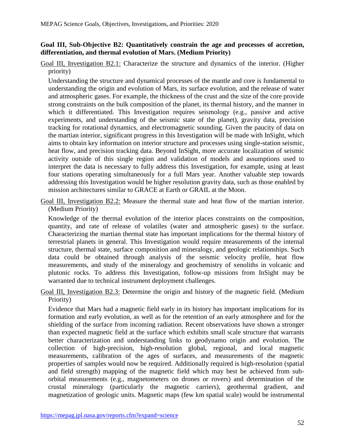#### **Goal III, Sub-Objective B2: Quantitatively constrain the age and processes of accretion, differentiation, and thermal evolution of Mars. (Medium Priority)**

Goal III, Investigation B2.1: Characterize the structure and dynamics of the interior. (Higher priority)

Understanding the structure and dynamical processes of the mantle and core is fundamental to understanding the origin and evolution of Mars, its surface evolution, and the release of water and atmospheric gases. For example, the thickness of the crust and the size of the core provide strong constraints on the bulk composition of the planet, its thermal history, and the manner in which it differentiated. This Investigation requires seismology (e.g., passive and active experiments, and understanding of the seismic state of the planet), gravity data, precision tracking for rotational dynamics, and electromagnetic sounding. Given the paucity of data on the martian interior, significant progress in this Investigation will be made with InSight, which aims to obtain key information on interior structure and processes using single-station seismic, heat flow, and precision tracking data. Beyond InSight, more accurate localization of seismic activity outside of this single region and validation of models and assumptions used to interpret the data is necessary to fully address this Investigation, for example, using at least four stations operating simultaneously for a full Mars year. Another valuable step towards addressing this Investigation would be higher resolution gravity data, such as those enabled by mission architectures similar to GRACE at Earth or GRAIL at the Moon.

Goal III, Investigation B2.2: Measure the thermal state and heat flow of the martian interior. (Medium Priority)

Knowledge of the thermal evolution of the interior places constraints on the composition, quantity, and rate of release of volatiles (water and atmospheric gases) to the surface. Characterizing the martian thermal state has important implications for the thermal history of terrestrial planets in general. This Investigation would require measurements of the internal structure, thermal state, surface composition and mineralogy, and geologic relationships. Such data could be obtained through analysis of the seismic velocity profile, heat flow measurements, and study of the mineralogy and geochemistry of xenoliths in volcanic and plutonic rocks. To address this Investigation, follow-up missions from InSight may be warranted due to technical instrument deployment challenges.

Goal III, Investigation B2.3: Determine the origin and history of the magnetic field. (Medium Priority)

Evidence that Mars had a magnetic field early in its history has important implications for its formation and early evolution, as well as for the retention of an early atmosphere and for the shielding of the surface from incoming radiation. Recent observations have shown a stronger than expected magnetic field at the surface which exhibits small scale structure that warrants better characterization and understanding links to geodynamo origin and evolution. The collection of high-precision, high-resolution global, regional, and local magnetic measurements, calibration of the ages of surfaces, and measurements of the magnetic properties of samples would now be required. Additionally required is high-resolution (spatial and field strength) mapping of the magnetic field which may best be achieved from suborbital measurements (e.g., magnetometers on drones or rovers) and determination of the crustal mineralogy (particularly the magnetic carriers), geothermal gradient, and magnetization of geologic units. Magnetic maps (few km spatial scale) would be instrumental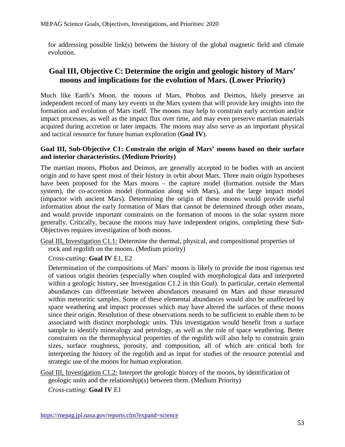for addressing possible link(s) between the history of the global magnetic field and climate evolution.

# **Goal III, Objective C: Determine the origin and geologic history of Mars' moons and implications for the evolution of Mars. (Lower Priority)**

Much like Earth's Moon, the moons of Mars, Phobos and Deimos, likely preserve an independent record of many key events in the Mars system that will provide key insights into the formation and evolution of Mars itself. The moons may help to constrain early accretion and/or impact processes, as well as the impact flux over time, and may even preserve martian materials acquired during accretion or later impacts. The moons may also serve as an important physical and tactical resource for future human exploration (**Goal IV**).

#### **Goal III, Sub-Objective C1: Constrain the origin of Mars' moons based on their surface and interior characteristics. (Medium Priority)**

The martian moons, Phobos and Deimos, are generally accepted to be bodies with an ancient origin and to have spent most of their history in orbit about Mars. Three main origin hypotheses have been proposed for the Mars moons – the capture model (formation outside the Mars system), the co-accretion model (formation along with Mars), and the large impact model (impactor with ancient Mars). Determining the origin of these moons would provide useful information about the early formation of Mars that cannot be determined through other means, and would provide important constraints on the formation of moons in the solar system more generally. Critically, because the moons may have independent origins, completing these Sub-Objectives requires investigation of both moons.

Goal III, Investigation C1.1: Determine the thermal, physical, and compositional properties of rock and regolith on the moons. (Medium priority)

*Cross-cutting:* **Goal IV** E1, E2

Determination of the compositions of Mars' moons is likely to provide the most rigorous test of various origin theories (especially when coupled with morphological data and interpreted within a geologic history, see Investigation C1.2 in this Goal). In particular, certain elemental abundances can differentiate between abundances measured on Mars and those measured within meteoritic samples. Some of these elemental abundances would also be unaffected by space weathering and impact processes which may have altered the surfaces of these moons since their origin. Resolution of these observations needs to be sufficient to enable them to be associated with distinct morphologic units. This investigation would benefit from a surface sample to identify mineralogy and petrology, as well as the role of space weathering. Better constraints on the thermophysical properties of the regolith will also help to constrain grain sizes, surface roughness, porosity, and composition, all of which are critical both for interpreting the history of the regolith and as input for studies of the resource potential and strategic use of the moons for human exploration.

#### Goal III, Investigation C1.2: Interpret the geologic history of the moons, by identification of geologic units and the relationship(s) between them. (Medium Priority) *Cross-cutting:* **Goal IV** E1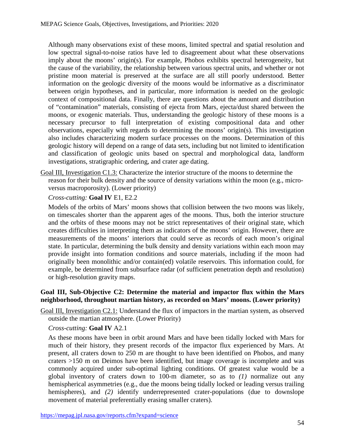Although many observations exist of these moons, limited spectral and spatial resolution and low spectral signal-to-noise ratios have led to disagreement about what these observations imply about the moons' origin(s). For example, Phobos exhibits spectral heterogeneity, but the cause of the variability, the relationship between various spectral units, and whether or not pristine moon material is preserved at the surface are all still poorly understood. Better information on the geologic diversity of the moons would be informative as a discriminator between origin hypotheses, and in particular, more information is needed on the geologic context of compositional data. Finally, there are questions about the amount and distribution of "contamination" materials, consisting of ejecta from Mars, ejecta/dust shared between the moons, or exogenic materials. Thus, understanding the geologic history of these moons is a necessary precursor to full interpretation of existing compositional data and other observations, especially with regards to determining the moons' origin(s). This investigation also includes characterizing modern surface processes on the moons. Determination of this geologic history will depend on a range of data sets, including but not limited to identification and classification of geologic units based on spectral and morphological data, landform investigations, stratigraphic ordering, and crater age dating.

Goal III, Investigation C1.3: Characterize the interior structure of the moons to determine the reason for their bulk density and the source of density variations within the moon (e.g., microversus macroporosity). (Lower priority)

*Cross-cutting:* **Goal IV** E1, E2.2

Models of the orbits of Mars' moons shows that collision between the two moons was likely, on timescales shorter than the apparent ages of the moons. Thus, both the interior structure and the orbits of these moons may not be strict representatives of their original state, which creates difficulties in interpreting them as indicators of the moons' origin. However, there are measurements of the moons' interiors that could serve as records of each moon's original state. In particular, determining the bulk density and density variations within each moon may provide insight into formation conditions and source materials, including if the moon had originally been monolithic and/or contain(ed) volatile reservoirs. This information could, for example, be determined from subsurface radar (of sufficient penetration depth and resolution) or high-resolution gravity maps.

#### **Goal III, Sub-Objective C2: Determine the material and impactor flux within the Mars neighborhood, throughout martian history, as recorded on Mars' moons. (Lower priority)**

Goal III, Investigation C2.1: Understand the flux of impactors in the martian system, as observed outside the martian atmosphere. (Lower Priority)

*Cross-cutting:* **Goal IV** A2.1

As these moons have been in orbit around Mars and have been tidally locked with Mars for much of their history, they present records of the impactor flux experienced by Mars. At present, all craters down to 250 m are thought to have been identified on Phobos, and many craters >150 m on Deimos have been identified, but image coverage is incomplete and was commonly acquired under sub-optimal lighting conditions. Of greatest value would be a global inventory of craters down to 100-m diameter, so as to *(1)* normalize out any hemispherical asymmetries (e.g., due the moons being tidally locked or leading versus trailing hemispheres), and *(2)* identify underrepresented crater-populations (due to downslope movement of material preferentially erasing smaller craters).

<https://mepag.jpl.nasa.gov/reports.cfm?expand=science>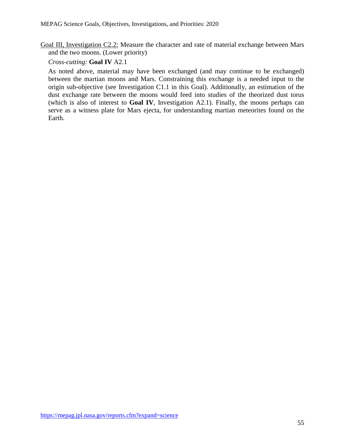Goal III, Investigation C2.2: Measure the character and rate of material exchange between Mars and the two moons. (Lower priority)

#### *Cross-cutting:* **Goal IV** A2.1

As noted above, material may have been exchanged (and may continue to be exchanged) between the martian moons and Mars. Constraining this exchange is a needed input to the origin sub-objective (see Investigation C1.1 in this Goal). Additionally, an estimation of the dust exchange rate between the moons would feed into studies of the theorized dust torus (which is also of interest to **Goal IV**, Investigation A2.1). Finally, the moons perhaps can serve as a witness plate for Mars ejecta, for understanding martian meteorites found on the Earth.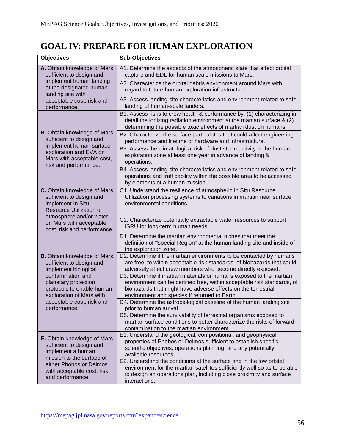# **GOAL IV: PREPARE FOR HUMAN EXPLORATION**

| <b>Objectives</b>                                                                                                                                                                                                                  | <b>Sub-Objectives</b>                                                                                                                                                                                                                                            |
|------------------------------------------------------------------------------------------------------------------------------------------------------------------------------------------------------------------------------------|------------------------------------------------------------------------------------------------------------------------------------------------------------------------------------------------------------------------------------------------------------------|
| A. Obtain knowledge of Mars<br>sufficient to design and<br>implement human landing<br>at the designated human<br>landing site with<br>acceptable cost, risk and<br>performance.                                                    | A1. Determine the aspects of the atmospheric state that affect orbital<br>capture and EDL for human scale missions to Mars.                                                                                                                                      |
|                                                                                                                                                                                                                                    | A2. Characterize the orbital debris environment around Mars with<br>regard to future human exploration infrastructure.                                                                                                                                           |
|                                                                                                                                                                                                                                    | A3. Assess landing-site characteristics and environment related to safe<br>landing of human-scale landers.                                                                                                                                                       |
| <b>B.</b> Obtain knowledge of Mars<br>sufficient to design and<br>implement human surface<br>exploration and EVA on<br>Mars with acceptable cost,<br>risk and performance.                                                         | B1. Assess risks to crew health & performance by: (1) characterizing in<br>detail the ionizing radiation environment at the martian surface $\&$ (2)<br>determining the possible toxic effects of martian dust on humans.                                        |
|                                                                                                                                                                                                                                    | B2. Characterize the surface particulates that could affect engineering<br>performance and lifetime of hardware and infrastructure.                                                                                                                              |
|                                                                                                                                                                                                                                    | B3. Assess the climatological risk of dust storm activity in the human<br>exploration zone at least one year in advance of landing &<br>operations.                                                                                                              |
|                                                                                                                                                                                                                                    | B4. Assess landing-site characteristics and environment related to safe<br>operations and trafficability within the possible area to be accessed<br>by elements of a human mission.                                                                              |
| C. Obtain knowledge of Mars<br>sufficient to design and<br>implement In Situ<br><b>Resource Utilization of</b><br>atmosphere and/or water<br>on Mars with acceptable<br>cost, risk and performance.                                | C1. Understand the resilience of atmospheric In Situ Resource<br>Utilization processing systems to variations in martian near surface<br>environmental conditions.                                                                                               |
|                                                                                                                                                                                                                                    | C2. Characterize potentially extractable water resources to support<br>ISRU for long-term human needs.                                                                                                                                                           |
| D. Obtain knowledge of Mars<br>sufficient to design and<br>implement biological<br>contamination and<br>planetary protection<br>protocols to enable human<br>exploration of Mars with<br>acceptable cost, risk and<br>performance. | D1. Determine the martian environmental niches that meet the<br>definition of "Special Region" at the human landing site and inside of<br>the exploration zone.                                                                                                  |
|                                                                                                                                                                                                                                    | D2. Determine if the martian environments to be contacted by humans<br>are free, to within acceptable risk standards, of biohazards that could<br>adversely affect crew members who become directly exposed.                                                     |
|                                                                                                                                                                                                                                    | D3. Determine if martian materials or humans exposed to the martian<br>environment can be certified free, within acceptable risk standards, of<br>biohazards that might have adverse effects on the terrestrial<br>environment and species if returned to Earth. |
|                                                                                                                                                                                                                                    | D4. Determine the astrobiological baseline of the human landing site<br>prior to human arrival.                                                                                                                                                                  |
|                                                                                                                                                                                                                                    | D5. Determine the survivability of terrestrial organisms exposed to<br>martian surface conditions to better characterize the risks of forward<br>contamination to the martian environment.                                                                       |
| E. Obtain knowledge of Mars<br>sufficient to design and<br>implement a human<br>mission to the surface of<br>either Phobos or Deimos<br>with acceptable cost, risk,<br>and performance.                                            | E1. Understand the geological, compositional, and geophysical<br>properties of Phobos or Deimos sufficient to establish specific<br>scientfic objectives, operations planning, and any potentially<br>available resources.                                       |
|                                                                                                                                                                                                                                    | E2. Understand the conditions at the surface and in the low orbital<br>environment for the martian satellites sufficiently well so as to be able<br>to design an operations plan, including close proximity and surface<br>interactions.                         |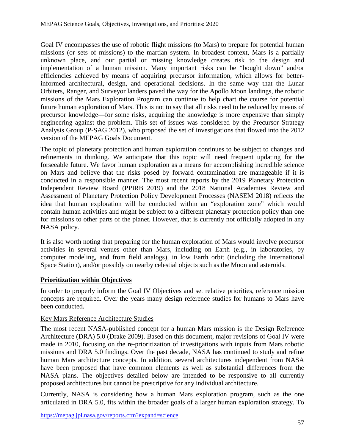Goal IV encompasses the use of robotic flight missions (to Mars) to prepare for potential human missions (or sets of missions) to the martian system. In broadest context, Mars is a partially unknown place, and our partial or missing knowledge creates risk to the design and implementation of a human mission. Many important risks can be "bought down" and/or efficiencies achieved by means of acquiring precursor information, which allows for betterinformed architectural, design, and operational decisions. In the same way that the Lunar Orbiters, Ranger, and Surveyor landers paved the way for the Apollo Moon landings, the robotic missions of the Mars Exploration Program can continue to help chart the course for potential future human exploration of Mars. This is not to say that all risks need to be reduced by means of precursor knowledge—for some risks, acquiring the knowledge is more expensive than simply engineering against the problem. This set of issues was considered by the Precursor Strategy Analysis Group (P-SAG 2012), who proposed the set of investigations that flowed into the 2012 version of the MEPAG Goals Document.

The topic of planetary protection and human exploration continues to be subject to changes and refinements in thinking. We anticipate that this topic will need frequent updating for the forseeable future. We favor human exploration as a means for accomplishing incredible science on Mars and believe that the risks posed by forward contamination are manageable if it is conducted in a responsible manner. The most recent reports by the 2019 Planetary Protection Independent Review Board (PPIRB 2019) and the 2018 National Academies Review and Assessment of Planetary Protection Policy Development Processes (NASEM 2018) reflects the idea that human exploration will be conducted within an "exploration zone" which would contain human activities and might be subject to a different planetary protection policy than one for missions to other parts of the planet. However, that is currently not officially adopted in any NASA policy.

It is also worth noting that preparing for the human exploration of Mars would involve precursor activities in several venues other than Mars, including on Earth (e.g., in laboratories, by computer modeling, and from field analogs), in low Earth orbit (including the International Space Station), and/or possibly on nearby celestial objects such as the Moon and asteroids.

#### **Prioritization within Objectives**

In order to properly inform the Goal IV Objectives and set relative priorities, reference mission concepts are required. Over the years many design reference studies for humans to Mars have been conducted.

#### Key Mars Reference Architecture Studies

The most recent NASA-published concept for a human Mars mission is the Design Reference Architecture (DRA) 5.0 (Drake 2009). Based on this document, major revisions of Goal IV were made in 2010, focusing on the re-prioritization of investigations with inputs from Mars robotic missions and DRA 5.0 findings. Over the past decade, NASA has continued to study and refine human Mars architecture concepts. In addition, several architectures independent from NASA have been proposed that have common elements as well as substantial differences from the NASA plans. The objectives detailed below are intended to be responsive to all currently proposed architectures but cannot be prescriptive for any individual architecture.

Currently, NASA is considering how a human Mars exploration program, such as the one articulated in DRA 5.0, fits within the broader goals of a larger human exploration strategy. To

<https://mepag.jpl.nasa.gov/reports.cfm?expand=science>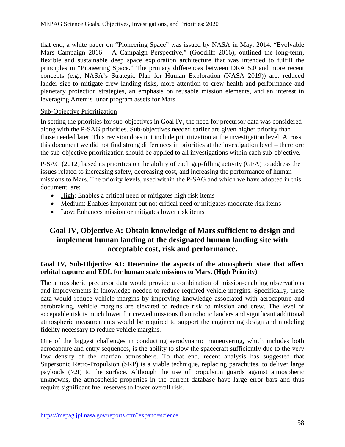that end, a white paper on "Pioneering Space" was issued by NASA in May, 2014. "Evolvable Mars Campaign 2016 – A Campaign Perspective," (Goodliff 2016), outlined the long-term, flexible and sustainable deep space exploration architecture that was intended to fulfill the principles in "Pioneering Space." The primary differences between DRA 5.0 and more recent concepts (e.g., NASA's Strategic Plan for Human Exploration (NASA 2019)) are: reduced lander size to mitigate crew landing risks, more attention to crew health and performance and planetary protection strategies, an emphasis on reusable mission elements, and an interest in leveraging Artemis lunar program assets for Mars.

#### Sub-Objective Prioritization

In setting the priorities for sub-objectives in Goal IV, the need for precursor data was considered along with the P-SAG priorities. Sub-objectives needed earlier are given higher priority than those needed later. This revision does not include prioritization at the investigation level. Across this document we did not find strong differences in priorities at the investigation level – therefore the sub-objective prioritization should be applied to all investigations within each sub-objective.

P-SAG (2012) based its priorities on the ability of each gap-filling activity (GFA) to address the issues related to increasing safety, decreasing cost, and increasing the performance of human missions to Mars. The priority levels, used within the P-SAG and which we have adopted in this document, are:

- High: Enables a critical need or mitigates high risk items
- Medium: Enables important but not critical need or mitigates moderate risk items
- Low: Enhances mission or mitigates lower risk items

# **Goal IV, Objective A: Obtain knowledge of Mars sufficient to design and implement human landing at the designated human landing site with acceptable cost, risk and performance.**

## **Goal IV, Sub-Objective A1: Determine the aspects of the atmospheric state that affect orbital capture and EDL for human scale missions to Mars. (High Priority)**

The atmospheric precursor data would provide a combination of mission-enabling observations and improvements in knowledge needed to reduce required vehicle margins. Specifically, these data would reduce vehicle margins by improving knowledge associated with aerocapture and aerobraking, vehicle margins are elevated to reduce risk to mission and crew. The level of acceptable risk is much lower for crewed missions than robotic landers and significant additional atmospheric measurements would be required to support the engineering design and modeling fidelity necessary to reduce vehicle margins.

One of the biggest challenges in conducting aerodynamic maneuvering, which includes both aerocapture and entry sequences, is the ability to slow the spacecraft sufficiently due to the very low density of the martian atmosphere. To that end, recent analysis has suggested that Supersonic Retro-Propulsion (SRP) is a viable technique, replacing parachutes, to deliver large payloads (>2t) to the surface. Although the use of propulsion guards against atmospheric unknowns, the atmospheric properties in the current database have large error bars and thus require significant fuel reserves to lower overall risk.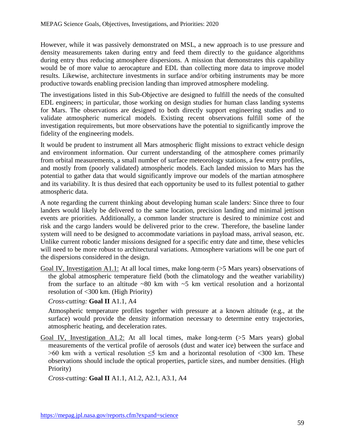However, while it was passively demonstrated on MSL, a new approach is to use pressure and density measurements taken during entry and feed them directly to the guidance algorithms during entry thus reducing atmosphere dispersions. A mission that demonstrates this capability would be of more value to aerocapture and EDL than collecting more data to improve model results. Likewise, architecture investments in surface and/or orbiting instruments may be more productive towards enabling precision landing than improved atmosphere modeling.

The investigations listed in this Sub-Objective are designed to fulfill the needs of the consulted EDL engineers; in particular, those working on design studies for human class landing systems for Mars. The observations are designed to both directly support engineering studies and to validate atmospheric numerical models. Existing recent observations fulfill some of the investigation requirements, but more observations have the potential to significantly improve the fidelity of the engineering models.

It would be prudent to instrument all Mars atmospheric flight missions to extract vehicle design and environment information. Our current understanding of the atmosphere comes primarily from orbital measurements, a small number of surface meteorology stations, a few entry profiles, and mostly from (poorly validated) atmospheric models. Each landed mission to Mars has the potential to gather data that would significantly improve our models of the martian atmosphere and its variability. It is thus desired that each opportunity be used to its fullest potential to gather atmospheric data.

A note regarding the current thinking about developing human scale landers: Since three to four landers would likely be delivered to the same location, precision landing and minimal jettison events are priorities. Additionally, a common lander structure is desired to minimize cost and risk and the cargo landers would be delivered prior to the crew. Therefore, the baseline lander system will need to be designed to accommodate variations in payload mass, arrival season, etc. Unlike current robotic lander missions designed for a specific entry date and time, these vehicles will need to be more robust to architectural variations. Atmosphere variations will be one part of the dispersions considered in the design.

Goal IV, Investigation A1.1: At all local times, make long-term (>5 Mars years) observations of the global atmospheric temperature field (both the climatology and the weather variability) from the surface to an altitude  $\sim 80$  km with  $\sim 5$  km vertical resolution and a horizontal resolution of <300 km. (High Priority)

#### *Cross-cutting:* **Goal II** A1.1, A4

Atmospheric temperature profiles together with pressure at a known altitude (e.g., at the surface) would provide the density information necessary to determine entry trajectories, atmospheric heating, and deceleration rates.

Goal IV, Investigation A1.2: At all local times, make long-term (>5 Mars years) global measurements of the vertical profile of aerosols (dust and water ice) between the surface and  $>60$  km with a vertical resolution  $\leq$ 5 km and a horizontal resolution of  $<$ 300 km. These observations should include the optical properties, particle sizes, and number densities. (High Priority)

*Cross-cutting:* **Goal II** A1.1, A1.2, A2.1, A3.1, A4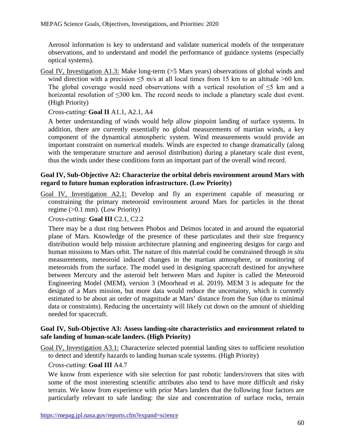Aerosol information is key to understand and validate numerical models of the temperature observations, and to understand and model the performance of guidance systems (especially optical systems).

Goal IV, Investigation A1.3: Make long-term (>5 Mars years) observations of global winds and wind direction with a precision  $\leq 5$  m/s at all local times from 15 km to an altitude >60 km. The global coverage would need observations with a vertical resolution of  $\leq$ 5 km and a horizontal resolution of  $\leq 300$  km. The record needs to include a planetary scale dust event. (High Priority)

#### *Cross-cutting*: **Goal II** A1.1, A2.1, A4

A better understanding of winds would help allow pinpoint landing of surface systems. In addition, there are currently essentially no global measurements of martian winds, a key component of the dynamical atmospheric system. Wind measurements would provide an important constraint on numerical models. Winds are expected to change dramatically (along with the temperature structure and aerosol distribution) during a planetary scale dust event, thus the winds under these conditions form an important part of the overall wind record.

#### **Goal IV, Sub-Objective A2: Characterize the orbital debris environment around Mars with regard to future human exploration infrastructure. (Low Priority)**

Goal IV, Investigation A2.1: Develop and fly an experiment capable of measuring or constraining the primary meteoroid environment around Mars for particles in the threat regime (>0.1 mm). (Low Priority)

#### *Cross-cutting:* **Goal III** C2.1, C2.2

There may be a dust ring between Phobos and Deimos located in and around the equatorial plane of Mars. Knowledge of the presence of these particulates and their size frequency distribution would help mission architecture planning and engineering designs for cargo and human missions to Mars orbit. The nature of this material could be constrained through *in situ*  measurements, meteoroid induced changes in the martian atmosphere, or monitoring of meteoroids from the surface. The model used in designing spacecraft destined for anywhere between Mercury and the asteroid belt between Mars and Jupiter is called the Meteoroid Engineering Model (MEM), version 3 (Moorhead et al. 2019). MEM 3 is adequate for the design of a Mars mission, but more data would reduce the uncertainty, which is currently estimated to be about an order of magnitude at Mars' distance from the Sun (due to minimal data or constraints). Reducing the uncertainty will likely cut down on the amount of shielding needed for spacecraft.

#### **Goal IV, Sub-Objective A3: Assess landing-site characteristics and environment related to safe landing of human-scale landers. (High Priority)**

Goal IV, Investigation A3.1: Characterize selected potential landing sites to sufficient resolution to detect and identify hazards to landing human scale systems. (High Priority)

#### *Cross-cutting*: **Goal III** A4.7

We know from experience with site selection for past robotic landers/rovers that sites with some of the most interesting scientific attributes also tend to have more difficult and risky terrain. We know from experience with prior Mars landers that the following four factors are particularly relevant to safe landing: the size and concentration of surface rocks, terrain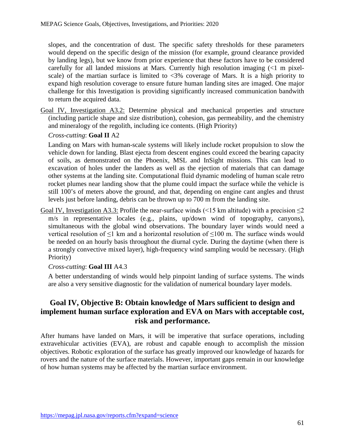slopes, and the concentration of dust. The specific safety thresholds for these parameters would depend on the specific design of the mission (for example, ground clearance provided by landing legs), but we know from prior experience that these factors have to be considered carefully for all landed missions at Mars. Currently high resolution imaging  $\ll 1$  m pixelscale) of the martian surface is limited to  $\langle 3\%$  coverage of Mars. It is a high priority to expand high resolution coverage to ensure future human landing sites are imaged. One major challenge for this Investigation is providing significantly increased communication bandwith to return the acquired data.

Goal IV, Investigation A3.2: Determine physical and mechanical properties and structure (including particle shape and size distribution), cohesion, gas permeability, and the chemistry and mineralogy of the regolith, including ice contents. (High Priority)

## *Cross-cutting*: **Goal II** A2

Landing on Mars with human-scale systems will likely include rocket propulsion to slow the vehicle down for landing. Blast ejecta from descent engines could exceed the bearing capacity of soils, as demonstrated on the Phoenix, MSL and InSight missions. This can lead to excavation of holes under the landers as well as the ejection of materials that can damage other systems at the landing site. Computational fluid dynamic modeling of human scale retro rocket plumes near landing show that the plume could impact the surface while the vehicle is still 100's of meters above the ground, and that, depending on engine cant angles and thrust levels just before landing, debris can be thrown up to 700 m from the landing site.

Goal IV, Investigation A3.3: Profile the near-surface winds (<15 km altitude) with a precision  $\leq$ 2 m/s in representative locales (e.g., plains, up/down wind of topography, canyons), simultaneous with the global wind observations. The boundary layer winds would need a vertical resolution of ≤1 km and a horizontal resolution of ≤100 m. The surface winds would be needed on an hourly basis throughout the diurnal cycle. During the daytime (when there is a strongly convective mixed layer), high-frequency wind sampling would be necessary. (High Priority)

# *Cross-cutting*: **Goal III** A4.3

A better understanding of winds would help pinpoint landing of surface systems. The winds are also a very sensitive diagnostic for the validation of numerical boundary layer models.

# **Goal IV, Objective B: Obtain knowledge of Mars sufficient to design and implement human surface exploration and EVA on Mars with acceptable cost, risk and performance.**

After humans have landed on Mars, it will be imperative that surface operations, including extravehicular activities (EVA), are robust and capable enough to accomplish the mission objectives. Robotic exploration of the surface has greatly improved our knowledge of hazards for rovers and the nature of the surface materials. However, important gaps remain in our knowledge of how human systems may be affected by the martian surface environment.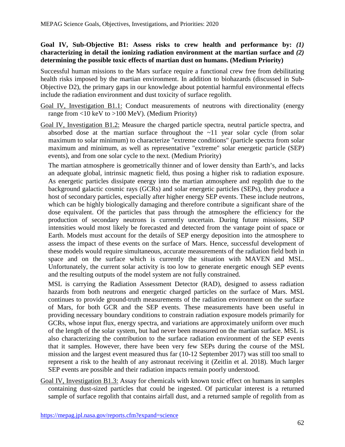#### **Goal IV, Sub-Objective B1: Assess risks to crew health and performance by:** *(1)* **characterizing in detail the ionizing radiation environment at the martian surface and** *(2)* **determining the possible toxic effects of martian dust on humans. (Medium Priority)**

Successful human missions to the Mars surface require a functional crew free from debilitating health risks imposed by the martian environment. In addition to biohazards (discussed in Sub-Objective D2), the primary gaps in our knowledge about potential harmful environmental effects include the radiation environment and dust toxicity of surface regolith.

- Goal IV, Investigation B1.1: Conduct measurements of neutrons with directionality (energy range from  $\langle 10 \text{ keV} \text{ to } \rangle = 100 \text{ MeV}$ ). (Medium Priority)
- Goal IV, Investigation B1.2: Measure the charged particle spectra, neutral particle spectra, and absorbed dose at the martian surface throughout the ~11 year solar cycle (from solar maximum to solar minimum) to characterize "extreme conditions" (particle spectra from solar maximum and minimum, as well as representative "extreme" solar energetic particle (SEP) events), and from one solar cycle to the next. (Medium Priority)

The martian atmosphere is geometrically thinner and of lower density than Earth's, and lacks an adequate global, intrinsic magnetic field, thus posing a higher risk to radiation exposure. As energetic particles dissipate energy into the martian atmosphere and regolith due to the background galactic cosmic rays (GCRs) and solar energetic particles (SEPs), they produce a host of secondary particles, especially after higher energy SEP events. These include neutrons, which can be highly biologically damaging and therefore contribute a significant share of the dose equivalent. Of the particles that pass through the atmosphere the efficiency for the production of secondary neutrons is currently uncertain. During future missions, SEP intensities would most likely be forecasted and detected from the vantage point of space or Earth. Models must account for the details of SEP energy deposition into the atmosphere to assess the impact of these events on the surface of Mars. Hence, successful development of these models would require simultaneous, accurate measurements of the radiation field both in space and on the surface which is currently the situation with MAVEN and MSL. Unfortunately, the current solar activity is too low to generate energetic enough SEP events and the resulting outputs of the model system are not fully constrained.

MSL is carrying the Radiation Assessment Detector (RAD), designed to assess radiation hazards from both neutrons and energetic charged particles on the surface of Mars. MSL continues to provide ground-truth measurements of the radiation environment on the surface of Mars, for both GCR and the SEP events. These measurements have been useful in providing necessary boundary conditions to constrain radiation exposure models primarily for GCRs, whose input flux, energy spectra, and variations are approximately uniform over much of the length of the solar system, but had never been measured on the martian surface. MSL is also characterizing the contribution to the surface radiation environment of the SEP events that it samples. However, there have been very few SEPs during the course of the MSL mission and the largest event measured thus far (10-12 September 2017) was still too small to represent a risk to the health of any astronaut receiving it (Zeitlin et al. 2018). Much larger SEP events are possible and their radiation impacts remain poorly understood.

Goal IV, Investigation B1.3: Assay for chemicals with known toxic effect on humans in samples containing dust-sized particles that could be ingested. Of particular interest is a returned sample of surface regolith that contains airfall dust, and a returned sample of regolith from as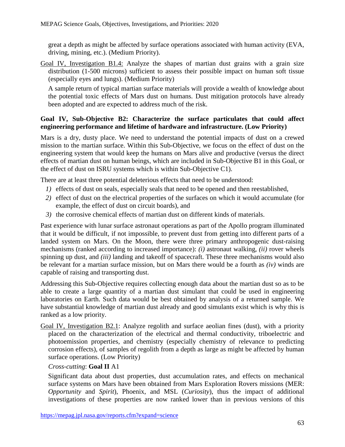great a depth as might be affected by surface operations associated with human activity (EVA, driving, mining, etc.). (Medium Priority).

Goal IV, Investigation B1.4: Analyze the shapes of martian dust grains with a grain size distribution (1-500 microns) sufficient to assess their possible impact on human soft tissue (especially eyes and lungs). (Medium Priority)

A sample return of typical martian surface materials will provide a wealth of knowledge about the potential toxic effects of Mars dust on humans. Dust mitigation protocols have already been adopted and are expected to address much of the risk.

#### **Goal IV, Sub-Objective B2: Characterize the surface particulates that could affect engineering performance and lifetime of hardware and infrastructure. (Low Priority)**

Mars is a dry, dusty place. We need to understand the potential impacts of dust on a crewed mission to the martian surface. Within this Sub-Objective, we focus on the effect of dust on the engineering system that would keep the humans on Mars alive and productive (versus the direct effects of martian dust on human beings, which are included in Sub-Objective B1 in this Goal, or the effect of dust on ISRU systems which is within Sub-Objective C1).

There are at least three potential deleterious effects that need to be understood:

- *1)* effects of dust on seals, especially seals that need to be opened and then reestablished,
- *2)* effect of dust on the electrical properties of the surfaces on which it would accumulate (for example, the effect of dust on circuit boards), and
- *3)* the corrosive chemical effects of martian dust on different kinds of materials.

Past experience with lunar surface astronaut operations as part of the Apollo program illuminated that it would be difficult, if not impossible, to prevent dust from getting into different parts of a landed system on Mars. On the Moon, there were three primary anthropogenic dust-raising mechanisms (ranked according to increased importance): *(i)* astronaut walking, *(ii)* rover wheels spinning up dust, and *(iii)* landing and takeoff of spacecraft. These three mechanisms would also be relevant for a martian surface mission, but on Mars there would be a fourth as *(iv)* winds are capable of raising and transporting dust.

Addressing this Sub-Objective requires collecting enough data about the martian dust so as to be able to create a large quantity of a martian dust simulant that could be used in engineering laboratories on Earth. Such data would be best obtained by analysis of a returned sample. We have substantial knowledge of martian dust already and good simulants exist which is why this is ranked as a low priority.

Goal IV, Investigation B2.1: Analyze regolith and surface aeolian fines (dust), with a priority placed on the characterization of the electrical and thermal conductivity, triboelectric and photoemission properties, and chemistry (especially chemistry of relevance to predicting corrosion effects), of samples of regolith from a depth as large as might be affected by human surface operations. (Low Priority)

# *Cross-cutting*: **Goal II** A1

Significant data about dust properties, dust accumulation rates, and effects on mechanical surface systems on Mars have been obtained from Mars Exploration Rovers missions (MER: *Opportunity* and *Spirit*), Phoenix, and MSL (*Curiosity*), thus the impact of additional investigations of these properties are now ranked lower than in previous versions of this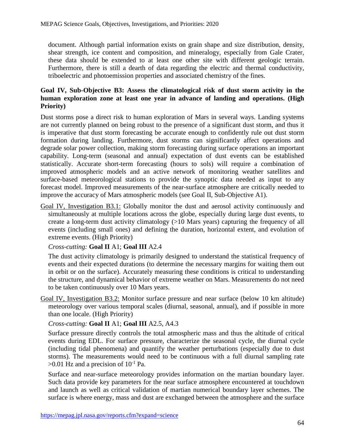document. Although partial information exists on grain shape and size distribution, density, shear strength, ice content and composition, and mineralogy, especially from Gale Crater, these data should be extended to at least one other site with different geologic terrain. Furthermore, there is still a dearth of data regarding the electric and thermal conductivity, triboelectric and photoemission properties and associated chemistry of the fines.

#### **Goal IV, Sub-Objective B3: Assess the climatological risk of dust storm activity in the human exploration zone at least one year in advance of landing and operations. (High Priority)**

Dust storms pose a direct risk to human exploration of Mars in several ways. Landing systems are not currently planned on being robust to the presence of a significant dust storm, and thus it is imperative that dust storm forecasting be accurate enough to confidently rule out dust storm formation during landing. Furthermore, dust storms can significantly affect operations and degrade solar power collection, making storm forecasting during surface operations an important capability. Long-term (seasonal and annual) expectation of dust events can be established statistically. Accurate short-term forecasting (hours to sols) will require a combination of improved atmospheric models and an active network of monitoring weather satellites and surface-based meteorological stations to provide the synoptic data needed as input to any forecast model. Improved measurements of the near-surface atmosphere are critically needed to improve the accuracy of Mars atmospheric models (see Goal II, Sub-Objective A1).

Goal IV, Investigation B3.1: Globally monitor the dust and aerosol activity continuously and simultaneously at multiple locations across the globe, especially during large dust events, to create a long-term dust activity climatology (>10 Mars years) capturing the frequency of all events (including small ones) and defining the duration, horizontal extent, and evolution of extreme events. (High Priority)

*Cross-cutting:* **Goal II** A1; **Goal III** A2.4

The dust activity climatology is primarily designed to understand the statistical frequency of events and their expected durations (to determine the necessary margins for waiting them out in orbit or on the surface). Accurately measuring these conditions is critical to understanding the structure, and dynamical behavior of extreme weather on Mars. Measurements do not need to be taken continuously over 10 Mars years.

Goal IV, Investigation B3.2: Monitor surface pressure and near surface (below 10 km altitude) meteorology over various temporal scales (diurnal, seasonal, annual), and if possible in more than one locale. (High Priority)

*Cross-cutting:* **Goal II** A1; **Goal III** A2.5, A4.3

Surface pressure directly controls the total atmospheric mass and thus the altitude of critical events during EDL. For surface pressure, characterize the seasonal cycle, the diurnal cycle (including tidal phenomena) and quantify the weather perturbations (especially due to dust storms). The measurements would need to be continuous with a full diurnal sampling rate  $>0.01$  Hz and a precision of  $10^{-1}$  Pa.

Surface and near-surface meteorology provides information on the martian boundary layer. Such data provide key parameters for the near surface atmosphere encountered at touchdown and launch as well as critical validation of martian numerical boundary layer schemes. The surface is where energy, mass and dust are exchanged between the atmosphere and the surface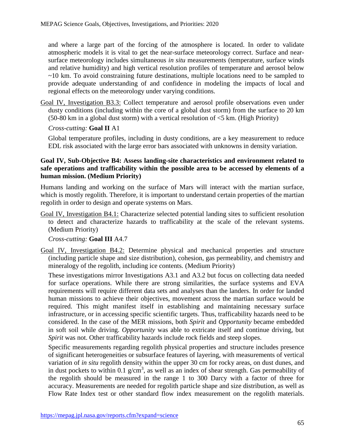and where a large part of the forcing of the atmosphere is located. In order to validate atmospheric models it is vital to get the near-surface meteorology correct. Surface and nearsurface meteorology includes simultaneous *in situ* measurements (temperature, surface winds and relative humidity) and high vertical resolution profiles of temperature and aerosol below ~10 km. To avoid constraining future destinations, multiple locations need to be sampled to provide adequate understanding of and confidence in modeling the impacts of local and regional effects on the meteorology under varying conditions.

Goal IV, Investigation B3.3: Collect temperature and aerosol profile observations even under dusty conditions (including within the core of a global dust storm) from the surface to 20 km (50-80 km in a global dust storm) with a vertical resolution of  $\leq$ 5 km. (High Priority)

#### *Cross-cutting:* **Goal II** A1

Global temperature profiles, including in dusty conditions, are a key measurement to reduce EDL risk associated with the large error bars associated with unknowns in density variation.

#### **Goal IV, Sub-Objective B4: Assess landing-site characteristics and environment related to safe operations and trafficability within the possible area to be accessed by elements of a human mission. (Medium Priority)**

Humans landing and working on the surface of Mars will interact with the martian surface, which is mostly regolith. Therefore, it is important to understand certain properties of the martian regolith in order to design and operate systems on Mars.

Goal IV, Investigation B4.1: Characterize selected potential landing sites to sufficient resolution to detect and characterize hazards to trafficability at the scale of the relevant systems. (Medium Priority)

#### *Cross-cutting:* **Goal III** A4.7

Goal IV, Investigation B4.2: Determine physical and mechanical properties and structure (including particle shape and size distribution), cohesion, gas permeability, and chemistry and mineralogy of the regolith, including ice contents. (Medium Priority)

These investigations mirror Investigations A3.1 and A3.2 but focus on collecting data needed for surface operations. While there are strong similarities, the surface systems and EVA requirements will require different data sets and analyses than the landers. In order for landed human missions to achieve their objectives, movement across the martian surface would be required. This might manifest itself in establishing and maintaining necessary surface infrastructure, or in accessing specific scientific targets. Thus, trafficability hazards need to be considered. In the case of the MER missions, both *Spirit* and *Opportunity* became embedded in soft soil while driving. *Opportunity* was able to extricate itself and continue driving, but *Spirit* was not. Other trafficability hazards include rock fields and steep slopes.

Specific measurements regarding regolith physical properties and structure includes presence of significant heterogeneities or subsurface features of layering, with measurements of vertical variation of *in situ* regolith density within the upper 30 cm for rocky areas, on dust dunes, and in dust pockets to within 0.1  $g/cm<sup>3</sup>$ , as well as an index of shear strength. Gas permeability of the regolith should be measured in the range 1 to 300 Darcy with a factor of three for accuracy. Measurements are needed for regolith particle shape and size distribution, as well as Flow Rate Index test or other standard flow index measurement on the regolith materials.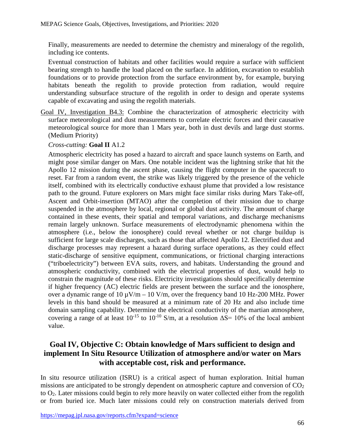Finally, measurements are needed to determine the chemistry and mineralogy of the regolith, including ice contents.

Eventual construction of habitats and other facilities would require a surface with sufficient bearing strength to handle the load placed on the surface. In addition, excavation to establish foundations or to provide protection from the surface environment by, for example, burying habitats beneath the regolith to provide protection from radiation, would require understanding subsurface structure of the regolith in order to design and operate systems capable of excavating and using the regolith materials.

Goal IV, Investigation B4.3: Combine the characterization of atmospheric electricity with surface meteorological and dust measurements to correlate electric forces and their causative meteorological source for more than 1 Mars year, both in dust devils and large dust storms. (Medium Priority)

# *Cross-cutting:* **Goal II** A1.2

Atmospheric electricity has posed a hazard to aircraft and space launch systems on Earth, and might pose similar danger on Mars. One notable incident was the lightning strike that hit the Apollo 12 mission during the ascent phase, causing the flight computer in the spacecraft to reset. Far from a random event, the strike was likely triggered by the presence of the vehicle itself, combined with its electrically conductive exhaust plume that provided a low resistance path to the ground. Future explorers on Mars might face similar risks during Mars Take-off, Ascent and Orbit-insertion (MTAO) after the completion of their mission due to charge suspended in the atmosphere by local, regional or global dust activity. The amount of charge contained in these events, their spatial and temporal variations, and discharge mechanisms remain largely unknown. Surface measurements of electrodynamic phenomena within the atmosphere (i.e., below the ionosphere) could reveal whether or not charge buildup is sufficient for large scale discharges, such as those that affected Apollo 12. Electrified dust and discharge processes may represent a hazard during surface operations, as they could effect static-discharge of sensitive equipment, communications, or frictional charging interactions ("triboelectricity") between EVA suits, rovers, and habitats. Understanding the ground and atmospheric conductivity, combined with the electrical properties of dust, would help to constrain the magnitude of these risks. Electricity investigations should specifically determine if higher frequency (AC) electric fields are present between the surface and the ionosphere, over a dynamic range of  $10 \mu V/m - 10 V/m$ , over the frequency band  $10 Hz$ -200 MHz. Power levels in this band should be measured at a minimum rate of 20 Hz and also include time domain sampling capability. Determine the electrical conductivity of the martian atmosphere, covering a range of at least  $10^{-15}$  to  $10^{-10}$  S/m, at a resolution  $\Delta S = 10\%$  of the local ambient value.

# **Goal IV, Objective C: Obtain knowledge of Mars sufficient to design and implement In Situ Resource Utilization of atmosphere and/or water on Mars with acceptable cost, risk and performance.**

In situ resource utilization (ISRU) is a critical aspect of human exploration. Initial human missions are anticipated to be strongly dependent on atmospheric capture and conversion of  $CO<sub>2</sub>$ to O2. Later missions could begin to rely more heavily on water collected either from the regolith or from buried ice. Much later missions could rely on construction materials derived from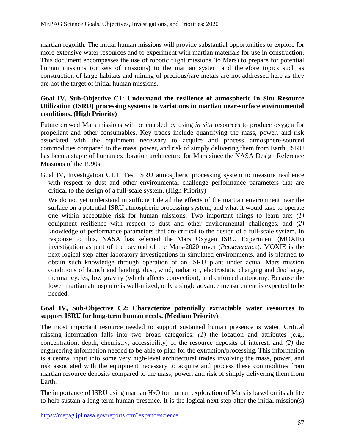martian regolith. The initial human missions will provide substantial opportunities to explore for more extensive water resources and to experiment with martian materials for use in construction. This document encompasses the use of robotic flight missions (to Mars) to prepare for potential human missions (or sets of missions) to the martian system and therefore topics such as construction of large habitats and mining of precious/rare metals are not addressed here as they are not the target of initial human missions.

#### **Goal IV, Sub-Objective C1: Understand the resilience of atmospheric In Situ Resource Utilization (ISRU) processing systems to variations in martian near-surface environmental conditions. (High Priority)**

Future crewed Mars missions will be enabled by using *in situ* resources to produce oxygen for propellant and other consumables. Key trades include quantifying the mass, power, and risk associated with the equipment necessary to acquire and process atmosphere-sourced commodities compared to the mass, power, and risk of simply delivering them from Earth. ISRU has been a staple of human exploration architecture for Mars since the NASA Design Reference Missions of the 1990s.

Goal IV, Investigation C1.1: Test ISRU atmospheric processing system to measure resilience with respect to dust and other environmental challenge performance parameters that are critical to the design of a full-scale system. (High Priority)

We do not yet understand in sufficient detail the effects of the martian environment near the surface on a potential ISRU atmospheric processing system, and what it would take to operate one within acceptable risk for human missions. Two important things to learn are: *(1)* equipment resilience with respect to dust and other environmental challenges, and *(2)* knowledge of performance parameters that are critical to the design of a full-scale system. In response to this, NASA has selected the Mars Oxygen ISRU Experiment (MOXIE) investigation as part of the payload of the Mars-2020 rover (*Perseverance*). MOXIE is the next logical step after laboratory investigations in simulated environments, and is planned to obtain such knowledge through operation of an ISRU plant under actual Mars mission conditions of launch and landing, dust, wind, radiation, electrostatic charging and discharge, thermal cycles, low gravity (which affects convection), and enforced autonomy. Because the lower martian atmosphere is well-mixed, only a single advance measurement is expected to be needed.

#### **Goal IV, Sub-Objective C2: Characterize potentially extractable water resources to support ISRU for long-term human needs. (Medium Priority)**

The most important resource needed to support sustained human presence is water. Critical missing information falls into two broad categories: *(1)* the location and attributes (e.g., concentration, depth, chemistry, accessibility) of the resource deposits of interest, and *(2)* the engineering information needed to be able to plan for the extraction/processing. This information is a central input into some very high-level architectural trades involving the mass, power, and risk associated with the equipment necessary to acquire and process these commodities from martian resource deposits compared to the mass, power, and risk of simply delivering them from Earth.

The importance of ISRU using martian  $H_2O$  for human exploration of Mars is based on its ability to help sustain a long term human presence. It is the logical next step after the initial mission(s)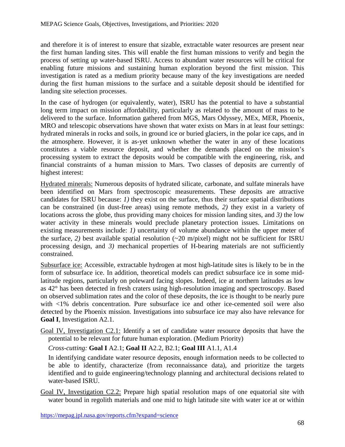and therefore it is of interest to ensure that sizable, extractable water resources are present near the first human landing sites. This will enable the first human missions to verify and begin the process of setting up water-based ISRU. Access to abundant water resources will be critical for enabling future missions and sustaining human exploration beyond the first mission. This investigation is rated as a medium priority because many of the key investigations are needed during the first human missions to the surface and a suitable deposit should be identified for landing site selection processes.

In the case of hydrogen (or equivalently, water), ISRU has the potential to have a substantial long term impact on mission affordability, particularly as related to the amount of mass to be delivered to the surface. Information gathered from MGS, Mars Odyssey, MEx, MER, Phoenix, MRO and telescopic observations have shown that water exists on Mars in at least four settings: hydrated minerals in rocks and soils, in ground ice or buried glaciers, in the polar ice caps, and in the atmosphere. However, it is as-yet unknown whether the water in any of these locations constitutes a viable resource deposit, and whether the demands placed on the mission's processing system to extract the deposits would be compatible with the engineering, risk, and financial constraints of a human mission to Mars. Two classes of deposits are currently of highest interest:

Hydrated minerals: Numerous deposits of hydrated silicate, carbonate, and sulfate minerals have been identified on Mars from spectroscopic measurements. These deposits are attractive candidates for ISRU because: *1)* they exist on the surface, thus their surface spatial distributions can be constrained (in dust-free areas) using remote methods, *2)* they exist in a variety of locations across the globe, thus providing many choices for mission landing sites, and *3)* the low water activity in these minerals would preclude planetary protection issues. Limitations on existing measurements include: *1)* uncertainty of volume abundance within the upper meter of the surface, 2) best available spatial resolution  $(-20 \text{ m/pixel})$  might not be sufficient for ISRU processing design, and *3)* mechanical properties of H-bearing materials are not sufficiently constrained.

Subsurface ice: Accessible, extractable hydrogen at most high-latitude sites is likely to be in the form of subsurface ice. In addition, theoretical models can predict subsurface ice in some midlatitude regions, particularly on poleward facing slopes. Indeed, ice at northern latitudes as low as 42° has been detected in fresh craters using high-resolution imaging and spectroscopy. Based on observed sublimation rates and the color of these deposits, the ice is thought to be nearly pure with <1% debris concentration. Pure subsurface ice and other ice-cemented soil were also detected by the Phoenix mission. Investigations into subsurface ice may also have relevance for **Goal I**, Investigation A2.1.

Goal IV, Investigation C2.1: Identify a set of candidate water resource deposits that have the potential to be relevant for future human exploration. (Medium Priority)

*Cross-cutting:* **Goal I** A2.1; **Goal II** A2.2, B2.1; **Goal III** A1.1, A1.4

In identifying candidate water resource deposits, enough information needs to be collected to be able to identify, characterize (from reconnaissance data), and prioritize the targets identified and to guide engineering/technology planning and architectural decisions related to water-based ISRU.

Goal IV, Investigation C2.2: Prepare high spatial resolution maps of one equatorial site with water bound in regolith materials and one mid to high latitude site with water ice at or within

<https://mepag.jpl.nasa.gov/reports.cfm?expand=science>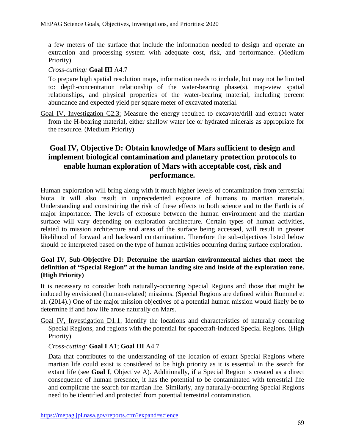a few meters of the surface that include the information needed to design and operate an extraction and processing system with adequate cost, risk, and performance. (Medium Priority)

## *Cross-cutting:* **Goal III** A4.7

To prepare high spatial resolution maps, information needs to include, but may not be limited to: depth-concentration relationship of the water-bearing phase(s), map-view spatial relationships, and physical properties of the water-bearing material, including percent abundance and expected yield per square meter of excavated material.

Goal IV, Investigation C2.3: Measure the energy required to excavate/drill and extract water from the H-bearing material, either shallow water ice or hydrated minerals as appropriate for the resource. (Medium Priority)

# **Goal IV, Objective D: Obtain knowledge of Mars sufficient to design and implement biological contamination and planetary protection protocols to enable human exploration of Mars with acceptable cost, risk and performance.**

Human exploration will bring along with it much higher levels of contamination from terrestrial biota. It will also result in unprecedented exposure of humans to martian materials. Understanding and constraining the risk of these effects to both science and to the Earth is of major importance. The levels of exposure between the human environment and the martian surface will vary depending on exploration architecture. Certain types of human activities, related to mission architecture and areas of the surface being accessed, will result in greater likelihood of forward and backward contamination. Therefore the sub-objectives listed below should be interpreted based on the type of human activities occurring during surface exploration.

#### **Goal IV, Sub-Objective D1: Determine the martian environmental niches that meet the definition of "Special Region" at the human landing site and inside of the exploration zone. (High Priority)**

It is necessary to consider both naturally-occurring Special Regions and those that might be induced by envisioned (human-related) missions. (Special Regions are defined within Rummel et al. (2014).) One of the major mission objectives of a potential human mission would likely be to determine if and how life arose naturally on Mars.

Goal IV, Investigation D1.1: Identify the locations and characteristics of naturally occurring Special Regions, and regions with the potential for spacecraft-induced Special Regions. (High Priority)

#### *Cross-cutting:* **Goal I** A1; **Goal III** A4.7

Data that contributes to the understanding of the location of extant Special Regions where martian life could exist is considered to be high priority as it is essential in the search for extant life (see **Goal I**, Objective A). Additionally, if a Special Region is created as a direct consequence of human presence, it has the potential to be contaminated with terrestrial life and complicate the search for martian life. Similarly, any naturally-occurring Special Regions need to be identified and protected from potential terrestrial contamination.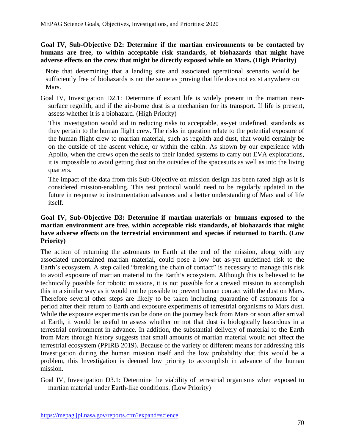**Goal IV, Sub-Objective D2: Determine if the martian environments to be contacted by humans are free, to within acceptable risk standards, of biohazards that might have adverse effects on the crew that might be directly exposed while on Mars. (High Priority)**

Note that determining that a landing site and associated operational scenario would be sufficiently free of biohazards is not the same as proving that life does not exist anywhere on Mars.

Goal IV, Investigation D2.1: Determine if extant life is widely present in the martian nearsurface regolith, and if the air-borne dust is a mechanism for its transport. If life is present, assess whether it is a biohazard. (High Priority)

This Investigation would aid in reducing risks to acceptable, as-yet undefined, standards as they pertain to the human flight crew. The risks in question relate to the potential exposure of the human flight crew to martian material, such as regolith and dust, that would certainly be on the outside of the ascent vehicle, or within the cabin. As shown by our experience with Apollo, when the crews open the seals to their landed systems to carry out EVA explorations, it is impossible to avoid getting dust on the outsides of the spacesuits as well as into the living quarters.

The impact of the data from this Sub-Objective on mission design has been rated high as it is considered mission-enabling. This test protocol would need to be regularly updated in the future in response to instrumentation advances and a better understanding of Mars and of life itself.

#### **Goal IV, Sub-Objective D3: Determine if martian materials or humans exposed to the martian environment are free, within acceptable risk standards, of biohazards that might have adverse effects on the terrestrial environment and species if returned to Earth. (Low Priority)**

The action of returning the astronauts to Earth at the end of the mission, along with any associated uncontained martian material, could pose a low but as-yet undefined risk to the Earth's ecosystem. A step called "breaking the chain of contact" is necessary to manage this risk to avoid exposure of martian material to the Earth's ecosystem. Although this is believed to be technically possible for robotic missions, it is not possible for a crewed mission to accomplish this in a similar way as it would not be possible to prevent human contact with the dust on Mars. Therefore several other steps are likely to be taken including quarantine of astronauts for a period after their return to Earth and exposure experiments of terrestrial organisms to Mars dust. While the exposure experiments can be done on the journey back from Mars or soon after arrival at Earth, it would be useful to assess whether or not that dust is biologically hazardous in a terrestrial environment in advance. In addition, the substantial delivery of material to the Earth from Mars through history suggests that small amounts of martian material would not affect the terrestrial ecosystem (PPIRB 2019). Because of the variety of different means for addressing this Investigation during the human mission itself and the low probability that this would be a problem, this Investigation is deemed low priority to accomplish in advance of the human mission.

Goal IV, Investigation D3.1: Determine the viability of terrestrial organisms when exposed to martian material under Earth-like conditions. (Low Priority)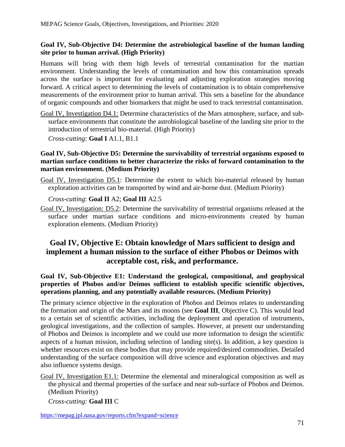#### **Goal IV, Sub-Objective D4: Determine the astrobiological baseline of the human landing site prior to human arrival. (High Priority)**

Humans will bring with them high levels of terrestrial contamination for the martian environment. Understanding the levels of contamination and how this contamination spreads across the surface is important for evaluating and adjusting exploration strategies moving forward. A critical aspect to determining the levels of contamination is to obtain comprehensive measurements of the environment prior to human arrival. This sets a baseline for the abundance of organic compounds and other biomarkers that might be used to track terrestrial contamination.

Goal IV, Investigation D4.1: Determine characteristics of the Mars atmosphere, surface, and subsurface environments that constitute the astrobiological baseline of the landing site prior to the introduction of terrestrial bio-material. (High Priority)

*Cross-cutting:* **Goal I** A1.1, B1.1

#### **Goal IV, Sub-Objective D5: Determine the survivability of terrestrial organisms exposed to martian surface conditions to better characterize the risks of forward contamination to the martian environment. (Medium Priority)**

Goal IV, Investigation D5.1: Determine the extent to which bio-material released by human exploration activities can be transported by wind and air-borne dust. (Medium Priority)

*Cross-cutting*: **Goal II** A2; **Goal III** A2.5

Goal IV, Investigation: D5.2: Determine the survivability of terrestrial organisms released at the surface under martian surface conditions and micro-environments created by human exploration elements. (Medium Priority)

# **Goal IV, Objective E: Obtain knowledge of Mars sufficient to design and implement a human mission to the surface of either Phobos or Deimos with acceptable cost, risk, and performance.**

**Goal IV, Sub-Objective E1: Understand the geological, compositional, and geophysical properties of Phobos and/or Deimos sufficient to establish specific scientific objectives, operations planning, and any potentially available resources. (Medium Priority)**

The primary science objective in the exploration of Phobos and Deimos relates to understanding the formation and origin of the Mars and its moons (see **Goal III**, Objective C). This would lead to a certain set of scientific activities, including the deployment and operation of instruments, geological investigations, and the collection of samples. However, at present our understanding of Phobos and Deimos is incomplete and we could use more information to design the scientific aspects of a human mission, including selection of landing site(s). In addition, a key question is whether resources exist on these bodies that may provide required/desired commodities. Detailed understanding of the surface composition will drive science and exploration objectives and may also influence systems design.

Goal IV, Investigation E1.1: Determine the elemental and mineralogical composition as well as the physical and thermal properties of the surface and near sub-surface of Phobos and Deimos. (Medium Priority)

*Cross-cutting:* **Goal III** C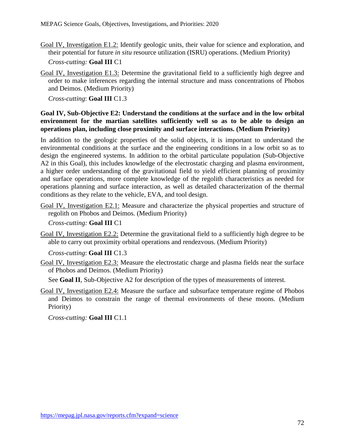- Goal IV, Investigation E1.2: Identify geologic units, their value for science and exploration, and their potential for future *in situ* resource utilization (ISRU) operations. (Medium Priority) *Cross-cutting:* **Goal III** C1
- Goal IV, Investigation E1.3: Determine the gravitational field to a sufficiently high degree and order to make inferences regarding the internal structure and mass concentrations of Phobos and Deimos. (Medium Priority)

*Cross-cutting*: **Goal III** C1.3

#### **Goal IV, Sub-Objective E2: Understand the conditions at the surface and in the low orbital environment for the martian satellites sufficiently well so as to be able to design an operations plan, including close proximity and surface interactions. (Medium Priority)**

In addition to the geologic properties of the solid objects, it is important to understand the environmental conditions at the surface and the engineering conditions in a low orbit so as to design the engineered systems. In addition to the orbital particulate population (Sub-Objective A2 in this Goal), this includes knowledge of the electrostatic charging and plasma environment, a higher order understanding of the gravitational field to yield efficient planning of proximity and surface operations, more complete knowledge of the regolith characteristics as needed for operations planning and surface interaction, as well as detailed characterization of the thermal conditions as they relate to the vehicle, EVA, and tool design.

Goal IV, Investigation E2.1: Measure and characterize the physical properties and structure of regolith on Phobos and Deimos. (Medium Priority)

*Cross-cutting:* **Goal III** C1

Goal IV, Investigation E2.2: Determine the gravitational field to a sufficiently high degree to be able to carry out proximity orbital operations and rendezvous. (Medium Priority)

*Cross-cutting*: **Goal III** C1.3

Goal IV, Investigation E2.3: Measure the electrostatic charge and plasma fields near the surface of Phobos and Deimos. (Medium Priority)

See **Goal II**, Sub-Objective A2 for description of the types of measurements of interest.

Goal IV, Investigation E2.4: Measure the surface and subsurface temperature regime of Phobos and Deimos to constrain the range of thermal environments of these moons. (Medium Priority)

*Cross-cutting:* **Goal III** C1.1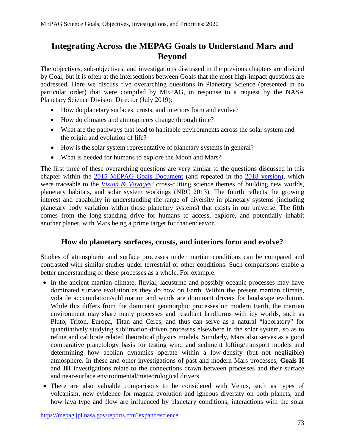## **Integrating Across the MEPAG Goals to Understand Mars and Beyond**

The objectives, sub-objectives, and investigations discussed in the previous chapters are divided by Goal, but it is often at the intersections between Goals that the most high-impact questions are addressed. Here we discuss five overarching questions in Planetary Science (presented in no particular order) that were compiled by MEPAG, in response to a request by the NASA Planetary Science Division Director (July 2019):

- How do planetary surfaces, crusts, and interiors form and evolve?
- How do climates and atmospheres change through time?
- What are the pathways that lead to habitable environments across the solar system and the origin and evolution of life?
- How is the solar system representative of planetary systems in general?
- What is needed for humans to explore the Moon and Mars?

The first three of these overarching questions are very similar to the questions discussed in this chapter within the [2015 MEPAG Goals Document](https://mepag.jpl.nasa.gov/reports/MEPAG%20Goals_Document_2015_v18_FINAL.pdf) (and repeated in the [2018 version\)](https://mepag.jpl.nasa.gov/reports/MEPAG%20Goals_Document_2018.pdf), which were traceable to the *[Vision & Voyages'](https://www.nap.edu/catalog/13117/vision-and-voyages-for-planetary-science-in-the-decade-2013-2022)* cross-cutting science themes of building new worlds, planetary habitats, and solar system workings (NRC 2013). The fourth reflects the growing interest and capability in understanding the range of diversity in planetary systems (including planetary body variation within those planetary systems) that exists in our universe. The fifth comes from the long-standing drive for humans to access, explore, and potentially inhabit another planet, with Mars being a prime target for that endeavor.

### **How do planetary surfaces, crusts, and interiors form and evolve?**

Studies of atmospheric and surface processes under martian conditions can be compared and contrasted with similar studies under terrestrial or other conditions. Such comparisons enable a better understanding of these processes as a whole. For example:

- In the ancient martian climate, fluvial, lacustrine and possibly oceanic processes may have dominated surface evolution as they do now on Earth. Within the present martian climate, volatile accumulation/sublimation and winds are dominant drivers for landscape evolution. While this differs from the dominant geomorphic processes on modern Earth, the martian environment may share many processes and resultant landforms with icy worlds, such as Pluto, Triton, Europa, Titan and Ceres, and thus can serve as a natural "laboratory" for quantitatively studying sublimation-driven processes elsewhere in the solar system, so as to refine and calibrate related theoretical physics models. Similarly, Mars also serves as a good comparative planetology basis for testing wind and sediment lofting/transport models and determining how aeolian dynamics operate within a low-density (but not negligible) atmosphere. In these and other investigations of past and modern Mars processes, **Goals II** and **III** investigations relate to the connections drawn between processes and their surface and near-surface environmental/meteorological drivers.
- There are also valuable comparisons to be considered with Venus, such as types of volcanism, new evidence for magma evolution and igneous diversity on both planets, and how lava type and flow are influenced by planetary conditions; interactions with the solar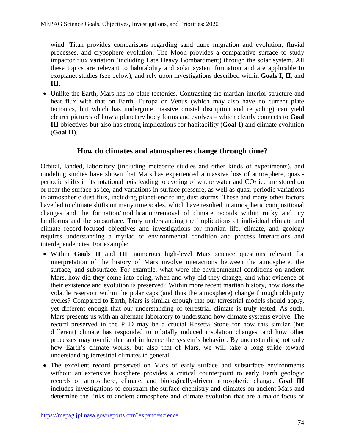wind. Titan provides comparisons regarding sand dune migration and evolution, fluvial processes, and cryosphere evolution. The Moon provides a comparative surface to study impactor flux variation (including Late Heavy Bombardment) through the solar system. All these topics are relevant to habitability and solar system formation and are applicable to exoplanet studies (see below), and rely upon investigations described within **Goals I**, **II**, and **III**.

• Unlike the Earth, Mars has no plate tectonics. Contrasting the martian interior structure and heat flux with that on Earth, Europa or Venus (which may also have no current plate tectonics, but which has undergone massive crustal disruption and recycling) can yield clearer pictures of how a planetary body forms and evolves – which clearly connects to **Goal III** objectives but also has strong implications for habitability (**Goal I**) and climate evolution (**Goal II**).

### **How do climates and atmospheres change through time?**

Orbital, landed, laboratory (including meteorite studies and other kinds of experiments), and modeling studies have shown that Mars has experienced a massive loss of atmosphere, quasiperiodic shifts in its rotational axis leading to cycling of where water and  $CO<sub>2</sub>$  ice are stored on or near the surface as ice, and variations in surface pressure, as well as quasi-periodic variations in atmospheric dust flux, including planet-encircling dust storms. These and many other factors have led to climate shifts on many time scales, which have resulted in atmospheric compositional changes and the formation/modification/removal of climate records within rocky and icy landforms and the subsurface. Truly understanding the implications of individual climate and climate record-focused objectives and investigations for martian life, climate, and geology requires understanding a myriad of environmental condition and process interactions and interdependencies. For example:

- Within **Goals II** and **III**, numerous high-level Mars science questions relevant for interpretation of the history of Mars involve interactions between the atmosphere, the surface, and subsurface. For example, what were the environmental conditions on ancient Mars, how did they come into being, when and why did they change, and what evidence of their existence and evolution is preserved? Within more recent martian history, how does the volatile reservoir within the polar caps (and thus the atmosphere) change through obliquity cycles? Compared to Earth, Mars is similar enough that our terrestrial models should apply, yet different enough that our understanding of terrestrial climate is truly tested. As such, Mars presents us with an alternate laboratory to understand how climate systems evolve. The record preserved in the PLD may be a crucial Rosetta Stone for how this similar (but different) climate has responded to orbitally induced insolation changes, and how other processes may overlie that and influence the system's behavior. By understanding not only how Earth's climate works, but also that of Mars, we will take a long stride toward understanding terrestrial climates in general.
- The excellent record preserved on Mars of early surface and subsurface environments without an extensive biosphere provides a critical counterpoint to early Earth geologic records of atmosphere, climate, and biologically-driven atmospheric change. **Goal III** includes investigations to constrain the surface chemistry and climates on ancient Mars and determine the links to ancient atmosphere and climate evolution that are a major focus of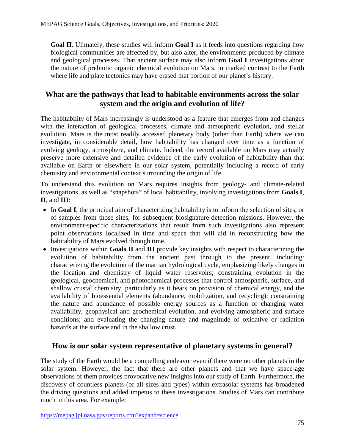**Goal II**. Ulimately, these studies will inform **Goal I** as it feeds into questions regarding how biological communities are affected by, but also alter, the environments produced by climate and geological processes. That ancient surface may also inform **Goal I** investigations about the nature of prebiotic organic chemical evolution on Mars, in marked contrast to the Earth where life and plate tectonics may have erased that portion of our planet's history.

## **What are the pathways that lead to habitable environments across the solar system and the origin and evolution of life?**

The habitability of Mars increasingly is understood as a feature that emerges from and changes with the interaction of geological processes, climate and atmospheric evolution, and stellar evolution. Mars is the most readily accessed planetary body (other than Earth) where we can investigate, in considerable detail, how habitability has changed over time as a function of evolving geology, atmosphere, and climate. Indeed, the record available on Mars may actually preserve more extensive and detailed evidence of the early evolution of habitability than that available on Earth or elsewhere in our solar system, potentially including a record of early chemistry and environmental context surrounding the origin of life.

To understand this evolution on Mars requires insights from geology- and climate-related investigations, as well as "snapshots" of local habitability, involving investigations from **Goals I**, **II**, and **III**:

- In **Goal I**, the principal aim of characterizing habitability is to inform the selection of sites, or of samples from those sites, for subsequent biosignature-detection missions. However, the environment-specific characterizations that result from such investigations also represent point observations localized in time and space that will aid in reconstructing how the habitability of Mars evolved through time.
- Investigations within **Goals II** and **III** provide key insights with respect to characterizing the evolution of habitability from the ancient past through to the present, including: characterizing the evolution of the martian hydrological cycle, emphasizing likely changes in the location and chemistry of liquid water reservoirs; constraining evolution in the geological, geochemical, and photochemical processes that control atmospheric, surface, and shallow crustal chemistry, particularly as it bears on provision of chemical energy, and the availability of bioessential elements (abundance, mobilization, and recycling); constraining the nature and abundance of possible energy sources as a function of changing water availability, geophysical and geochemical evolution, and evolving atmospheric and surface conditions; and evaluating the changing nature and magnitude of oxidative or radiation hazards at the surface and in the shallow crust.

## **How is our solar system representative of planetary systems in general?**

The study of the Earth would be a compelling endeavor even if there were no other planets in the solar system. However, the fact that there are other planets and that we have space-age observations of them provides provocative new insights into our study of Earth. Furthermore, the discovery of countless planets (of all sizes and types) within extrasolar systems has broadened the driving questions and added impetus to these investigations. Studies of Mars can contribute much to this area. For example: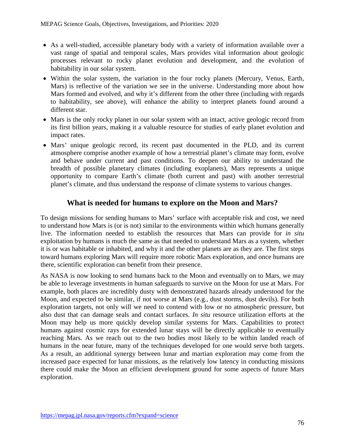- As a well-studied, accessible planetary body with a variety of information available over a vast range of spatial and temporal scales, Mars provides vital information about geologic processes relevant to rocky planet evolution and development, and the evolution of habitability in our solar system.
- Within the solar system, the variation in the four rocky planets (Mercury, Venus, Earth, Mars) is reflective of the variation we see in the universe. Understanding more about how Mars formed and evolved, and why it's different from the other three (including with regards to habitability, see above), will enhance the ability to interpret planets found around a different star.
- Mars is the only rocky planet in our solar system with an intact, active geologic record from its first billion years, making it a valuable resource for studies of early planet evolution and impact rates.
- Mars' unique geologic record, its recent past documented in the PLD, and its current atmosphere comprise another example of how a terrestrial planet's climate may form, evolve and behave under current and past conditions. To deepen our ability to understand the breadth of possible planetary climates (including exoplanets), Mars represents a unique opportunity to compare Earth's climate (both current and past) with another terrestrial planet's climate, and thus understand the response of climate systems to various changes.

## **What is needed for humans to explore on the Moon and Mars?**

To design missions for sending humans to Mars' surface with acceptable risk and cost, we need to understand how Mars is (or is not) similar to the environments within which humans generally live. The information needed to establish the resources that Mars can provide for *in situ* exploitation by humans is much the same as that needed to understand Mars as a system, whether it is or was habitable or inhabited, and why it and the other planets are as they are. The first steps toward humans exploring Mars will require more robotic Mars exploration, and once humans are there, scientific exploration can benefit from their presence.

As NASA is now looking to send humans back to the Moon and eventually on to Mars, we may be able to leverage investments in human safeguards to survive on the Moon for use at Mars. For example, both places are incredibly dusty with demonstrated hazards already understood for the Moon, and expected to be similar, if not worse at Mars (e.g., dust storms, dust devils). For both exploration targets, not only will we need to contend with low or no atmospheric pressure, but also dust that can damage seals and contact surfaces. *In situ* resource utilization efforts at the Moon may help us more quickly develop similar systems for Mars. Capabilities to protect humans against cosmic rays for extended lunar stays will be directly applicable to eventually reaching Mars. As we reach out to the two bodies most likely to be within landed reach of humans in the near future, many of the techniques developed for one would serve both targets. As a result, an additional synergy between lunar and martian exploration may come from the increased pace expected for lunar missions, as the relatively low latency in conducting missions there could make the Moon an efficient development ground for some aspects of future Mars exploration.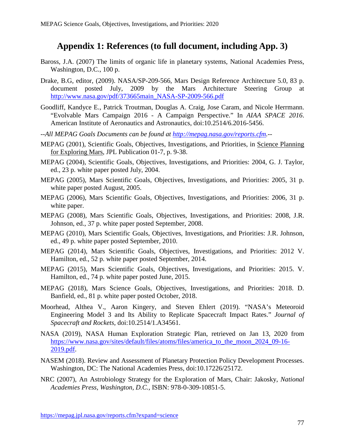## **Appendix 1: References (to full document, including App. 3)**

- Baross, J.A. (2007) The limits of organic life in planetary systems, National Academies Press, Washington, D.C., 100 p.
- Drake, B.G, editor, (2009). NASA/SP-209-566, Mars Design Reference Architecture 5.0, 83 p. document posted July, 2009 by the Mars Architecture Steering Group at [http://www.nasa.gov/pdf/373665main\\_NASA-SP-2009-566.pdf](http://www.nasa.gov/pdf/373665main_NASA-SP-2009-566.pdf)
- Goodliff, Kandyce E., Patrick Troutman, Douglas A. Craig, Jose Caram, and Nicole Herrmann. "Evolvable Mars Campaign 2016 - A Campaign Perspective." In *AIAA SPACE 2016*. American Institute of Aeronautics and Astronautics, doi:10.2514/6.2016-5456.
- *--All MEPAG Goals Documents can be found at [http://mepag.nasa.gov/reports.cfm.](http://mepag.nasa.gov/reports.cfm)--*
- MEPAG (2001), Scientific Goals, Objectives, Investigations, and Priorities, in Science Planning for Exploring Mars, JPL Publication 01-7, p. 9-38.
- MEPAG (2004), Scientific Goals, Objectives, Investigations, and Priorities: 2004, G. J. Taylor, ed., 23 p. white paper posted July, 2004.
- MEPAG (2005), Mars Scientific Goals, Objectives, Investigations, and Priorities: 2005, 31 p. white paper posted August, 2005.
- MEPAG (2006), Mars Scientific Goals, Objectives, Investigations, and Priorities: 2006, 31 p. white paper.
- MEPAG (2008), Mars Scientific Goals, Objectives, Investigations, and Priorities: 2008, J.R. Johnson, ed., 37 p. white paper posted September, 2008.
- MEPAG (2010), Mars Scientific Goals, Objectives, Investigations, and Priorities: J.R. Johnson, ed., 49 p. white paper posted September, 2010.
- MEPAG (2014), Mars Scientific Goals, Objectives, Investigations, and Priorities: 2012 V. Hamilton, ed., 52 p. white paper posted September, 2014.
- MEPAG (2015), Mars Scientific Goals, Objectives, Investigations, and Priorities: 2015. V. Hamilton, ed., 74 p. white paper posted June, 2015.
- MEPAG (2018), Mars Science Goals, Objectives, Investigations, and Priorities: 2018. D. Banfield, ed., 81 p. white paper posted October, 2018.
- Moorhead, Althea V., Aaron Kingery, and Steven Ehlert (2019). "NASA's Meteoroid Engineering Model 3 and Its Ability to Replicate Spacecraft Impact Rates." *Journal of Spacecraft and Rockets*, doi:10.2514/1.A34561.
- NASA (2019), NASA Human Exploration Strategic Plan, retrieved on Jan 13, 2020 from [https://www.nasa.gov/sites/default/files/atoms/files/america\\_to\\_the\\_moon\\_2024\\_09-16-](https://www.nasa.gov/sites/default/files/atoms/files/america_to_the_moon_2024_09-16-2019.pdf) [2019.pdf.](https://www.nasa.gov/sites/default/files/atoms/files/america_to_the_moon_2024_09-16-2019.pdf)
- NASEM (2018). Review and Assessment of Planetary Protection Policy Development Processes. Washington, DC: The National Academies Press, doi:10.17226/25172.
- NRC (2007), An Astrobiology Strategy for the Exploration of Mars, Chair: Jakosky, *National Academies Press, Washington, D.C.,* ISBN: 978-0-309-10851-5.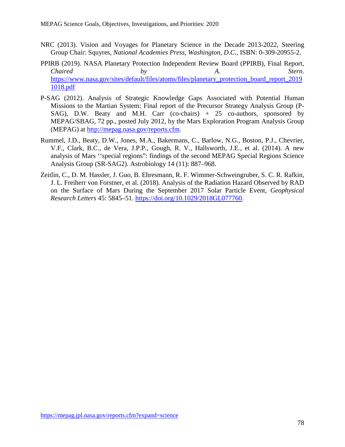- NRC (2013). Vision and Voyages for Planetary Science in the Decade 2013-2022, Steering Group Chair: Squyres, *National Academies Press, Washington, D.C.*, ISBN: 0-309-20955-2.
- PPIRB (2019). NASA Planetary Protection Independent Review Board (PPIRB), Final Report, *Chaired by A. Stern*. [https://www.nasa.gov/sites/default/files/atoms/files/planetary\\_protection\\_board\\_report\\_2019](https://www.nasa.gov/sites/default/files/atoms/files/planetary_protection_board_report_20191018.pdf) [1018.pdf](https://www.nasa.gov/sites/default/files/atoms/files/planetary_protection_board_report_20191018.pdf)
- P-SAG (2012). Analysis of Strategic Knowledge Gaps Associated with Potential Human Missions to the Martian System: Final report of the Precursor Strategy Analysis Group (P-SAG), D.W. Beaty and M.H. Carr (co-chairs) + 25 co-authors, sponsored by MEPAG/SBAG, 72 pp., posted July 2012, by the Mars Exploration Program Analysis Group (MEPAG) at [http://mepag.nasa.gov/reports.cfm.](http://mepag.nasa.gov/reports.cfm)
- Rummel, J.D., Beaty, D.W., Jones, M.A., Bakermans, C., Barlow, N.G., Boston, P.J., Chevrier, V.F., Clark, B.C., de Vera, J.P.P., Gough, R. V., Hallsworth, J.E., et al. (2014). A new analysis of Mars ''special regions": findings of the second MEPAG Special Regions Science Analysis Group (SR-SAG2). Astrobiology 14 (11): 887–968.
- Zeitlin, C., D. M. Hassler, J. Guo, B. Ehresmann, R. F. Wimmer-Schweingruber, S. C. R. Rafkin, J. L. Freiherr von Forstner, et al. (2018). Analysis of the Radiation Hazard Observed by RAD on the Surface of Mars During the September 2017 Solar Particle Event, *Geophysical Research Letters* 45: 5845–51. [https://doi.org/10.1029/2018GL077760.](https://doi.org/10.1029/2018GL077760)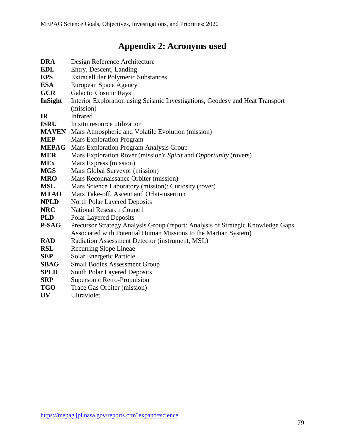# **Appendix 2: Acronyms used**

| <b>DRA</b>   | Design Reference Architecture                                                   |
|--------------|---------------------------------------------------------------------------------|
| <b>EDL</b>   | Entry, Descent, Landing                                                         |
| <b>EPS</b>   | <b>Extracellular Polymeric Substances</b>                                       |
| <b>ESA</b>   | European Space Agency                                                           |
| <b>GCR</b>   | <b>Galactic Cosmic Rays</b>                                                     |
| InSight      | Interior Exploration using Seismic Investigations, Geodesy and Heat Transport   |
|              | (mission)                                                                       |
| <b>IR</b>    | Infrared                                                                        |
| <b>ISRU</b>  | In situ resource utilization                                                    |
| <b>MAVEN</b> | Mars Atmospheric and Volatile Evolution (mission)                               |
| <b>MEP</b>   | <b>Mars Exploration Program</b>                                                 |
| <b>MEPAG</b> | Mars Exploration Program Analysis Group                                         |
| <b>MER</b>   | Mars Exploration Rover (mission): Spirit and Opportunity (rovers)               |
| <b>MEx</b>   | Mars Express (mission)                                                          |
| <b>MGS</b>   | Mars Global Surveyor (mission)                                                  |
| <b>MRO</b>   | Mars Reconnaissance Orbiter (mission)                                           |
| <b>MSL</b>   | Mars Science Laboratory (mission): Curiosity (rover)                            |
| <b>MTAO</b>  | Mars Take-off, Ascent and Orbit-insertion                                       |
| <b>NPLD</b>  | North Polar Layered Deposits                                                    |
| <b>NRC</b>   | <b>National Research Council</b>                                                |
| <b>PLD</b>   | <b>Polar Layered Deposits</b>                                                   |
| <b>P-SAG</b> | Precursor Strategy Analysis Group (report: Analysis of Strategic Knowledge Gaps |
|              | Associated with Potential Human Missions to the Martian System)                 |
| <b>RAD</b>   | Radiation Assessment Detector (instrument, MSL)                                 |
| <b>RSL</b>   | Recurring Slope Lineae                                                          |
| <b>SEP</b>   | Solar Energetic Particle                                                        |
| <b>SBAG</b>  | <b>Small Bodies Assessment Group</b>                                            |
| <b>SPLD</b>  | South Polar Layered Deposits                                                    |
| <b>SRP</b>   | Supersonic Retro-Propulsion                                                     |
| <b>TGO</b>   | Trace Gas Orbiter (mission)                                                     |
| <b>UV</b>    | Ultraviolet                                                                     |
|              |                                                                                 |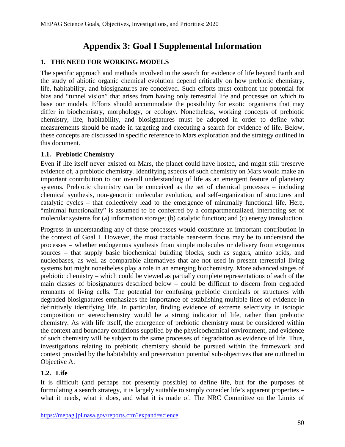## **Appendix 3: Goal I Supplemental Information**

### **1. THE NEED FOR WORKING MODELS**

The specific approach and methods involved in the search for evidence of life beyond Earth and the study of abiotic organic chemical evolution depend critically on how prebiotic chemistry, life, habitability, and biosignatures are conceived. Such efforts must confront the potential for bias and "tunnel vision" that arises from having only terrestrial life and processes on which to base our models. Efforts should accommodate the possibility for exotic organisms that may differ in biochemistry, morphology, or ecology. Nonetheless, working concepts of prebiotic chemistry, life, habitability, and biosignatures must be adopted in order to define what measurements should be made in targeting and executing a search for evidence of life. Below, these concepts are discussed in specific reference to Mars exploration and the strategy outlined in this document.

#### **1.1. Prebiotic Chemistry**

Even if life itself never existed on Mars, the planet could have hosted, and might still preserve evidence of, a prebiotic chemistry. Identifying aspects of such chemistry on Mars would make an important contribution to our overall understanding of life as an emergent feature of planetary systems. Prebiotic chemistry can be conceived as the set of chemical processes – including chemical synthesis, non-genomic molecular evolution, and self-organization of structures and catalytic cycles – that collectively lead to the emergence of minimally functional life. Here, "minimal functionality" is assumed to be conferred by a compartmentalized, interacting set of molecular systems for (a) information storage; (b) catalytic function; and (c) energy transduction.

Progress in understanding any of these processes would constitute an important contribution in the context of Goal I. However, the most tractable near-term focus may be to understand the processes – whether endogenous synthesis from simple molecules or delivery from exogenous sources – that supply basic biochemical building blocks, such as sugars, amino acids, and nucleobases, as well as comparable alternatives that are not used in present terrestrial living systems but might nonetheless play a role in an emerging biochemistry. More advanced stages of prebiotic chemistry – which could be viewed as partially complete representations of each of the main classes of biosignatures described below – could be difficult to discern from degraded remnants of living cells. The potential for confusing prebiotic chemicals or structures with degraded biosignatures emphasizes the importance of establishing multiple lines of evidence in definitively identifying life. In particular, finding evidence of extreme selectivity in isotopic composition or stereochemistry would be a strong indicator of life, rather than prebiotic chemistry. As with life itself, the emergence of prebiotic chemistry must be considered within the context and boundary conditions supplied by the physicochemical environment, and evidence of such chemistry will be subject to the same processes of degradation as evidence of life. Thus, investigations relating to prebiotic chemistry should be pursued within the framework and context provided by the habitability and preservation potential sub-objectives that are outlined in Objective A.

#### **1.2. Life**

It is difficult (and perhaps not presently possible) to define life, but for the purposes of formulating a search strategy, it is largely suitable to simply consider life's apparent properties – what it needs, what it does, and what it is made of. The NRC Committee on the Limits of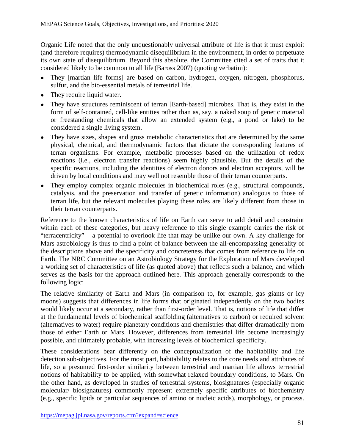Organic Life noted that the only unquestionably universal attribute of life is that it must exploit (and therefore requires) thermodynamic disequilibrium in the environment, in order to perpetuate its own state of disequilibrium. Beyond this absolute, the Committee cited a set of traits that it considered likely to be common to all life (Baross 2007) (quoting verbatim):

- They [martian life forms] are based on carbon, hydrogen, oxygen, nitrogen, phosphorus, sulfur, and the bio-essential metals of terrestrial life.
- They require liquid water.
- They have structures reminiscent of terran [Earth-based] microbes. That is, they exist in the form of self-contained, cell-like entities rather than as, say, a naked soup of genetic material or freestanding chemicals that allow an extended system (e.g., a pond or lake) to be considered a single living system.
- They have sizes, shapes and gross metabolic characteristics that are determined by the same physical, chemical, and thermodynamic factors that dictate the corresponding features of terran organisms. For example, metabolic processes based on the utilization of redox reactions (i.e., electron transfer reactions) seem highly plausible. But the details of the specific reactions, including the identities of electron donors and electron acceptors, will be driven by local conditions and may well not resemble those of their terran counterparts.
- They employ complex organic molecules in biochemical roles (e.g., structural compounds, catalysis, and the preservation and transfer of genetic information) analogous to those of terran life, but the relevant molecules playing these roles are likely different from those in their terran counterparts.

Reference to the known characteristics of life on Earth can serve to add detail and constraint within each of these categories, but heavy reference to this single example carries the risk of "terracentricity" – a potential to overlook life that may be unlike our own. A key challenge for Mars astrobiology is thus to find a point of balance between the all-encompassing generality of the descriptions above and the specificity and concreteness that comes from reference to life on Earth. The NRC Committee on an Astrobiology Strategy for the Exploration of Mars developed a working set of characteristics of life (as quoted above) that reflects such a balance, and which serves as the basis for the approach outlined here. This approach generally corresponds to the following logic:

The relative similarity of Earth and Mars (in comparison to, for example, gas giants or icy moons) suggests that differences in life forms that originated independently on the two bodies would likely occur at a secondary, rather than first-order level. That is, notions of life that differ at the fundamental levels of biochemical scaffolding (alternatives to carbon) or required solvent (alternatives to water) require planetary conditions and chemistries that differ dramatically from those of either Earth or Mars. However, differences from terrestrial life become increasingly possible, and ultimately probable, with increasing levels of biochemical specificity.

These considerations bear differently on the conceptualization of the habitability and life detection sub-objectives. For the most part, habitability relates to the core needs and attributes of life, so a presumed first-order similarity between terrestrial and martian life allows terrestrial notions of habitability to be applied, with somewhat relaxed boundary conditions, to Mars. On the other hand, as developed in studies of terrestrial systems, biosignatures (especially organic molecular/ biosignatures) commonly represent extremely specific attributes of biochemistry (e.g., specific lipids or particular sequences of amino or nucleic acids), morphology, or process.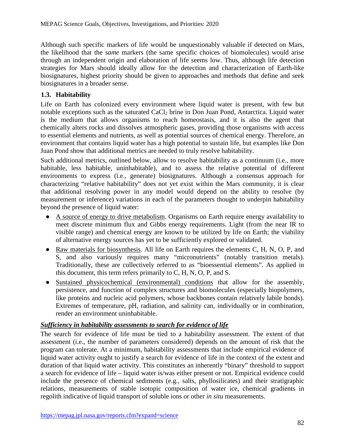Although such specific markers of life would be unquestionably valuable if detected on Mars, the likelihood that the *same* markers (the same specific choices of biomolecules) would arise through an independent origin and elaboration of life seems low. Thus, although life detection strategies for Mars should ideally allow for the detection and characterization of Earth-like biosignatures, highest priority should be given to approaches and methods that define and seek biosignatures in a broader sense.

#### **1.3. Habitability**

Life on Earth has colonized every environment where liquid water is present, with few but notable exceptions such as the saturated CaCl<sub>2</sub> brine in Don Juan Pond, Antarctica. Liquid water is the medium that allows organisms to reach homeostasis, and it is also the agent that chemically alters rocks and dissolves atmospheric gases, providing those organisms with access to essential elements and nutrients, as well as potential sources of chemical energy. Therefore, an environment that contains liquid water has a high potential to sustain life, but examples like Don Juan Pond show that additional metrics are needed to truly resolve habitability.

Such additional metrics, outlined below, allow to resolve habitability as a continuum (i.e., more habitable, less habitable, uninhabitable), and to assess the relative potential of different environments to express (i.e., generate) biosignatures. Although a consensus approach for characterizing "relative habitability" does not yet exist within the Mars community, it is clear that additional resolving power in any model would depend on the ability to resolve (by measurement or inference) variations in each of the parameters thought to underpin habitability beyond the presence of liquid water:

- A source of energy to drive metabolism. Organisms on Earth require energy availability to meet discrete minimum flux and Gibbs energy requirements. Light (from the near IR to visible range) and chemical energy are known to be utilized by life on Earth; the viability of alternative energy sources has yet to be sufficiently explored or validated.
- Raw materials for biosynthesis. All life on Earth requires the elements C, H, N, O, P, and S, and also variously requires many "micronutrients" (notably transition metals). Traditionally, these are collectively referred to as "bioessential elements". As applied in this document, this term refers primarily to C, H, N, O, P, and S.
- Sustained physicochemical (environmental) conditions that allow for the assembly, persistence, and function of complex structures and biomolecules (especially biopolymers, like proteins and nucleic acid polymers, whose backbones contain relatively labile bonds). Extremes of temperature, pH, radiation, and salinity can, individually or in combination, render an environment uninhabitable.

#### *Sufficiency in habitability assessments to search for evidence of life*

The search for evidence of life must be tied to a habitability assessment. The extent of that assessment (i.e., the number of parameters considered) depends on the amount of risk that the program can tolerate. At a minimum, habitability assessments that include empirical evidence of liquid water activity ought to justify a search for evidence of life in the context of the extent and duration of that liquid water activity. This constitutes an inherently "binary" threshold to support a search for evidence of life – liquid water is/was either present or not. Empirical evidence could include the presence of chemical sediments (e.g., salts, phyllosilicates) and their stratigraphic relations, measurements of stable isotopic composition of water ice, chemical gradients in regolith indicative of liquid transport of soluble ions or other *in situ* measurements.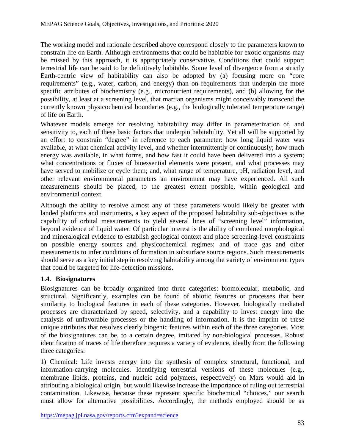The working model and rationale described above correspond closely to the parameters known to constrain life on Earth. Although environments that could be habitable for exotic organisms may be missed by this approach, it is appropriately conservative. Conditions that could support terrestrial life can be said to be definitively habitable. Some level of divergence from a strictly Earth-centric view of habitability can also be adopted by (a) focusing more on "core requirements" (e.g., water, carbon, and energy) than on requirements that underpin the more specific attributes of biochemistry (e.g., micronutrient requirements), and (b) allowing for the possibility, at least at a screening level, that martian organisms might conceivably transcend the currently known physicochemical boundaries (e.g., the biologically tolerated temperature range) of life on Earth.

Whatever models emerge for resolving habitability may differ in parameterization of, and sensitivity to, each of these basic factors that underpin habitability. Yet all will be supported by an effort to constrain "degree" in reference to each parameter: how long liquid water was available, at what chemical activity level, and whether intermittently or continuously; how much energy was available, in what forms, and how fast it could have been delivered into a system; what concentrations or fluxes of bioessential elements were present, and what processes may have served to mobilize or cycle them; and, what range of temperature, pH, radiation level, and other relevant environmental parameters an environment may have experienced. All such measurements should be placed, to the greatest extent possible, within geological and environmental context.

Although the ability to resolve almost any of these parameters would likely be greater with landed platforms and instruments, a key aspect of the proposed habitability sub-objectives is the capability of orbital measurements to yield several lines of "screening level" information, beyond evidence of liquid water. Of particular interest is the ability of combined morphological and mineralogical evidence to establish geological context and place screening-level constraints on possible energy sources and physicochemical regimes; and of trace gas and other measurements to infer conditions of formation in subsurface source regions. Such measurements should serve as a key initial step in resolving habitability among the variety of environment types that could be targeted for life-detection missions.

#### **1.4. Biosignatures**

Biosignatures can be broadly organized into three categories: biomolecular, metabolic, and structural. Significantly, examples can be found of abiotic features or processes that bear similarity to biological features in each of these categories. However, biologically mediated processes are characterized by speed, selectivity, and a capability to invest energy into the catalysis of unfavorable processes or the handling of information. It is the imprint of these unique attributes that resolves clearly biogenic features within each of the three categories. Most of the biosignatures can be, to a certain degree, imitated by non-biological processes. Robust identification of traces of life therefore requires a variety of evidence, ideally from the following three categories:

1) Chemical: Life invests energy into the synthesis of complex structural, functional, and information-carrying molecules. Identifying terrestrial versions of these molecules (e.g., membrane lipids, proteins, and nucleic acid polymers, respectively) on Mars would aid in attributing a biological origin, but would likewise increase the importance of ruling out terrestrial contamination. Likewise, because these represent specific biochemical "choices," our search must allow for alternative possibilities. Accordingly, the methods employed should be as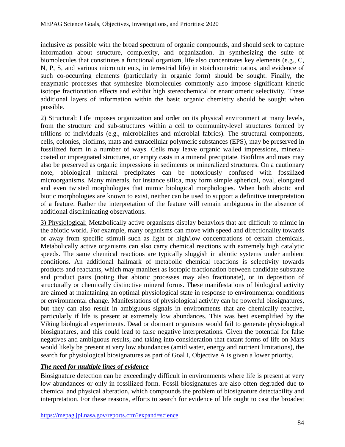inclusive as possible with the broad spectrum of organic compounds, and should seek to capture information about structure, complexity, and organization. In synthesizing the suite of biomolecules that constitutes a functional organism, life also concentrates key elements (e.g., C, N, P, S, and various micronutrients, in terrestrial life) in stoichiometric ratios, and evidence of such co-occurring elements (particularly in organic form) should be sought. Finally, the enzymatic processes that synthesize biomolecules commonly also impose significant kinetic isotope fractionation effects and exhibit high stereochemical or enantiomeric selectivity. These additional layers of information within the basic organic chemistry should be sought when possible.

2) Structural: Life imposes organization and order on its physical environment at many levels, from the structure and sub-structures within a cell to community-level structures formed by trillions of individuals (e.g., microbialites and microbial fabrics). The structural components, cells, colonies, biofilms, mats and extracellular polymeric substances (EPS), may be preserved in fossilized form in a number of ways. Cells may leave organic walled impressions, mineralcoated or impregnated structures, or empty casts in a mineral precipitate. Biofilms and mats may also be preserved as organic impressions in sediments or mineralized structures. On a cautionary note, abiological mineral precipitates can be notoriously confused with fossilized microorganisms. Many minerals, for instance silica, may form simple spherical, oval, elongated and even twisted morphologies that mimic biological morphologies. When both abiotic and biotic morphologies are known to exist, neither can be used to support a definitive interpretation of a feature. Rather the interpretation of the feature will remain ambiguous in the absence of additional discriminating observations.

3) Physiological: Metabolically active organisms display behaviors that are difficult to mimic in the abiotic world. For example, many organisms can move with speed and directionality towards or away from specific stimuli such as light or high/low concentrations of certain chemicals. Metabolically active organisms can also carry chemical reactions with extremely high catalytic speeds. The same chemical reactions are typically sluggish in abiotic systems under ambient conditions. An additional hallmark of metabolic chemical reactions is selectivity towards products and reactants, which may manifest as isotopic fractionation between candidate substrate and product pairs (noting that abiotic processes may also fractionate), or in deposition of structurally or chemically distinctive mineral forms. These manifestations of biological activity are aimed at maintaining an optimal physiological state in response to environmental conditions or environmental change. Manifestations of physiological activity can be powerful biosignatures, but they can also result in ambiguous signals in environments that are chemically reactive, particularly if life is present at extremely low abundances. This was best exemplified by the Viking biological experiments. Dead or dormant organisms would fail to generate physiological biosignatures, and this could lead to false negative interpretations. Given the potential for false negatives and ambiguous results, and taking into consideration that extant forms of life on Mars would likely be present at very low abundances (amid water, energy and nutrient limitations), the search for physiological biosignatures as part of Goal I, Objective A is given a lower priority.

#### *The need for multiple lines of evidence*

Biosignature detection can be exceedingly difficult in environments where life is present at very low abundances or only in fossilized form. Fossil biosignatures are also often degraded due to chemical and physical alteration, which compounds the problem of biosignature detectability and interpretation. For these reasons, efforts to search for evidence of life ought to cast the broadest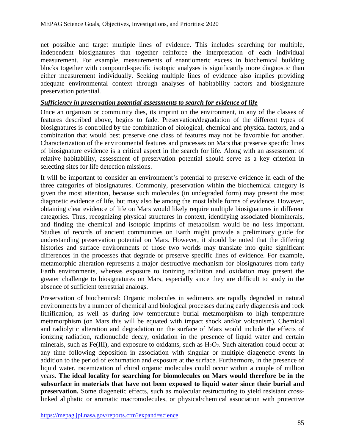net possible and target multiple lines of evidence. This includes searching for multiple, independent biosignatures that together reinforce the interpretation of each individual measurement. For example, measurements of enantiomeric excess in biochemical building blocks together with compound-specific isotopic analyses is significantly more diagnostic than either measurement individually. Seeking multiple lines of evidence also implies providing adequate environmental context through analyses of habitability factors and biosignature preservation potential.

#### *Sufficiency in preservation potential assessments to search for evidence of life*

Once an organism or community dies, its imprint on the environment, in any of the classes of features described above, begins to fade. Preservation/degradation of the different types of biosignatures is controlled by the combination of biological, chemical and physical factors, and a combination that would best preserve one class of features may not be favorable for another. Characterization of the environmental features and processes on Mars that preserve specific lines of biosignature evidence is a critical aspect in the search for life. Along with an assessment of relative habitability, assessment of preservation potential should serve as a key criterion in selecting sites for life detection missions.

It will be important to consider an environment's potential to preserve evidence in each of the three categories of biosignatures. Commonly, preservation within the biochemical category is given the most attention, because such molecules (in undegraded form) may present the most diagnostic evidence of life, but may also be among the most labile forms of evidence. However, obtaining clear evidence of life on Mars would likely require multiple biosignatures in different categories. Thus, recognizing physical structures in context, identifying associated biominerals, and finding the chemical and isotopic imprints of metabolism would be no less important. Studies of records of ancient communities on Earth might provide a preliminary guide for understanding preservation potential on Mars. However, it should be noted that the differing histories and surface environments of those two worlds may translate into quite significant differences in the processes that degrade or preserve specific lines of evidence. For example, metamorphic alteration represents a major destructive mechanism for biosignatures from early Earth environments, whereas exposure to ionizing radiation and oxidation may present the greater challenge to biosignatures on Mars, especially since they are difficult to study in the absence of sufficient terrestrial analogs.

Preservation of biochemical: Organic molecules in sediments are rapidly degraded in natural environments by a number of chemical and biological processes during early diagenesis and rock lithification, as well as during low temperature burial metamorphism to high temperature metamorphism (on Mars this will be equated with impact shock and/or volcanism). Chemical and radiolytic alteration and degradation on the surface of Mars would include the effects of ionizing radiation, radionuclide decay, oxidation in the presence of liquid water and certain minerals, such as Fe(III), and exposure to oxidants, such as  $H_2O_2$ . Such alteration could occur at any time following deposition in association with singular or multiple diagenetic events in addition to the period of exhumation and exposure at the surface. Furthermore, in the presence of liquid water, racemization of chiral organic molecules could occur within a couple of million years. **The ideal locality for searching for biomolecules on Mars would therefore be in the subsurface in materials that have not been exposed to liquid water since their burial and preservation.** Some diagenetic effects, such as molecular restructuring to yield resistant crosslinked aliphatic or aromatic macromolecules, or physical/chemical association with protective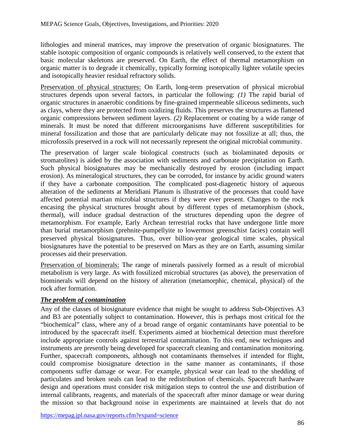lithologies and mineral matrices, may improve the preservation of organic biosignatures. The stable isotopic composition of organic compounds is relatively well conserved, to the extent that basic molecular skeletons are preserved. On Earth, the effect of thermal metamorphism on organic matter is to degrade it chemically, typically forming isotopically lighter volatile species and isotopically heavier residual refractory solids.

Preservation of physical structures: On Earth, long-term preservation of physical microbial structures depends upon several factors, in particular the following: *(1)* The rapid burial of organic structures in anaerobic conditions by fine-grained impermeable siliceous sediments, such as clays, where they are protected from oxidizing fluids. This preserves the structures as flattened organic compressions between sediment layers. *(2)* Replacement or coating by a wide range of minerals. It must be noted that different microorganisms have different susceptibilities for mineral fossilization and those that are particularly delicate may not fossilize at all; thus, the microfossils preserved in a rock will not necessarily represent the original microbial community.

The preservation of larger scale biological constructs (such as biolaminated deposits or stromatolites) is aided by the association with sediments and carbonate precipitation on Earth. Such physical biosignatures may be mechanically destroyed by erosion (including impact erosion). As mineralogical structures, they can be corroded, for instance by acidic ground waters if they have a carbonate composition. The complicated post-diagenetic history of aqueous alteration of the sediments at Meridiani Planum is illustrative of the processes that could have affected potential martian microbial structures if they were ever present. Changes to the rock encasing the physical structures brought about by different types of metamorphism (shock, thermal), will induce gradual destruction of the structures depending upon the degree of metamorphism. For example, Early Archean terrestrial rocks that have undergone little more than burial metamorphism (prehnite-pumpellyite to lowermost greenschist facies) contain well preserved physical biosignatures. Thus, over billion-year geological time scales, physical biosignatures have the potential to be preserved on Mars as they are on Earth, assuming similar processes aid their preservation.

Preservation of biominerals: The range of minerals passively formed as a result of microbial metabolism is very large. As with fossilized microbial structures (as above), the preservation of biominerals will depend on the history of alteration (metamorphic, chemical, physical) of the rock after formation.

#### *The problem of contamination*

Any of the classes of biosignature evidence that might be sought to address Sub-Objectives A3 and B3 are potentially subject to contamination. However, this is perhaps most critical for the "biochemical" class, where any of a broad range of organic contaminants have potential to be introduced by the spacecraft itself. Experiments aimed at biochemical detection must therefore include appropriate controls against terrestrial contamination. To this end, new techniques and instruments are presently being developed for spacecraft cleaning and contamination monitoring. Further, spacecraft components, although not contaminants themselves if intended for flight, could compromise biosignature detection in the same manner as contaminants, if those components suffer damage or wear. For example, physical wear can lead to the shedding of particulates and broken seals can lead to the redistribution of chemicals. Spacecraft hardware design and operations must consider risk mitigation steps to control the use and distribution of internal calibrants, reagents, and materials of the spacecraft after minor damage or wear during the mission so that background noise in experiments are maintained at levels that do not

<https://mepag.jpl.nasa.gov/reports.cfm?expand=science>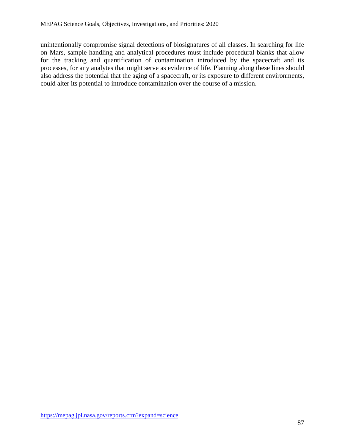unintentionally compromise signal detections of biosignatures of all classes. In searching for life on Mars, sample handling and analytical procedures must include procedural blanks that allow for the tracking and quantification of contamination introduced by the spacecraft and its processes, for any analytes that might serve as evidence of life. Planning along these lines should also address the potential that the aging of a spacecraft, or its exposure to different environments, could alter its potential to introduce contamination over the course of a mission.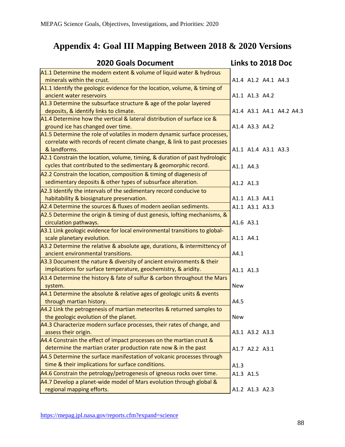# **Appendix 4: Goal III Mapping Between 2018 & 2020 Versions**

| <b>2020 Goals Document</b>                                                 | Links to 2018 Doc        |
|----------------------------------------------------------------------------|--------------------------|
| A1.1 Determine the modern extent & volume of liquid water & hydrous        |                          |
| minerals within the crust.                                                 | A1.4 A1.2 A4.1 A4.3      |
| A1.1 Identify the geologic evidence for the location, volume, & timing of  |                          |
| ancient water reservoirs                                                   | A1.1 A1.3 A4.2           |
| A1.3 Determine the subsurface structure & age of the polar layered         |                          |
| deposits, & identify links to climate.                                     | A1.4 A3.1 A4.1 A4.2 A4.3 |
| A1.4 Determine how the vertical & lateral distribution of surface ice &    |                          |
| ground ice has changed over time.                                          | A1.4 A3.3 A4.2           |
| A1.5 Determine the role of volatiles in modern dynamic surface processes,  |                          |
| correlate with records of recent climate change, & link to past processes  |                          |
| & landforms.                                                               | A1.1 A1.4 A3.1 A3.3      |
| A2.1 Constrain the location, volume, timing, & duration of past hydrologic |                          |
| cycles that contributed to the sedimentary & geomorphic record.            | A1.1 A4.3                |
| A2.2 Constrain the location, composition & timing of diagenesis of         |                          |
| sedimentary deposits & other types of subsurface alteration.               | A1.2 A1.3                |
| A2.3 Identify the intervals of the sedimentary record conducive to         |                          |
| habitability & biosignature preservation.                                  | A1.1 A1.3 A4.1           |
| A2.4 Determine the sources & fluxes of modern aeolian sediments.           | A1.1 A3.1 A3.3           |
| A2.5 Determine the origin & timing of dust genesis, lofting mechanisms, &  |                          |
| circulation pathways.                                                      | A1.6 A3.1                |
| A3.1 Link geologic evidence for local environmental transitions to global- |                          |
| scale planetary evolution.                                                 | A1.1 A4.1                |
| A3.2 Determine the relative & absolute age, durations, & intermittency of  |                          |
| ancient environmental transitions.                                         | A4.1                     |
| A3.3 Document the nature & diversity of ancient environments & their       |                          |
| implications for surface temperature, geochemistry, & aridity.             | A1.1 A1.3                |
| A3.4 Determine the history & fate of sulfur & carbon throughout the Mars   |                          |
| system.                                                                    | <b>New</b>               |
| A4.1 Determine the absolute & relative ages of geologic units & events     |                          |
| through martian history.                                                   | A4.5                     |
| A4.2 Link the petrogenesis of martian meteorites & returned samples to     |                          |
| the geologic evolution of the planet.                                      | <b>New</b>               |
| A4.3 Characterize modern surface processes, their rates of change, and     |                          |
| assess their origin.                                                       | A3.1 A3.2 A3.3           |
| A4.4 Constrain the effect of impact processes on the martian crust &       |                          |
| determine the martian crater production rate now & in the past             | A1.7 A2.2 A3.1           |
| A4.5 Determine the surface manifestation of volcanic processes through     |                          |
| time & their implications for surface conditions.                          | A1.3                     |
| A4.6 Constrain the petrology/petrogenesis of igneous rocks over time.      | A1.3 A1.5                |
| A4.7 Develop a planet-wide model of Mars evolution through global &        |                          |
| regional mapping efforts.                                                  | A1.2 A1.3 A2.3           |
|                                                                            |                          |